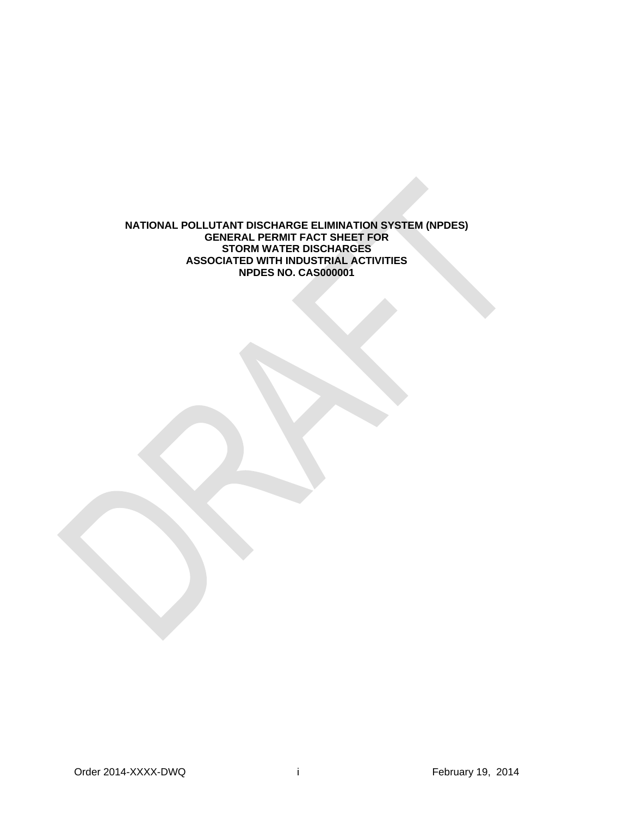**NATIONAL POLLUTANT DISCHARGE ELIMINATION SYSTEM (NPDES) GENERAL PERMIT FACT SHEET FOR STORM WATER DISCHARGES ASSOCIATED WITH INDUSTRIAL ACTIVITIES NPDES NO. CAS000001**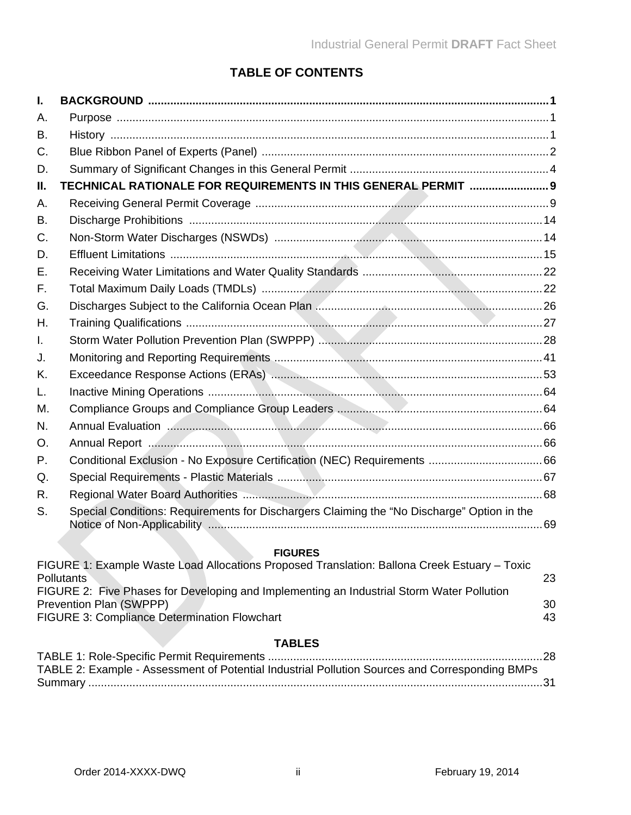# **TABLE OF CONTENTS**

| I.          |                                                                                              |          |
|-------------|----------------------------------------------------------------------------------------------|----------|
| Α.          |                                                                                              |          |
| B.          |                                                                                              |          |
| $C_{\cdot}$ |                                                                                              |          |
| D.          |                                                                                              |          |
| Ш.          | TECHNICAL RATIONALE FOR REQUIREMENTS IN THIS GENERAL PERMIT  9                               |          |
| Α.          |                                                                                              |          |
| <b>B.</b>   |                                                                                              |          |
| C.          |                                                                                              |          |
| D.          |                                                                                              |          |
| Ε.          |                                                                                              |          |
| F.          |                                                                                              |          |
| G.          |                                                                                              |          |
| Η.          |                                                                                              |          |
| Ι.          |                                                                                              |          |
| J.          |                                                                                              |          |
| K.          |                                                                                              |          |
| L.          |                                                                                              |          |
| М.          |                                                                                              |          |
| N.          |                                                                                              |          |
| O.          |                                                                                              |          |
| Ρ.          |                                                                                              |          |
| Q.          |                                                                                              |          |
| R.          |                                                                                              |          |
| S.          | Special Conditions: Requirements for Dischargers Claiming the "No Discharge" Option in the   |          |
|             | <b>FIGURES</b>                                                                               |          |
|             | FIGURE 1: Example Waste Load Allocations Proposed Translation: Ballona Creek Estuary - Toxic |          |
|             | <b>Pollutants</b>                                                                            | 23       |
|             | FIGURE 2: Five Phases for Developing and Implementing an Industrial Storm Water Pollution    |          |
|             | Prevention Plan (SWPPP)<br><b>FIGURE 3: Compliance Determination Flowchart</b>               | 30<br>43 |
|             |                                                                                              |          |
|             | <b>TABLES</b><br>$TARI$ F 1: Role-Specific Permit Requirements                               | າຂ       |

| TABLE 2: Example - Assessment of Potential Industrial Pollution Sources and Corresponding BMPs |  |
|------------------------------------------------------------------------------------------------|--|
|                                                                                                |  |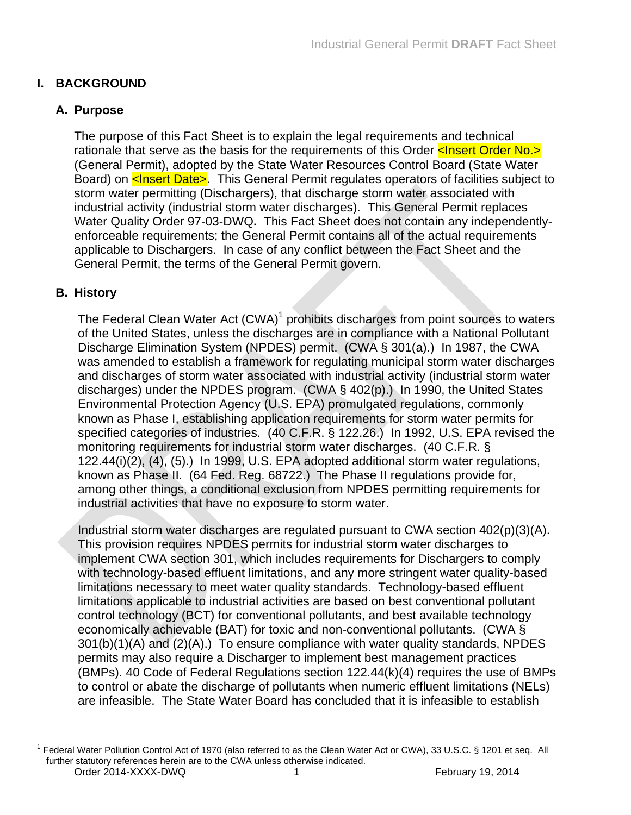# <span id="page-2-0"></span>**I. BACKGROUND**

### <span id="page-2-1"></span>**A. Purpose**

The purpose of this Fact Sheet is to explain the legal requirements and technical rationale that serve as the basis for the requirements of this Order  $\leq$  lnsert Order No.> (General Permit), adopted by the State Water Resources Control Board (State Water Board) on **<Insert Date>**. This General Permit regulates operators of facilities subject to storm water permitting (Dischargers), that discharge storm water associated with industrial activity (industrial storm water discharges). This General Permit replaces Water Quality Order 97-03-DWQ**.** This Fact Sheet does not contain any independentlyenforceable requirements; the General Permit contains all of the actual requirements applicable to Dischargers. In case of any conflict between the Fact Sheet and the General Permit, the terms of the General Permit govern.

### <span id="page-2-2"></span>**B. History**

The Federal Clean Water Act (CWA)<sup>1</sup> prohibits discharges from point sources to waters of the United States, unless the discharges are in compliance with a National Pollutant Discharge Elimination System (NPDES) permit. (CWA § 301(a).) In 1987, the CWA was amended to establish a framework for regulating municipal storm water discharges and discharges of storm water associated with industrial activity (industrial storm water discharges) under the NPDES program. (CWA § 402(p).) In 1990, the United States Environmental Protection Agency (U.S. EPA) promulgated regulations, commonly known as Phase I, establishing application requirements for storm water permits for specified categories of industries. (40 C.F.R. § 122.26.) In 1992, U.S. EPA revised the monitoring requirements for industrial storm water discharges. (40 C.F.R. § 122.44(i)(2), (4), (5).) In 1999, U.S. EPA adopted additional storm water regulations, known as Phase II. (64 Fed. Reg. 68722.) The Phase II regulations provide for, among other things, a conditional exclusion from NPDES permitting requirements for industrial activities that have no exposure to storm water.

Industrial storm water discharges are regulated pursuant to CWA section 402(p)(3)(A). This provision requires NPDES permits for industrial storm water discharges to implement CWA section 301, which includes requirements for Dischargers to comply with technology-based effluent limitations, and any more stringent water quality-based limitations necessary to meet water quality standards. Technology-based effluent limitations applicable to industrial activities are based on best conventional pollutant control technology (BCT) for conventional pollutants, and best available technology economically achievable (BAT) for toxic and non-conventional pollutants. (CWA § 301(b)(1)(A) and (2)(A).) To ensure compliance with water quality standards, NPDES permits may also require a Discharger to implement best management practices (BMPs). 40 Code of Federal Regulations section 122.44(k)(4) requires the use of BMPs to control or abate the discharge of pollutants when numeric effluent limitations (NELs) are infeasible. The State Water Board has concluded that it is infeasible to establish

Order 2014-XXXX-DWQ 1 1 February 19, 2014 <sup>1</sup> Federal Water Pollution Control Act of 1970 (also referred to as the Clean Water Act or CWA), 33 U.S.C. § 1201 et seq. All further statutory references herein are to the CWA unless otherwise indicated.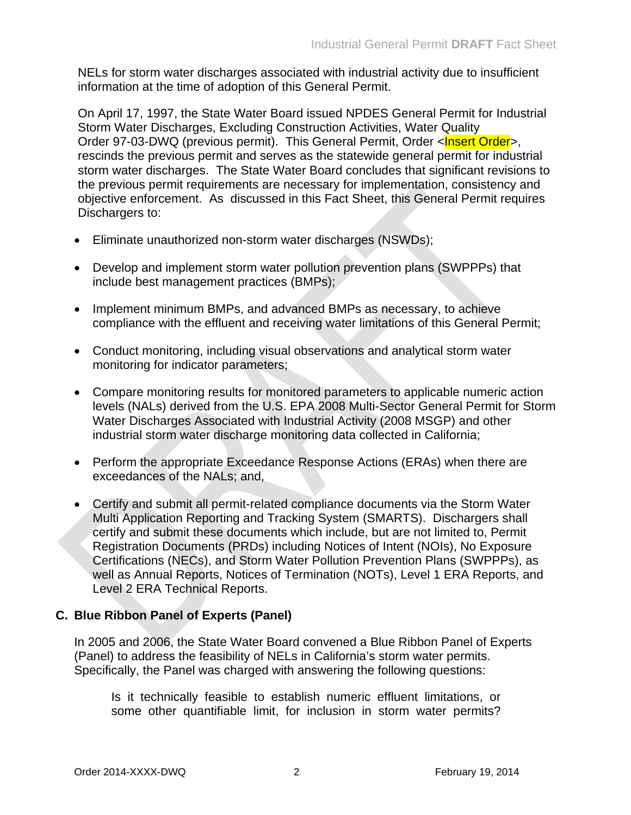NELs for storm water discharges associated with industrial activity due to insufficient information at the time of adoption of this General Permit.

On April 17, 1997, the State Water Board issued NPDES General Permit for Industrial Storm Water Discharges, Excluding Construction Activities, Water Quality Order 97-03-DWQ (previous permit). This General Permit, Order <Insert Order>, rescinds the previous permit and serves as the statewide general permit for industrial storm water discharges. The State Water Board concludes that significant revisions to the previous permit requirements are necessary for implementation, consistency and objective enforcement. As discussed in this Fact Sheet, this General Permit requires Dischargers to:

- Eliminate unauthorized non-storm water discharges (NSWDs);
- Develop and implement storm water pollution prevention plans (SWPPPs) that include best management practices (BMPs);
- Implement minimum BMPs, and advanced BMPs as necessary, to achieve compliance with the effluent and receiving water limitations of this General Permit;
- Conduct monitoring, including visual observations and analytical storm water monitoring for indicator parameters;
- Compare monitoring results for monitored parameters to applicable numeric action levels (NALs) derived from the U.S. EPA 2008 Multi-Sector General Permit for Storm Water Discharges Associated with Industrial Activity (2008 MSGP) and other industrial storm water discharge monitoring data collected in California;
- Perform the appropriate Exceedance Response Actions (ERAs) when there are exceedances of the NALs; and,
- Certify and submit all permit-related compliance documents via the Storm Water Multi Application Reporting and Tracking System (SMARTS). Dischargers shall certify and submit these documents which include, but are not limited to, Permit Registration Documents (PRDs) including Notices of Intent (NOIs), No Exposure Certifications (NECs), and Storm Water Pollution Prevention Plans (SWPPPs), as well as Annual Reports, Notices of Termination (NOTs), Level 1 ERA Reports, and Level 2 ERA Technical Reports.

### <span id="page-3-0"></span>**C. Blue Ribbon Panel of Experts (Panel)**

In 2005 and 2006, the State Water Board convened a Blue Ribbon Panel of Experts (Panel) to address the feasibility of NELs in California's storm water permits. Specifically, the Panel was charged with answering the following questions:

Is it technically feasible to establish numeric effluent limitations, or some other quantifiable limit, for inclusion in storm water permits?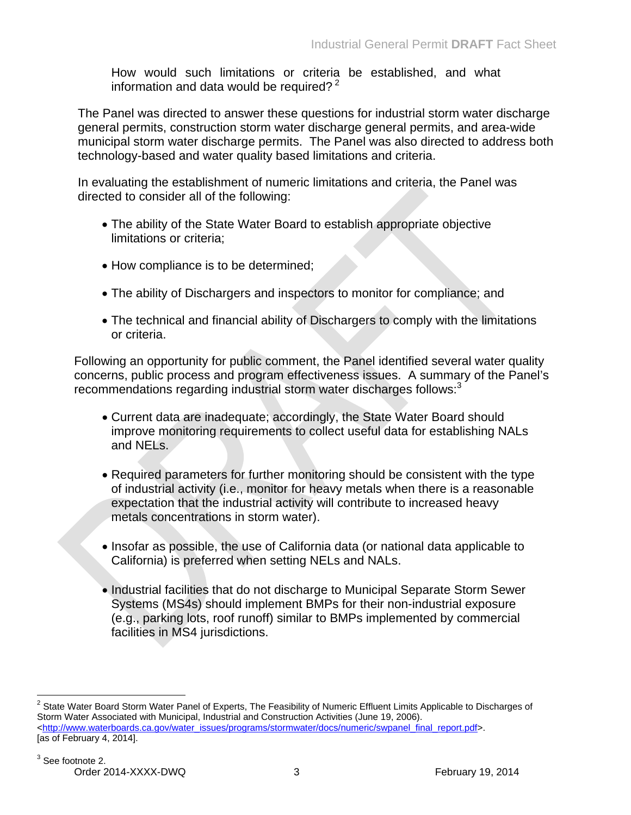How would such limitations or criteria be established, and what information and data would be required?  $2^2$ 

The Panel was directed to answer these questions for industrial storm water discharge general permits, construction storm water discharge general permits, and area-wide municipal storm water discharge permits. The Panel was also directed to address both technology-based and water quality based limitations and criteria.

In evaluating the establishment of numeric limitations and criteria, the Panel was directed to consider all of the following:

- The ability of the State Water Board to establish appropriate objective limitations or criteria;
- How compliance is to be determined;
- The ability of Dischargers and inspectors to monitor for compliance; and
- The technical and financial ability of Dischargers to comply with the limitations or criteria.

Following an opportunity for public comment, the Panel identified several water quality concerns, public process and program effectiveness issues. A summary of the Panel's recommendations regarding industrial storm water discharges follows:<sup>3</sup>

- Current data are inadequate; accordingly, the State Water Board should improve monitoring requirements to collect useful data for establishing NALs and NELs.
- Required parameters for further monitoring should be consistent with the type of industrial activity (i.e., monitor for heavy metals when there is a reasonable expectation that the industrial activity will contribute to increased heavy metals concentrations in storm water).
- Insofar as possible, the use of California data (or national data applicable to California) is preferred when setting NELs and NALs.
- Industrial facilities that do not discharge to Municipal Separate Storm Sewer Systems (MS4s) should implement BMPs for their non-industrial exposure (e.g., parking lots, roof runoff) similar to BMPs implemented by commercial facilities in MS4 jurisdictions.

 $2$  State Water Board Storm Water Panel of Experts, The Feasibility of Numeric Effluent Limits Applicable to Discharges of Storm Water Associated with Municipal, Industrial and Construction Activities (June 19, 2006). [<http://www.waterboards.ca.gov/water\\_issues/programs/stormwater/docs/numeric/swpanel\\_final\\_report.pdf>](http://www.waterboards.ca.gov/water_issues/programs/stormwater/docs/numeric/swpanel_final_report.pdf). [as of February 4, 2014].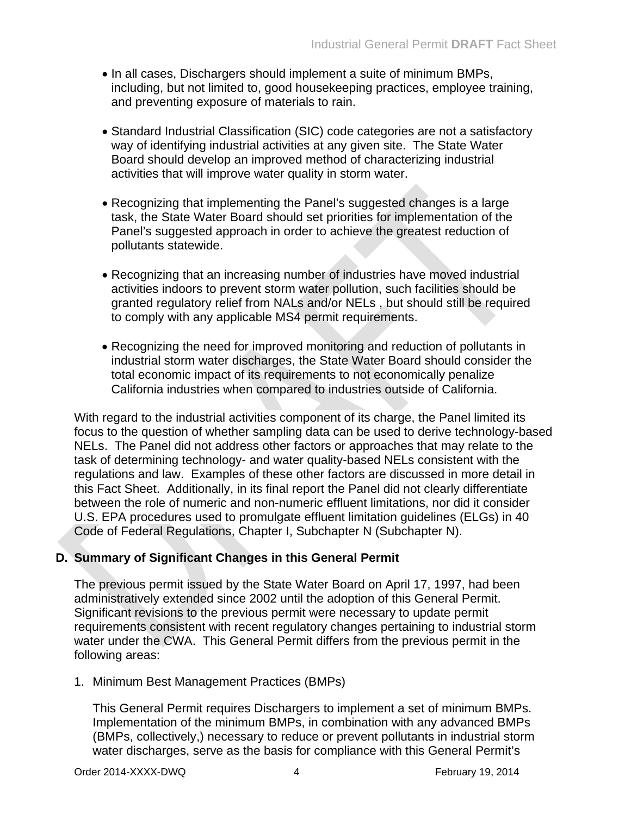- In all cases, Dischargers should implement a suite of minimum BMPs, including, but not limited to, good housekeeping practices, employee training, and preventing exposure of materials to rain.
- Standard Industrial Classification (SIC) code categories are not a satisfactory way of identifying industrial activities at any given site. The State Water Board should develop an improved method of characterizing industrial activities that will improve water quality in storm water.
- Recognizing that implementing the Panel's suggested changes is a large task, the State Water Board should set priorities for implementation of the Panel's suggested approach in order to achieve the greatest reduction of pollutants statewide.
- Recognizing that an increasing number of industries have moved industrial activities indoors to prevent storm water pollution, such facilities should be granted regulatory relief from NALs and/or NELs , but should still be required to comply with any applicable MS4 permit requirements.
- Recognizing the need for improved monitoring and reduction of pollutants in industrial storm water discharges, the State Water Board should consider the total economic impact of its requirements to not economically penalize California industries when compared to industries outside of California.

With regard to the industrial activities component of its charge, the Panel limited its focus to the question of whether sampling data can be used to derive technology-based NELs. The Panel did not address other factors or approaches that may relate to the task of determining technology- and water quality-based NELs consistent with the regulations and law. Examples of these other factors are discussed in more detail in this Fact Sheet. Additionally, in its final report the Panel did not clearly differentiate between the role of numeric and non-numeric effluent limitations, nor did it consider U.S. EPA procedures used to promulgate effluent limitation guidelines (ELGs) in 40 Code of Federal Regulations, Chapter I, Subchapter N (Subchapter N).

### <span id="page-5-0"></span>**D. Summary of Significant Changes in this General Permit**

The previous permit issued by the State Water Board on April 17, 1997, had been administratively extended since 2002 until the adoption of this General Permit. Significant revisions to the previous permit were necessary to update permit requirements consistent with recent regulatory changes pertaining to industrial storm water under the CWA. This General Permit differs from the previous permit in the following areas:

1. Minimum Best Management Practices (BMPs)

This General Permit requires Dischargers to implement a set of minimum BMPs. Implementation of the minimum BMPs, in combination with any advanced BMPs (BMPs, collectively,) necessary to reduce or prevent pollutants in industrial storm water discharges, serve as the basis for compliance with this General Permit's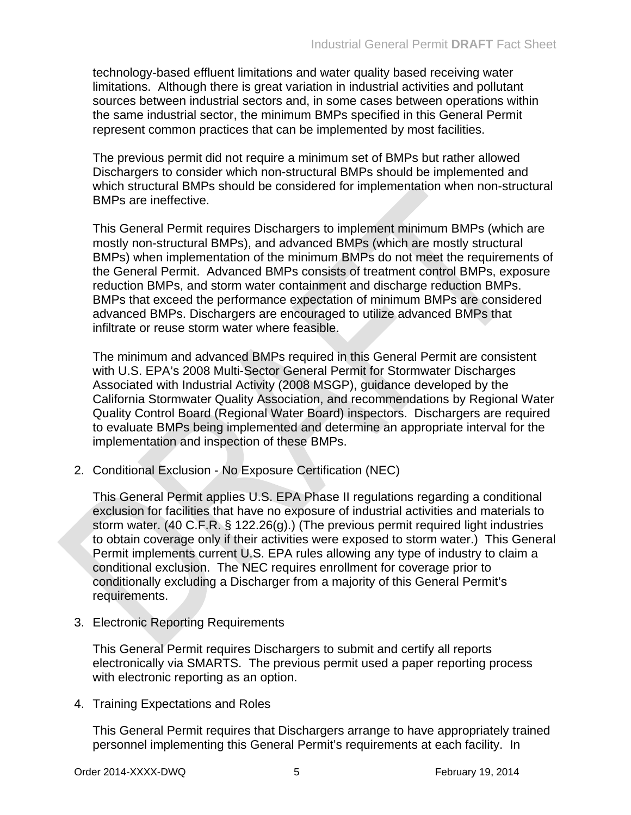technology-based effluent limitations and water quality based receiving water limitations. Although there is great variation in industrial activities and pollutant sources between industrial sectors and, in some cases between operations within the same industrial sector, the minimum BMPs specified in this General Permit represent common practices that can be implemented by most facilities.

The previous permit did not require a minimum set of BMPs but rather allowed Dischargers to consider which non-structural BMPs should be implemented and which structural BMPs should be considered for implementation when non-structural BMPs are ineffective.

This General Permit requires Dischargers to implement minimum BMPs (which are mostly non-structural BMPs), and advanced BMPs (which are mostly structural BMPs) when implementation of the minimum BMPs do not meet the requirements of the General Permit. Advanced BMPs consists of treatment control BMPs, exposure reduction BMPs, and storm water containment and discharge reduction BMPs. BMPs that exceed the performance expectation of minimum BMPs are considered advanced BMPs. Dischargers are encouraged to utilize advanced BMPs that infiltrate or reuse storm water where feasible.

The minimum and advanced BMPs required in this General Permit are consistent with U.S. EPA's 2008 Multi-Sector General Permit for Stormwater Discharges Associated with Industrial Activity (2008 MSGP), guidance developed by the California Stormwater Quality Association, and recommendations by Regional Water Quality Control Board (Regional Water Board) inspectors. Dischargers are required to evaluate BMPs being implemented and determine an appropriate interval for the implementation and inspection of these BMPs.

2. Conditional Exclusion - No Exposure Certification (NEC)

This General Permit applies U.S. EPA Phase II regulations regarding a conditional exclusion for facilities that have no exposure of industrial activities and materials to storm water. (40 C.F.R. § 122.26(g).) (The previous permit required light industries to obtain coverage only if their activities were exposed to storm water.) This General Permit implements current U.S. EPA rules allowing any type of industry to claim a conditional exclusion. The NEC requires enrollment for coverage prior to conditionally excluding a Discharger from a majority of this General Permit's requirements.

3. Electronic Reporting Requirements

This General Permit requires Dischargers to submit and certify all reports electronically via SMARTS. The previous permit used a paper reporting process with electronic reporting as an option.

4. Training Expectations and Roles

This General Permit requires that Dischargers arrange to have appropriately trained personnel implementing this General Permit's requirements at each facility. In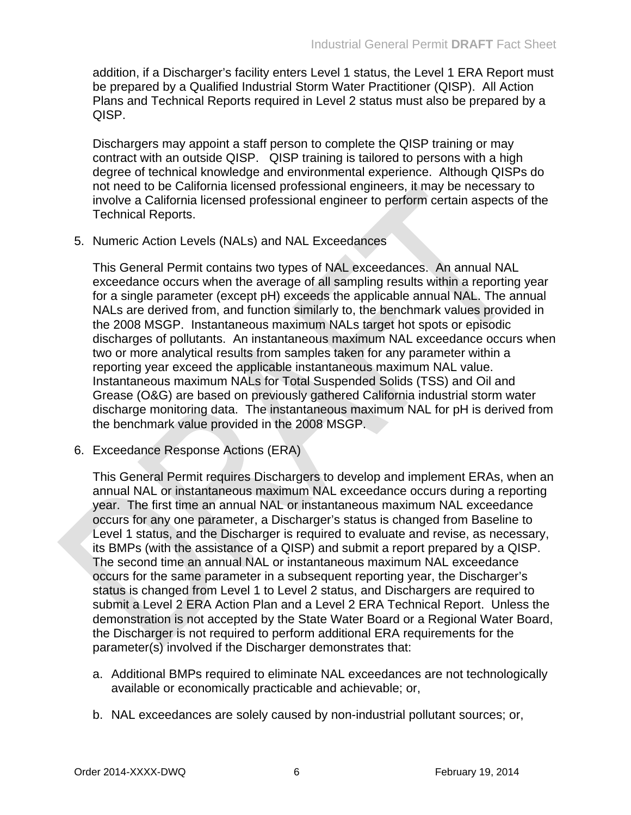addition, if a Discharger's facility enters Level 1 status, the Level 1 ERA Report must be prepared by a Qualified Industrial Storm Water Practitioner (QISP). All Action Plans and Technical Reports required in Level 2 status must also be prepared by a QISP.

Dischargers may appoint a staff person to complete the QISP training or may contract with an outside QISP. QISP training is tailored to persons with a high degree of technical knowledge and environmental experience. Although QISPs do not need to be California licensed professional engineers, it may be necessary to involve a California licensed professional engineer to perform certain aspects of the Technical Reports.

5. Numeric Action Levels (NALs) and NAL Exceedances

This General Permit contains two types of NAL exceedances. An annual NAL exceedance occurs when the average of all sampling results within a reporting year for a single parameter (except pH) exceeds the applicable annual NAL. The annual NALs are derived from, and function similarly to, the benchmark values provided in the 2008 MSGP. Instantaneous maximum NALs target hot spots or episodic discharges of pollutants. An instantaneous maximum NAL exceedance occurs when two or more analytical results from samples taken for any parameter within a reporting year exceed the applicable instantaneous maximum NAL value. Instantaneous maximum NALs for Total Suspended Solids (TSS) and Oil and Grease (O&G) are based on previously gathered California industrial storm water discharge monitoring data. The instantaneous maximum NAL for pH is derived from the benchmark value provided in the 2008 MSGP.

6. Exceedance Response Actions (ERA)

This General Permit requires Dischargers to develop and implement ERAs, when an annual NAL or instantaneous maximum NAL exceedance occurs during a reporting year. The first time an annual NAL or instantaneous maximum NAL exceedance occurs for any one parameter, a Discharger's status is changed from Baseline to Level 1 status, and the Discharger is required to evaluate and revise, as necessary, its BMPs (with the assistance of a QISP) and submit a report prepared by a QISP. The second time an annual NAL or instantaneous maximum NAL exceedance occurs for the same parameter in a subsequent reporting year, the Discharger's status is changed from Level 1 to Level 2 status, and Dischargers are required to submit a Level 2 ERA Action Plan and a Level 2 ERA Technical Report. Unless the demonstration is not accepted by the State Water Board or a Regional Water Board, the Discharger is not required to perform additional ERA requirements for the parameter(s) involved if the Discharger demonstrates that:

- a. Additional BMPs required to eliminate NAL exceedances are not technologically available or economically practicable and achievable; or,
- b. NAL exceedances are solely caused by non-industrial pollutant sources; or,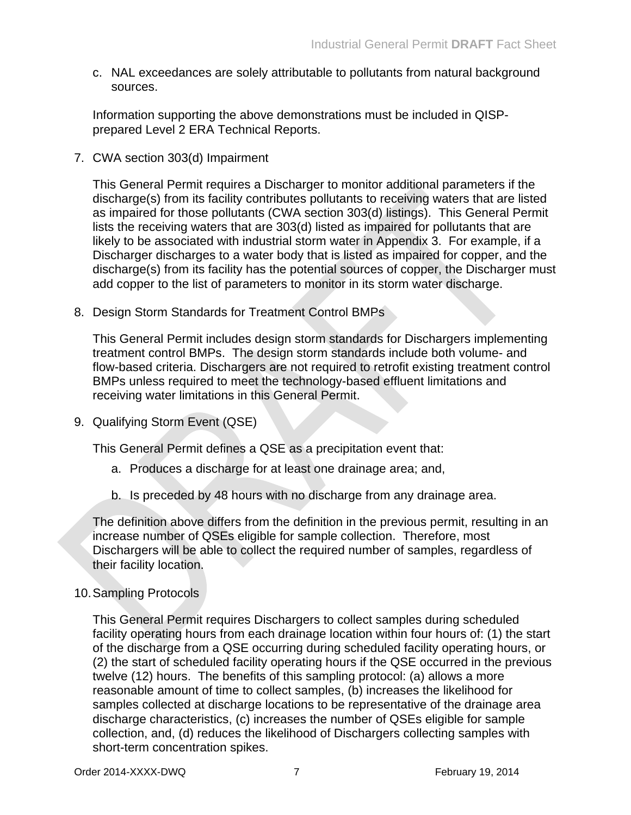c. NAL exceedances are solely attributable to pollutants from natural background sources.

Information supporting the above demonstrations must be included in QISPprepared Level 2 ERA Technical Reports.

7. CWA section 303(d) Impairment

This General Permit requires a Discharger to monitor additional parameters if the discharge(s) from its facility contributes pollutants to receiving waters that are listed as impaired for those pollutants (CWA section 303(d) listings). This General Permit lists the receiving waters that are 303(d) listed as impaired for pollutants that are likely to be associated with industrial storm water in Appendix 3. For example, if a Discharger discharges to a water body that is listed as impaired for copper, and the discharge(s) from its facility has the potential sources of copper, the Discharger must add copper to the list of parameters to monitor in its storm water discharge.

8. Design Storm Standards for Treatment Control BMPs

This General Permit includes design storm standards for Dischargers implementing treatment control BMPs. The design storm standards include both volume- and flow-based criteria. Dischargers are not required to retrofit existing treatment control BMPs unless required to meet the technology-based effluent limitations and receiving water limitations in this General Permit.

9. Qualifying Storm Event (QSE)

This General Permit defines a QSE as a precipitation event that:

- a. Produces a discharge for at least one drainage area; and,
- b. Is preceded by 48 hours with no discharge from any drainage area.

The definition above differs from the definition in the previous permit, resulting in an increase number of QSEs eligible for sample collection. Therefore, most Dischargers will be able to collect the required number of samples, regardless of their facility location.

### 10.Sampling Protocols

This General Permit requires Dischargers to collect samples during scheduled facility operating hours from each drainage location within four hours of: (1) the start of the discharge from a QSE occurring during scheduled facility operating hours, or (2) the start of scheduled facility operating hours if the QSE occurred in the previous twelve (12) hours. The benefits of this sampling protocol: (a) allows a more reasonable amount of time to collect samples, (b) increases the likelihood for samples collected at discharge locations to be representative of the drainage area discharge characteristics, (c) increases the number of QSEs eligible for sample collection, and, (d) reduces the likelihood of Dischargers collecting samples with short-term concentration spikes.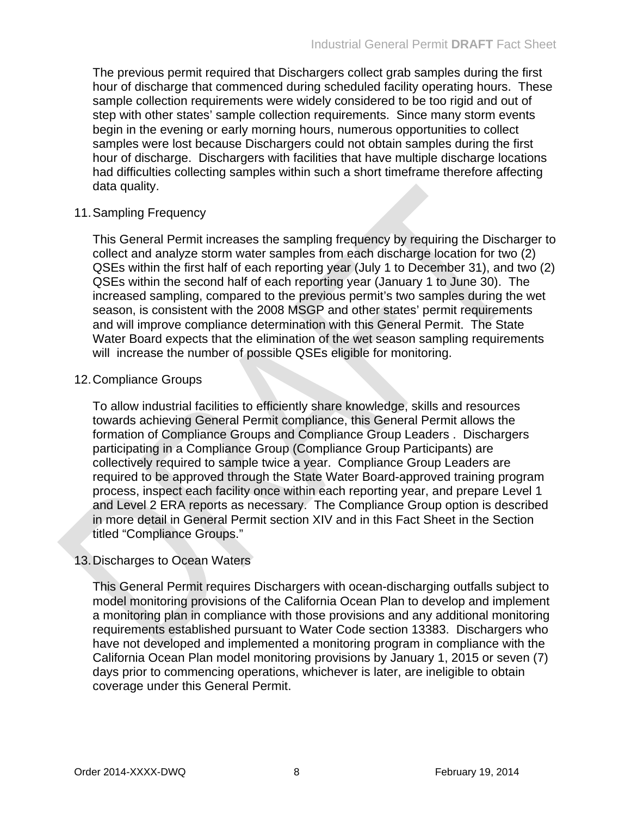The previous permit required that Dischargers collect grab samples during the first hour of discharge that commenced during scheduled facility operating hours. These sample collection requirements were widely considered to be too rigid and out of step with other states' sample collection requirements. Since many storm events begin in the evening or early morning hours, numerous opportunities to collect samples were lost because Dischargers could not obtain samples during the first hour of discharge. Dischargers with facilities that have multiple discharge locations had difficulties collecting samples within such a short timeframe therefore affecting data quality.

#### 11.Sampling Frequency

This General Permit increases the sampling frequency by requiring the Discharger to collect and analyze storm water samples from each discharge location for two (2) QSEs within the first half of each reporting year (July 1 to December 31), and two (2) QSEs within the second half of each reporting year (January 1 to June 30). The increased sampling, compared to the previous permit's two samples during the wet season, is consistent with the 2008 MSGP and other states' permit requirements and will improve compliance determination with this General Permit. The State Water Board expects that the elimination of the wet season sampling requirements will increase the number of possible QSEs eligible for monitoring.

#### 12.Compliance Groups

To allow industrial facilities to efficiently share knowledge, skills and resources towards achieving General Permit compliance, this General Permit allows the formation of Compliance Groups and Compliance Group Leaders . Dischargers participating in a Compliance Group (Compliance Group Participants) are collectively required to sample twice a year. Compliance Group Leaders are required to be approved through the State Water Board-approved training program process, inspect each facility once within each reporting year, and prepare Level 1 and Level 2 ERA reports as necessary. The Compliance Group option is described in more detail in General Permit section XIV and in this Fact Sheet in the Section titled "Compliance Groups."

### 13.Discharges to Ocean Waters

This General Permit requires Dischargers with ocean-discharging outfalls subject to model monitoring provisions of the California Ocean Plan to develop and implement a monitoring plan in compliance with those provisions and any additional monitoring requirements established pursuant to Water Code section 13383. Dischargers who have not developed and implemented a monitoring program in compliance with the California Ocean Plan model monitoring provisions by January 1, 2015 or seven (7) days prior to commencing operations, whichever is later, are ineligible to obtain coverage under this General Permit.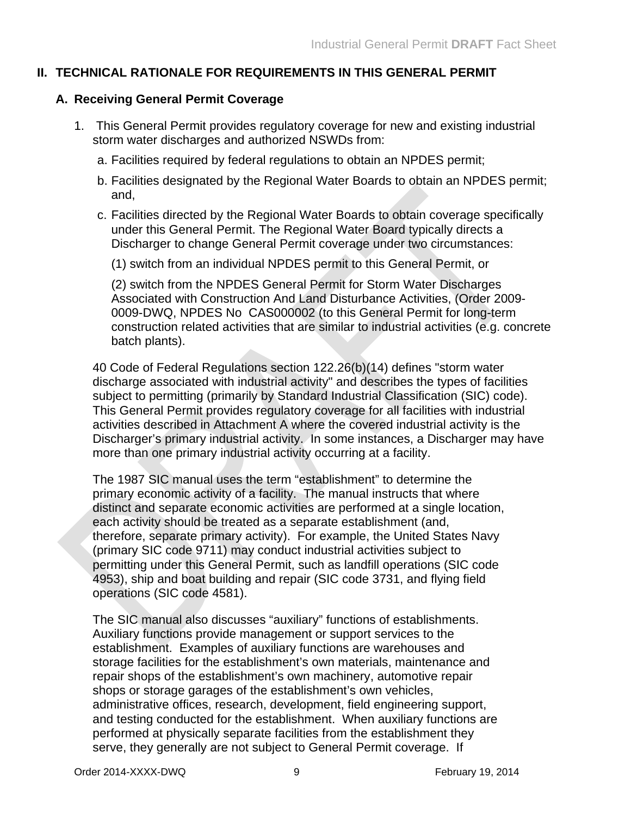#### <span id="page-10-0"></span>**II. TECHNICAL RATIONALE FOR REQUIREMENTS IN THIS GENERAL PERMIT**

#### <span id="page-10-1"></span>**A. Receiving General Permit Coverage**

- 1. This General Permit provides regulatory coverage for new and existing industrial storm water discharges and authorized NSWDs from:
	- a. Facilities required by federal regulations to obtain an NPDES permit;
	- b. Facilities designated by the Regional Water Boards to obtain an NPDES permit; and,
	- c. Facilities directed by the Regional Water Boards to obtain coverage specifically under this General Permit. The Regional Water Board typically directs a Discharger to change General Permit coverage under two circumstances:
		- (1) switch from an individual NPDES permit to this General Permit, or

(2) switch from the NPDES General Permit for Storm Water Discharges Associated with Construction And Land Disturbance Activities, (Order 2009- 0009-DWQ, NPDES No CAS000002 (to this General Permit for long-term construction related activities that are similar to industrial activities (e.g. concrete batch plants).

40 Code of Federal Regulations section 122.26(b)(14) defines "storm water discharge associated with industrial activity" and describes the types of facilities subject to permitting (primarily by Standard Industrial Classification (SIC) code). This General Permit provides regulatory coverage for all facilities with industrial activities described in Attachment A where the covered industrial activity is the Discharger's primary industrial activity. In some instances, a Discharger may have more than one primary industrial activity occurring at a facility.

The 1987 SIC manual uses the term "establishment" to determine the primary economic activity of a facility. The manual instructs that where distinct and separate economic activities are performed at a single location, each activity should be treated as a separate establishment (and, therefore, separate primary activity). For example, the United States Navy (primary SIC code 9711) may conduct industrial activities subject to permitting under this General Permit, such as landfill operations (SIC code 4953), ship and boat building and repair (SIC code 3731, and flying field operations (SIC code 4581).

The SIC manual also discusses "auxiliary" functions of establishments. Auxiliary functions provide management or support services to the establishment. Examples of auxiliary functions are warehouses and storage facilities for the establishment's own materials, maintenance and repair shops of the establishment's own machinery, automotive repair shops or storage garages of the establishment's own vehicles, administrative offices, research, development, field engineering support, and testing conducted for the establishment. When auxiliary functions are performed at physically separate facilities from the establishment they serve, they generally are not subject to General Permit coverage. If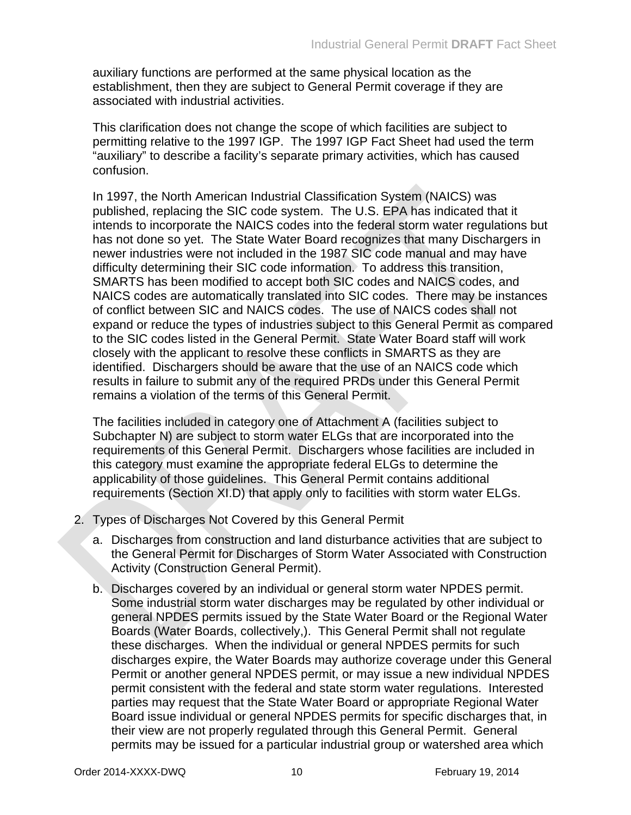auxiliary functions are performed at the same physical location as the establishment, then they are subject to General Permit coverage if they are associated with industrial activities.

This clarification does not change the scope of which facilities are subject to permitting relative to the 1997 IGP. The 1997 IGP Fact Sheet had used the term "auxiliary" to describe a facility's separate primary activities, which has caused confusion.

In 1997, the North American Industrial Classification System (NAICS) was published, replacing the SIC code system. The U.S. EPA has indicated that it intends to incorporate the NAICS codes into the federal storm water regulations but has not done so yet. The State Water Board recognizes that many Dischargers in newer industries were not included in the 1987 SIC code manual and may have difficulty determining their SIC code information. To address this transition, SMARTS has been modified to accept both SIC codes and NAICS codes, and NAICS codes are automatically translated into SIC codes. There may be instances of conflict between SIC and NAICS codes. The use of NAICS codes shall not expand or reduce the types of industries subject to this General Permit as compared to the SIC codes listed in the General Permit. State Water Board staff will work closely with the applicant to resolve these conflicts in SMARTS as they are identified. Dischargers should be aware that the use of an NAICS code which results in failure to submit any of the required PRDs under this General Permit remains a violation of the terms of this General Permit.

The facilities included in category one of Attachment A (facilities subject to Subchapter N) are subject to storm water ELGs that are incorporated into the requirements of this General Permit. Dischargers whose facilities are included in this category must examine the appropriate federal ELGs to determine the applicability of those guidelines. This General Permit contains additional requirements (Section XI.D) that apply only to facilities with storm water ELGs.

- 2. Types of Discharges Not Covered by this General Permit
	- a. Discharges from construction and land disturbance activities that are subject to the General Permit for Discharges of Storm Water Associated with Construction Activity (Construction General Permit).
	- b. Discharges covered by an individual or general storm water NPDES permit. Some industrial storm water discharges may be regulated by other individual or general NPDES permits issued by the State Water Board or the Regional Water Boards (Water Boards, collectively,). This General Permit shall not regulate these discharges. When the individual or general NPDES permits for such discharges expire, the Water Boards may authorize coverage under this General Permit or another general NPDES permit, or may issue a new individual NPDES permit consistent with the federal and state storm water regulations. Interested parties may request that the State Water Board or appropriate Regional Water Board issue individual or general NPDES permits for specific discharges that, in their view are not properly regulated through this General Permit. General permits may be issued for a particular industrial group or watershed area which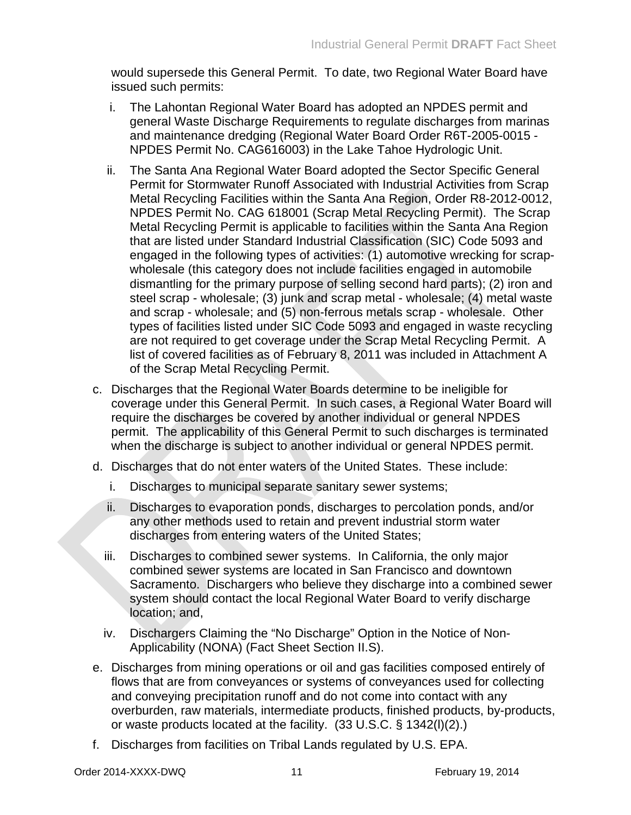would supersede this General Permit. To date, two Regional Water Board have issued such permits:

- i. The Lahontan Regional Water Board has adopted an NPDES permit and general Waste Discharge Requirements to regulate discharges from marinas and maintenance dredging (Regional Water Board Order R6T-2005-0015 - NPDES Permit No. CAG616003) in the Lake Tahoe Hydrologic Unit.
- ii. The Santa Ana Regional Water Board adopted the Sector Specific General Permit for Stormwater Runoff Associated with Industrial Activities from Scrap Metal Recycling Facilities within the Santa Ana Region, Order R8-2012-0012, NPDES Permit No. CAG 618001 (Scrap Metal Recycling Permit). The Scrap Metal Recycling Permit is applicable to facilities within the Santa Ana Region that are listed under Standard Industrial Classification (SIC) Code 5093 and engaged in the following types of activities: (1) automotive wrecking for scrapwholesale (this category does not include facilities engaged in automobile dismantling for the primary purpose of selling second hard parts); (2) iron and steel scrap - wholesale; (3) junk and scrap metal - wholesale; (4) metal waste and scrap - wholesale; and (5) non-ferrous metals scrap - wholesale. Other types of facilities listed under SIC Code 5093 and engaged in waste recycling are not required to get coverage under the Scrap Metal Recycling Permit. A list of covered facilities as of February 8, 2011 was included in Attachment A of the Scrap Metal Recycling Permit.
- c. Discharges that the Regional Water Boards determine to be ineligible for coverage under this General Permit. In such cases, a Regional Water Board will require the discharges be covered by another individual or general NPDES permit. The applicability of this General Permit to such discharges is terminated when the discharge is subject to another individual or general NPDES permit.
- d. Discharges that do not enter waters of the United States. These include:
	- i. Discharges to municipal separate sanitary sewer systems;
	- ii. Discharges to evaporation ponds, discharges to percolation ponds, and/or any other methods used to retain and prevent industrial storm water discharges from entering waters of the United States;
	- iii. Discharges to combined sewer systems. In California, the only major combined sewer systems are located in San Francisco and downtown Sacramento. Dischargers who believe they discharge into a combined sewer system should contact the local Regional Water Board to verify discharge location; and,
	- iv. Dischargers Claiming the "No Discharge" Option in the Notice of Non-Applicability (NONA) (Fact Sheet Section II.S).
- e. Discharges from mining operations or oil and gas facilities composed entirely of flows that are from conveyances or systems of conveyances used for collecting and conveying precipitation runoff and do not come into contact with any overburden, raw materials, intermediate products, finished products, by-products, or waste products located at the facility. (33 U.S.C. § 1342(l)(2).)
- f. Discharges from facilities on Tribal Lands regulated by U.S. EPA.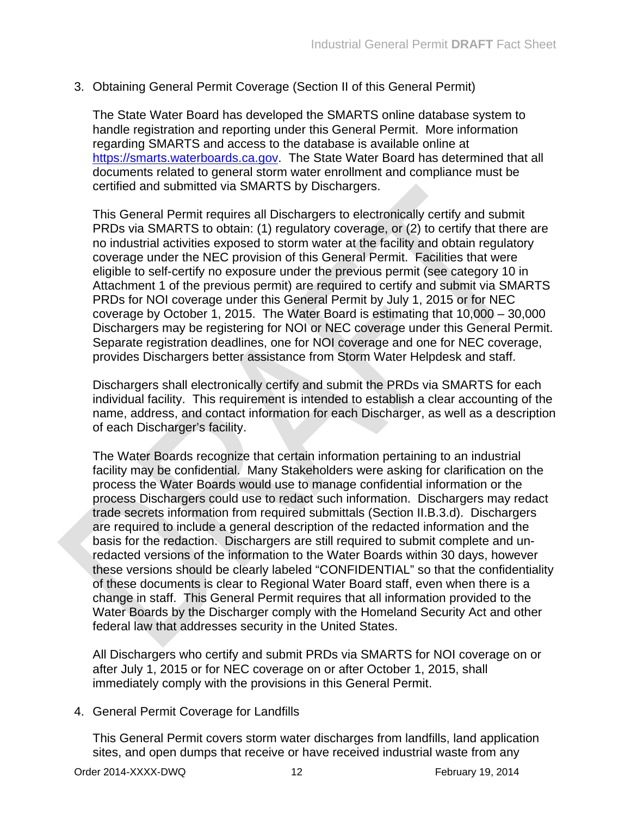3. Obtaining General Permit Coverage (Section II of this General Permit)

The State Water Board has developed the SMARTS online database system to handle registration and reporting under this General Permit. More information regarding SMARTS and access to the database is available online at [https://smarts.waterboards.ca.gov.](https://smarts.waterboards.ca.gov/) The State Water Board has determined that all documents related to general storm water enrollment and compliance must be certified and submitted via SMARTS by Dischargers.

This General Permit requires all Dischargers to electronically certify and submit PRDs via SMARTS to obtain: (1) regulatory coverage, or (2) to certify that there are no industrial activities exposed to storm water at the facility and obtain regulatory coverage under the NEC provision of this General Permit. Facilities that were eligible to self-certify no exposure under the previous permit (see category 10 in Attachment 1 of the previous permit) are required to certify and submit via SMARTS PRDs for NOI coverage under this General Permit by July 1, 2015 or for NEC coverage by October 1, 2015. The Water Board is estimating that 10,000 – 30,000 Dischargers may be registering for NOI or NEC coverage under this General Permit. Separate registration deadlines, one for NOI coverage and one for NEC coverage, provides Dischargers better assistance from Storm Water Helpdesk and staff.

Dischargers shall electronically certify and submit the PRDs via SMARTS for each individual facility. This requirement is intended to establish a clear accounting of the name, address, and contact information for each Discharger, as well as a description of each Discharger's facility.

The Water Boards recognize that certain information pertaining to an industrial facility may be confidential. Many Stakeholders were asking for clarification on the process the Water Boards would use to manage confidential information or the process Dischargers could use to redact such information. Dischargers may redact trade secrets information from required submittals (Section II.B.3.d). Dischargers are required to include a general description of the redacted information and the basis for the redaction. Dischargers are still required to submit complete and unredacted versions of the information to the Water Boards within 30 days, however these versions should be clearly labeled "CONFIDENTIAL" so that the confidentiality of these documents is clear to Regional Water Board staff, even when there is a change in staff. This General Permit requires that all information provided to the Water Boards by the Discharger comply with the Homeland Security Act and other federal law that addresses security in the United States.

All Dischargers who certify and submit PRDs via SMARTS for NOI coverage on or after July 1, 2015 or for NEC coverage on or after October 1, 2015, shall immediately comply with the provisions in this General Permit.

4. General Permit Coverage for Landfills

This General Permit covers storm water discharges from landfills, land application sites, and open dumps that receive or have received industrial waste from any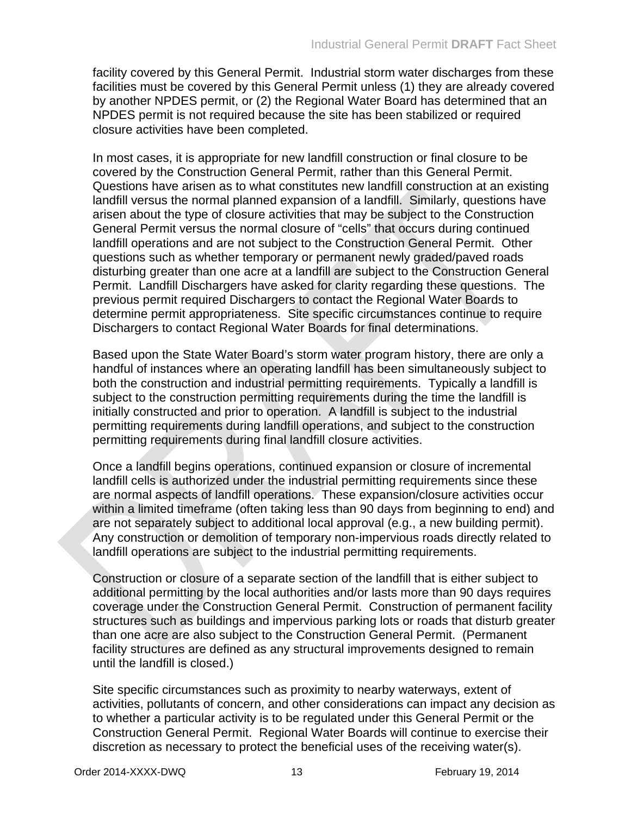facility covered by this General Permit. Industrial storm water discharges from these facilities must be covered by this General Permit unless (1) they are already covered by another NPDES permit, or (2) the Regional Water Board has determined that an NPDES permit is not required because the site has been stabilized or required closure activities have been completed.

In most cases, it is appropriate for new landfill construction or final closure to be covered by the Construction General Permit, rather than this General Permit. Questions have arisen as to what constitutes new landfill construction at an existing landfill versus the normal planned expansion of a landfill. Similarly, questions have arisen about the type of closure activities that may be subject to the Construction General Permit versus the normal closure of "cells" that occurs during continued landfill operations and are not subject to the Construction General Permit. Other questions such as whether temporary or permanent newly graded/paved roads disturbing greater than one acre at a landfill are subject to the Construction General Permit. Landfill Dischargers have asked for clarity regarding these questions. The previous permit required Dischargers to contact the Regional Water Boards to determine permit appropriateness. Site specific circumstances continue to require Dischargers to contact Regional Water Boards for final determinations.

Based upon the State Water Board's storm water program history, there are only a handful of instances where an operating landfill has been simultaneously subject to both the construction and industrial permitting requirements. Typically a landfill is subject to the construction permitting requirements during the time the landfill is initially constructed and prior to operation. A landfill is subject to the industrial permitting requirements during landfill operations, and subject to the construction permitting requirements during final landfill closure activities.

Once a landfill begins operations, continued expansion or closure of incremental landfill cells is authorized under the industrial permitting requirements since these are normal aspects of landfill operations. These expansion/closure activities occur within a limited timeframe (often taking less than 90 days from beginning to end) and are not separately subject to additional local approval (e.g., a new building permit). Any construction or demolition of temporary non-impervious roads directly related to landfill operations are subject to the industrial permitting requirements.

Construction or closure of a separate section of the landfill that is either subject to additional permitting by the local authorities and/or lasts more than 90 days requires coverage under the Construction General Permit. Construction of permanent facility structures such as buildings and impervious parking lots or roads that disturb greater than one acre are also subject to the Construction General Permit. (Permanent facility structures are defined as any structural improvements designed to remain until the landfill is closed.)

Site specific circumstances such as proximity to nearby waterways, extent of activities, pollutants of concern, and other considerations can impact any decision as to whether a particular activity is to be regulated under this General Permit or the Construction General Permit. Regional Water Boards will continue to exercise their discretion as necessary to protect the beneficial uses of the receiving water(s).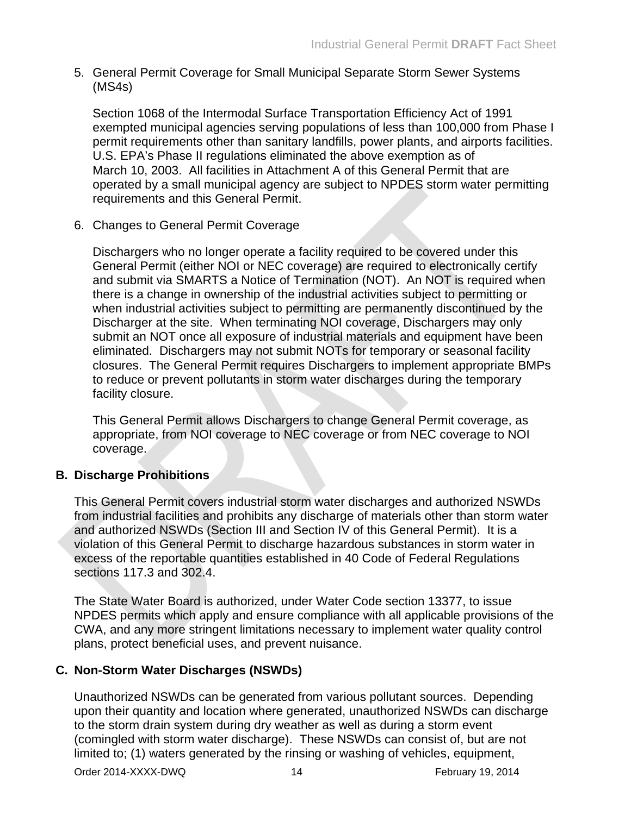5. General Permit Coverage for Small Municipal Separate Storm Sewer Systems (MS4s)

Section 1068 of the Intermodal Surface Transportation Efficiency Act of 1991 exempted municipal agencies serving populations of less than 100,000 from Phase I permit requirements other than sanitary landfills, power plants, and airports facilities. U.S. EPA's Phase II regulations eliminated the above exemption as of March 10, 2003. All facilities in Attachment A of this General Permit that are operated by a small municipal agency are subject to NPDES storm water permitting requirements and this General Permit.

6. Changes to General Permit Coverage

Dischargers who no longer operate a facility required to be covered under this General Permit (either NOI or NEC coverage) are required to electronically certify and submit via SMARTS a Notice of Termination (NOT). An NOT is required when there is a change in ownership of the industrial activities subject to permitting or when industrial activities subject to permitting are permanently discontinued by the Discharger at the site. When terminating NOI coverage, Dischargers may only submit an NOT once all exposure of industrial materials and equipment have been eliminated. Dischargers may not submit NOTs for temporary or seasonal facility closures. The General Permit requires Dischargers to implement appropriate BMPs to reduce or prevent pollutants in storm water discharges during the temporary facility closure.

This General Permit allows Dischargers to change General Permit coverage, as appropriate, from NOI coverage to NEC coverage or from NEC coverage to NOI coverage.

### <span id="page-15-0"></span>**B. Discharge Prohibitions**

This General Permit covers industrial storm water discharges and authorized NSWDs from industrial facilities and prohibits any discharge of materials other than storm water and authorized NSWDs (Section III and Section IV of this General Permit). It is a violation of this General Permit to discharge hazardous substances in storm water in excess of the reportable quantities established in 40 Code of Federal Regulations sections 117.3 and 302.4.

The State Water Board is authorized, under Water Code section 13377, to issue NPDES permits which apply and ensure compliance with all applicable provisions of the CWA, and any more stringent limitations necessary to implement water quality control plans, protect beneficial uses, and prevent nuisance.

### <span id="page-15-1"></span>**C. Non-Storm Water Discharges (NSWDs)**

Unauthorized NSWDs can be generated from various pollutant sources. Depending upon their quantity and location where generated, unauthorized NSWDs can discharge to the storm drain system during dry weather as well as during a storm event (comingled with storm water discharge). These NSWDs can consist of, but are not limited to; (1) waters generated by the rinsing or washing of vehicles, equipment,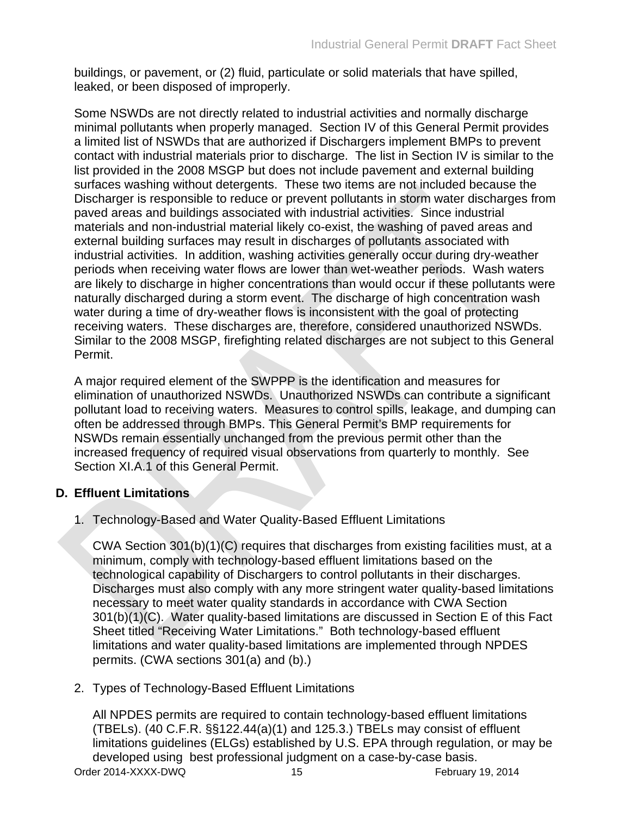buildings, or pavement, or (2) fluid, particulate or solid materials that have spilled, leaked, or been disposed of improperly.

Some NSWDs are not directly related to industrial activities and normally discharge minimal pollutants when properly managed. Section IV of this General Permit provides a limited list of NSWDs that are authorized if Dischargers implement BMPs to prevent contact with industrial materials prior to discharge. The list in Section IV is similar to the list provided in the 2008 MSGP but does not include pavement and external building surfaces washing without detergents. These two items are not included because the Discharger is responsible to reduce or prevent pollutants in storm water discharges from paved areas and buildings associated with industrial activities. Since industrial materials and non-industrial material likely co-exist, the washing of paved areas and external building surfaces may result in discharges of pollutants associated with industrial activities. In addition, washing activities generally occur during dry-weather periods when receiving water flows are lower than wet-weather periods. Wash waters are likely to discharge in higher concentrations than would occur if these pollutants were naturally discharged during a storm event. The discharge of high concentration wash water during a time of dry-weather flows is inconsistent with the goal of protecting receiving waters. These discharges are, therefore, considered unauthorized NSWDs. Similar to the 2008 MSGP, firefighting related discharges are not subject to this General Permit.

A major required element of the SWPPP is the identification and measures for elimination of unauthorized NSWDs. Unauthorized NSWDs can contribute a significant pollutant load to receiving waters. Measures to control spills, leakage, and dumping can often be addressed through BMPs. This General Permit's BMP requirements for NSWDs remain essentially unchanged from the previous permit other than the increased frequency of required visual observations from quarterly to monthly. See Section XI.A.1 of this General Permit.

# <span id="page-16-0"></span>**D. Effluent Limitations**

1. Technology-Based and Water Quality-Based Effluent Limitations

CWA Section 301(b)(1)(C) requires that discharges from existing facilities must, at a minimum, comply with technology-based effluent limitations based on the technological capability of Dischargers to control pollutants in their discharges. Discharges must also comply with any more stringent water quality-based limitations necessary to meet water quality standards in accordance with CWA Section 301(b)(1)(C). Water quality-based limitations are discussed in Section E of this Fact Sheet titled "Receiving Water Limitations." Both technology-based effluent limitations and water quality-based limitations are implemented through NPDES permits. (CWA sections 301(a) and (b).)

2. Types of Technology-Based Effluent Limitations

Order 2014-XXXX-DWQ 15 15 February 19, 2014 All NPDES permits are required to contain technology-based effluent limitations (TBELs). (40 C.F.R. §§122.44(a)(1) and 125.3.) TBELs may consist of effluent limitations guidelines (ELGs) established by U.S. EPA through regulation, or may be developed using best professional judgment on a case-by-case basis.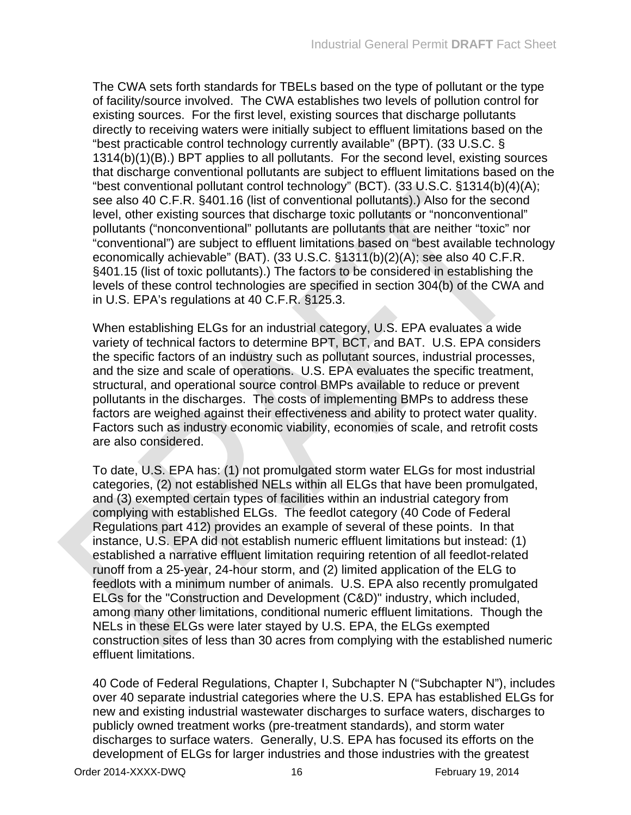The CWA sets forth standards for TBELs based on the type of pollutant or the type of facility/source involved. The CWA establishes two levels of pollution control for existing sources. For the first level, existing sources that discharge pollutants directly to receiving waters were initially subject to effluent limitations based on the "best practicable control technology currently available" (BPT). (33 U.S.C. § 1314(b)(1)(B).) BPT applies to all pollutants. For the second level, existing sources that discharge conventional pollutants are subject to effluent limitations based on the "best conventional pollutant control technology" (BCT). (33 U.S.C. §1314(b)(4)(A); see also 40 C.F.R. §401.16 (list of conventional pollutants).) Also for the second level, other existing sources that discharge toxic pollutants or "nonconventional" pollutants ("nonconventional" pollutants are pollutants that are neither "toxic" nor "conventional") are subject to effluent limitations based on "best available technology economically achievable" (BAT). (33 U.S.C. §1311(b)(2)(A); see also 40 C.F.R. §401.15 (list of toxic pollutants).) The factors to be considered in establishing the levels of these control technologies are specified in section 304(b) of the CWA and in U.S. EPA's regulations at 40 C.F.R. §125.3.

When establishing ELGs for an industrial category, U.S. EPA evaluates a wide variety of technical factors to determine BPT, BCT, and BAT. U.S. EPA considers the specific factors of an industry such as pollutant sources, industrial processes, and the size and scale of operations. U.S. EPA evaluates the specific treatment, structural, and operational source control BMPs available to reduce or prevent pollutants in the discharges. The costs of implementing BMPs to address these factors are weighed against their effectiveness and ability to protect water quality. Factors such as industry economic viability, economies of scale, and retrofit costs are also considered.

To date, U.S. EPA has: (1) not promulgated storm water ELGs for most industrial categories, (2) not established NELs within all ELGs that have been promulgated, and (3) exempted certain types of facilities within an industrial category from complying with established ELGs. The feedlot category (40 Code of Federal Regulations part 412) provides an example of several of these points. In that instance, U.S. EPA did not establish numeric effluent limitations but instead: (1) established a narrative effluent limitation requiring retention of all feedlot-related runoff from a 25-year, 24-hour storm, and (2) limited application of the ELG to feedlots with a minimum number of animals. U.S. EPA also recently promulgated ELGs for the "Construction and Development (C&D)" industry, which included, among many other limitations, conditional numeric effluent limitations. Though the NELs in these ELGs were later stayed by U.S. EPA, the ELGs exempted construction sites of less than 30 acres from complying with the established numeric effluent limitations.

40 Code of Federal Regulations, Chapter I, Subchapter N ("Subchapter N"), includes over 40 separate industrial categories where the U.S. EPA has established ELGs for new and existing industrial wastewater discharges to surface waters, discharges to publicly owned treatment works (pre-treatment standards), and storm water discharges to surface waters. Generally, U.S. EPA has focused its efforts on the development of ELGs for larger industries and those industries with the greatest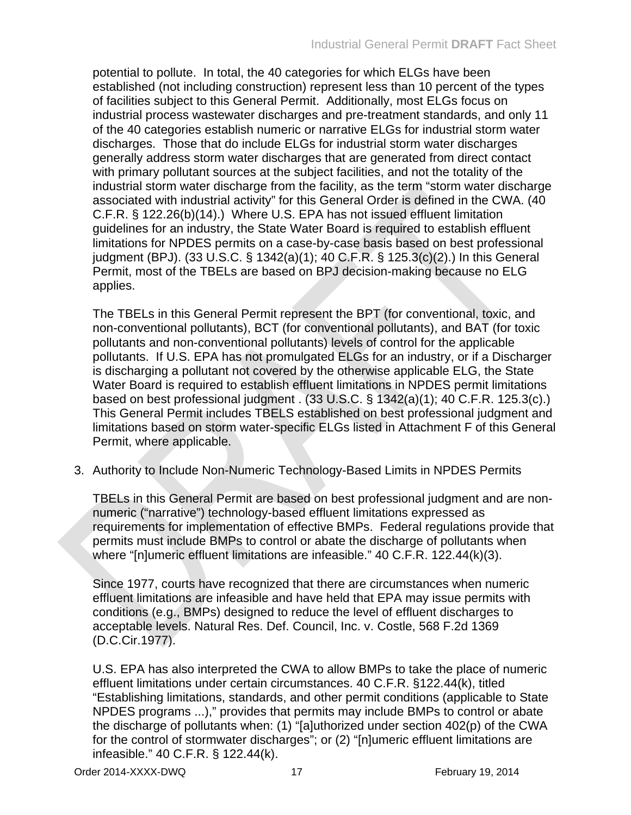potential to pollute. In total, the 40 categories for which ELGs have been established (not including construction) represent less than 10 percent of the types of facilities subject to this General Permit. Additionally, most ELGs focus on industrial process wastewater discharges and pre-treatment standards, and only 11 of the 40 categories establish numeric or narrative ELGs for industrial storm water discharges. Those that do include ELGs for industrial storm water discharges generally address storm water discharges that are generated from direct contact with primary pollutant sources at the subject facilities, and not the totality of the industrial storm water discharge from the facility, as the term "storm water discharge associated with industrial activity" for this General Order is defined in the CWA. (40 C.F.R. § 122.26(b)(14).) Where U.S. EPA has not issued effluent limitation guidelines for an industry, the State Water Board is required to establish effluent limitations for NPDES permits on a case-by-case basis based on best professional judgment (BPJ). (33 U.S.C. § 1342(a)(1); 40 C.F.R. § 125.3(c)(2).) In this General Permit, most of the TBELs are based on BPJ decision-making because no ELG applies.

The TBELs in this General Permit represent the BPT (for conventional, toxic, and non-conventional pollutants), BCT (for conventional pollutants), and BAT (for toxic pollutants and non-conventional pollutants) levels of control for the applicable pollutants. If U.S. EPA has not promulgated ELGs for an industry, or if a Discharger is discharging a pollutant not covered by the otherwise applicable ELG, the State Water Board is required to establish effluent limitations in NPDES permit limitations based on best professional judgment . (33 U.S.C. § 1342(a)(1); 40 C.F.R. 125.3(c).) This General Permit includes TBELS established on best professional judgment and limitations based on storm water-specific ELGs listed in Attachment F of this General Permit, where applicable.

3. Authority to Include Non-Numeric Technology-Based Limits in NPDES Permits

TBELs in this General Permit are based on best professional judgment and are nonnumeric ("narrative") technology-based effluent limitations expressed as requirements for implementation of effective BMPs. Federal regulations provide that permits must include BMPs to control or abate the discharge of pollutants when where "[n]umeric effluent limitations are infeasible." 40 C.F.R. 122.44(k)(3).

Since 1977, courts have recognized that there are circumstances when numeric effluent limitations are infeasible and have held that EPA may issue permits with conditions (e.g., BMPs) designed to reduce the level of effluent discharges to acceptable levels. Natural Res. Def. Council, Inc. v. Costle, 568 F.2d 1369 (D.C.Cir.1977).

U.S. EPA has also interpreted the CWA to allow BMPs to take the place of numeric effluent limitations under certain circumstances. 40 C.F.R. §122.44(k), titled "Establishing limitations, standards, and other permit conditions (applicable to State NPDES programs ...)," provides that permits may include BMPs to control or abate the discharge of pollutants when: (1) "[a]uthorized under section 402(p) of the CWA for the control of stormwater discharges"; or (2) "[n]umeric effluent limitations are infeasible." 40 C.F.R. § 122.44(k).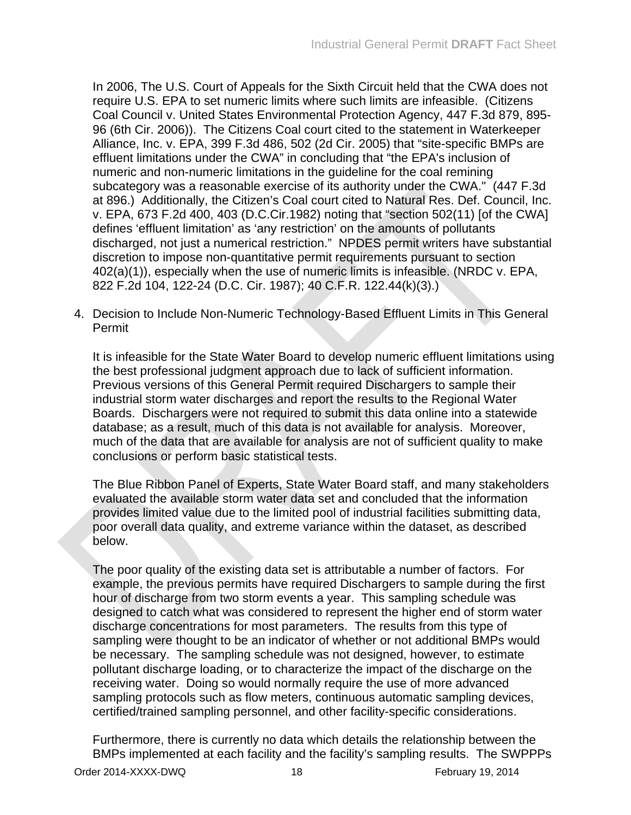In 2006, The U.S. Court of Appeals for the Sixth Circuit held that the CWA does not require U.S. EPA to set numeric limits where such limits are infeasible. (Citizens Coal Council v. United States Environmental Protection Agency, 447 F.3d 879, 895- 96 (6th Cir. 2006)). The Citizens Coal court cited to the statement in Waterkeeper Alliance, Inc. v. EPA, 399 F.3d 486, 502 (2d Cir. 2005) that "site-specific BMPs are effluent limitations under the CWA" in concluding that "the EPA's inclusion of numeric and non-numeric limitations in the guideline for the coal remining subcategory was a reasonable exercise of its authority under the CWA." (447 F.3d at 896.) Additionally, the Citizen's Coal court cited to Natural Res. Def. Council, Inc. v. EPA, 673 F.2d 400, 403 (D.C.Cir.1982) noting that "section 502(11) [of the CWA] defines 'effluent limitation' as 'any restriction' on the amounts of pollutants discharged, not just a numerical restriction." NPDES permit writers have substantial discretion to impose non-quantitative permit requirements pursuant to section 402(a)(1)), especially when the use of numeric limits is infeasible. (NRDC v. EPA, 822 F.2d 104, 122-24 (D.C. Cir. 1987); 40 C.F.R. 122.44(k)(3).)

4. Decision to Include Non-Numeric Technology-Based Effluent Limits in This General Permit

It is infeasible for the State Water Board to develop numeric effluent limitations using the best professional judgment approach due to lack of sufficient information. Previous versions of this General Permit required Dischargers to sample their industrial storm water discharges and report the results to the Regional Water Boards. Dischargers were not required to submit this data online into a statewide database; as a result, much of this data is not available for analysis. Moreover, much of the data that are available for analysis are not of sufficient quality to make conclusions or perform basic statistical tests.

The Blue Ribbon Panel of Experts, State Water Board staff, and many stakeholders evaluated the available storm water data set and concluded that the information provides limited value due to the limited pool of industrial facilities submitting data, poor overall data quality, and extreme variance within the dataset, as described below.

The poor quality of the existing data set is attributable a number of factors. For example, the previous permits have required Dischargers to sample during the first hour of discharge from two storm events a year. This sampling schedule was designed to catch what was considered to represent the higher end of storm water discharge concentrations for most parameters. The results from this type of sampling were thought to be an indicator of whether or not additional BMPs would be necessary. The sampling schedule was not designed, however, to estimate pollutant discharge loading, or to characterize the impact of the discharge on the receiving water. Doing so would normally require the use of more advanced sampling protocols such as flow meters, continuous automatic sampling devices, certified/trained sampling personnel, and other facility-specific considerations.

Furthermore, there is currently no data which details the relationship between the BMPs implemented at each facility and the facility's sampling results. The SWPPPs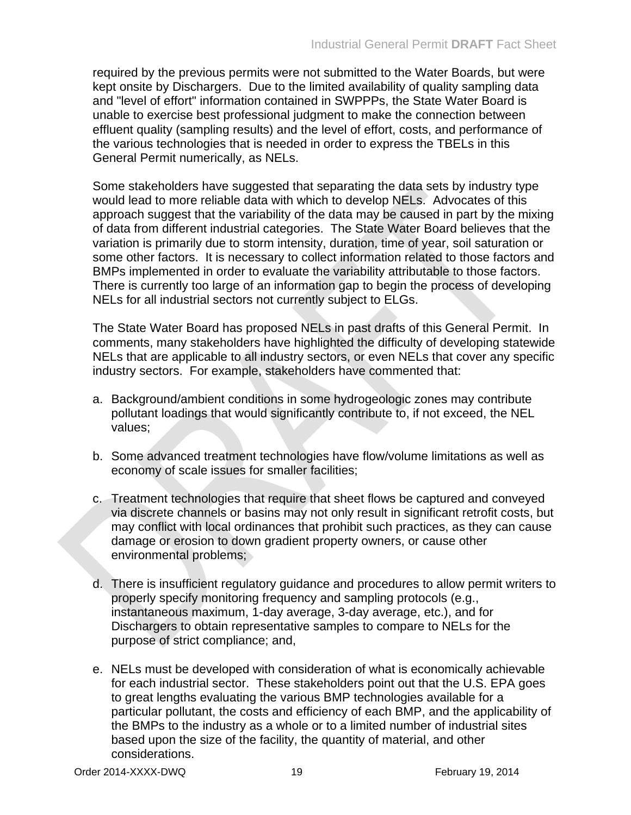required by the previous permits were not submitted to the Water Boards, but were kept onsite by Dischargers. Due to the limited availability of quality sampling data and "level of effort" information contained in SWPPPs, the State Water Board is unable to exercise best professional judgment to make the connection between effluent quality (sampling results) and the level of effort, costs, and performance of the various technologies that is needed in order to express the TBELs in this General Permit numerically, as NELs.

Some stakeholders have suggested that separating the data sets by industry type would lead to more reliable data with which to develop NELs. Advocates of this approach suggest that the variability of the data may be caused in part by the mixing of data from different industrial categories. The State Water Board believes that the variation is primarily due to storm intensity, duration, time of year, soil saturation or some other factors. It is necessary to collect information related to those factors and BMPs implemented in order to evaluate the variability attributable to those factors. There is currently too large of an information gap to begin the process of developing NELs for all industrial sectors not currently subject to ELGs.

The State Water Board has proposed NELs in past drafts of this General Permit. In comments, many stakeholders have highlighted the difficulty of developing statewide NELs that are applicable to all industry sectors, or even NELs that cover any specific industry sectors. For example, stakeholders have commented that:

- a. Background/ambient conditions in some hydrogeologic zones may contribute pollutant loadings that would significantly contribute to, if not exceed, the NEL values;
- b. Some advanced treatment technologies have flow/volume limitations as well as economy of scale issues for smaller facilities;
- c. Treatment technologies that require that sheet flows be captured and conveyed via discrete channels or basins may not only result in significant retrofit costs, but may conflict with local ordinances that prohibit such practices, as they can cause damage or erosion to down gradient property owners, or cause other environmental problems;
- d. There is insufficient regulatory guidance and procedures to allow permit writers to properly specify monitoring frequency and sampling protocols (e.g., instantaneous maximum, 1-day average, 3-day average, etc.), and for Dischargers to obtain representative samples to compare to NELs for the purpose of strict compliance; and,
- e. NELs must be developed with consideration of what is economically achievable for each industrial sector. These stakeholders point out that the U.S. EPA goes to great lengths evaluating the various BMP technologies available for a particular pollutant, the costs and efficiency of each BMP, and the applicability of the BMPs to the industry as a whole or to a limited number of industrial sites based upon the size of the facility, the quantity of material, and other considerations.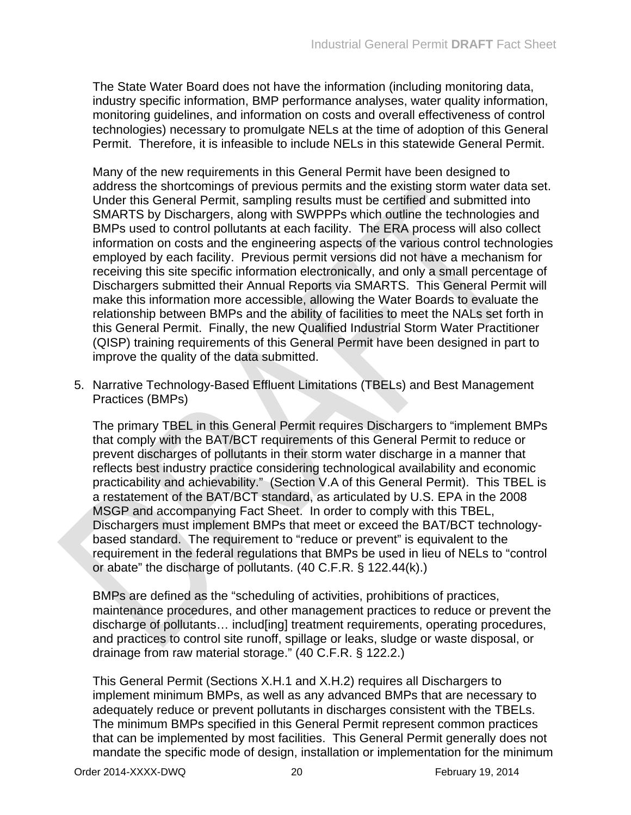The State Water Board does not have the information (including monitoring data, industry specific information, BMP performance analyses, water quality information, monitoring guidelines, and information on costs and overall effectiveness of control technologies) necessary to promulgate NELs at the time of adoption of this General Permit. Therefore, it is infeasible to include NELs in this statewide General Permit.

Many of the new requirements in this General Permit have been designed to address the shortcomings of previous permits and the existing storm water data set. Under this General Permit, sampling results must be certified and submitted into SMARTS by Dischargers, along with SWPPPs which outline the technologies and BMPs used to control pollutants at each facility. The ERA process will also collect information on costs and the engineering aspects of the various control technologies employed by each facility. Previous permit versions did not have a mechanism for receiving this site specific information electronically, and only a small percentage of Dischargers submitted their Annual Reports via SMARTS. This General Permit will make this information more accessible, allowing the Water Boards to evaluate the relationship between BMPs and the ability of facilities to meet the NALs set forth in this General Permit. Finally, the new Qualified Industrial Storm Water Practitioner (QISP) training requirements of this General Permit have been designed in part to improve the quality of the data submitted.

5. Narrative Technology-Based Effluent Limitations (TBELs) and Best Management Practices (BMPs)

The primary TBEL in this General Permit requires Dischargers to "implement BMPs that comply with the BAT/BCT requirements of this General Permit to reduce or prevent discharges of pollutants in their storm water discharge in a manner that reflects best industry practice considering technological availability and economic practicability and achievability." (Section V.A of this General Permit). This TBEL is a restatement of the BAT/BCT standard, as articulated by U.S. EPA in the 2008 MSGP and accompanying Fact Sheet. In order to comply with this TBEL, Dischargers must implement BMPs that meet or exceed the BAT/BCT technologybased standard. The requirement to "reduce or prevent" is equivalent to the requirement in the federal regulations that BMPs be used in lieu of NELs to "control or abate" the discharge of pollutants. (40 C.F.R. § 122.44(k).)

BMPs are defined as the "scheduling of activities, prohibitions of practices, maintenance procedures, and other management practices to reduce or prevent the discharge of pollutants… includ[ing] treatment requirements, operating procedures, and practices to control site runoff, spillage or leaks, sludge or waste disposal, or drainage from raw material storage." (40 C.F.R. § 122.2.)

This General Permit (Sections X.H.1 and X.H.2) requires all Dischargers to implement minimum BMPs, as well as any advanced BMPs that are necessary to adequately reduce or prevent pollutants in discharges consistent with the TBELs. The minimum BMPs specified in this General Permit represent common practices that can be implemented by most facilities. This General Permit generally does not mandate the specific mode of design, installation or implementation for the minimum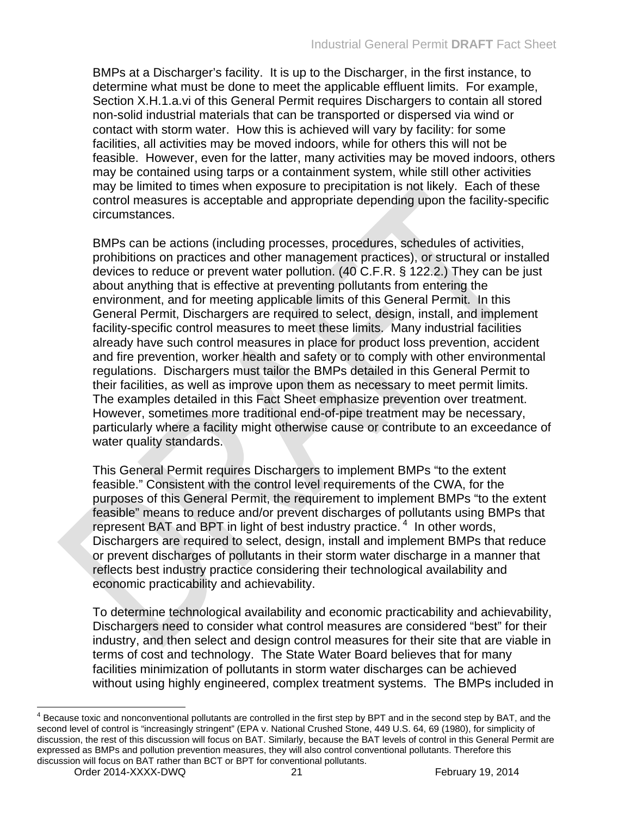BMPs at a Discharger's facility. It is up to the Discharger, in the first instance, to determine what must be done to meet the applicable effluent limits. For example, Section X.H.1.a.vi of this General Permit requires Dischargers to contain all stored non-solid industrial materials that can be transported or dispersed via wind or contact with storm water. How this is achieved will vary by facility: for some facilities, all activities may be moved indoors, while for others this will not be feasible. However, even for the latter, many activities may be moved indoors, others may be contained using tarps or a containment system, while still other activities may be limited to times when exposure to precipitation is not likely. Each of these control measures is acceptable and appropriate depending upon the facility-specific circumstances.

BMPs can be actions (including processes, procedures, schedules of activities, prohibitions on practices and other management practices), or structural or installed devices to reduce or prevent water pollution. (40 C.F.R. § 122.2.) They can be just about anything that is effective at preventing pollutants from entering the environment, and for meeting applicable limits of this General Permit. In this General Permit, Dischargers are required to select, design, install, and implement facility-specific control measures to meet these limits. Many industrial facilities already have such control measures in place for product loss prevention, accident and fire prevention, worker health and safety or to comply with other environmental regulations. Dischargers must tailor the BMPs detailed in this General Permit to their facilities, as well as improve upon them as necessary to meet permit limits. The examples detailed in this Fact Sheet emphasize prevention over treatment. However, sometimes more traditional end-of-pipe treatment may be necessary, particularly where a facility might otherwise cause or contribute to an exceedance of water quality standards.

This General Permit requires Dischargers to implement BMPs "to the extent feasible." Consistent with the control level requirements of the CWA, for the purposes of this General Permit, the requirement to implement BMPs "to the extent feasible" means to reduce and/or prevent discharges of pollutants using BMPs that represent BAT and BPT in light of best industry practice.<sup>4</sup> In other words, Dischargers are required to select, design, install and implement BMPs that reduce or prevent discharges of pollutants in their storm water discharge in a manner that reflects best industry practice considering their technological availability and economic practicability and achievability.

To determine technological availability and economic practicability and achievability, Dischargers need to consider what control measures are considered "best" for their industry, and then select and design control measures for their site that are viable in terms of cost and technology. The State Water Board believes that for many facilities minimization of pollutants in storm water discharges can be achieved without using highly engineered, complex treatment systems. The BMPs included in

 $4$  Because toxic and nonconventional pollutants are controlled in the first step by BPT and in the second step by BAT, and the second level of control is "increasingly stringent" (EPA v. National Crushed Stone, 449 U.S. 64, 69 (1980), for simplicity of discussion, the rest of this discussion will focus on BAT. Similarly, because the BAT levels of control in this General Permit are expressed as BMPs and pollution prevention measures, they will also control conventional pollutants. Therefore this discussion will focus on BAT rather than BCT or BPT for conventional pollutants.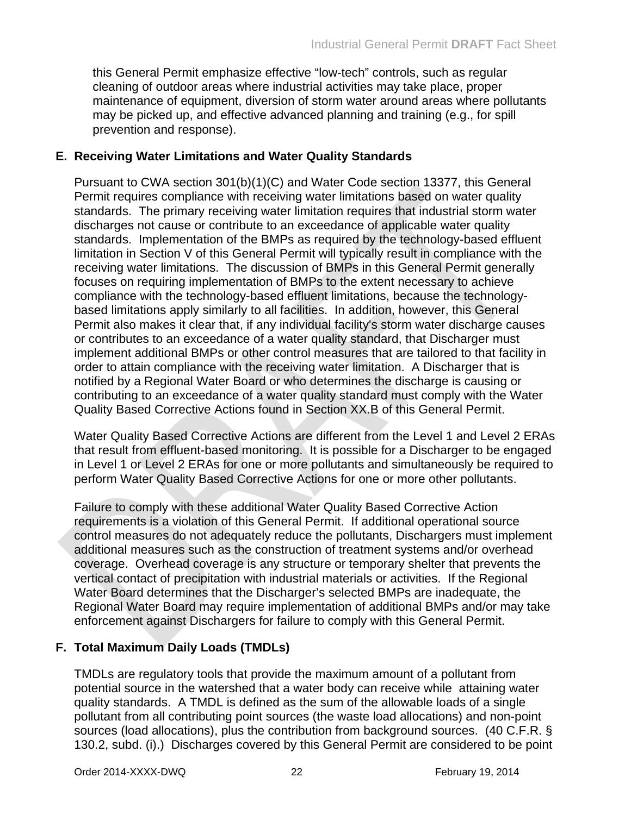this General Permit emphasize effective "low-tech" controls, such as regular cleaning of outdoor areas where industrial activities may take place, proper maintenance of equipment, diversion of storm water around areas where pollutants may be picked up, and effective advanced planning and training (e.g., for spill prevention and response).

### <span id="page-23-0"></span>**E. Receiving Water Limitations and Water Quality Standards**

Pursuant to CWA section 301(b)(1)(C) and Water Code section 13377, this General Permit requires compliance with receiving water limitations based on water quality standards. The primary receiving water limitation requires that industrial storm water discharges not cause or contribute to an exceedance of applicable water quality standards. Implementation of the BMPs as required by the technology-based effluent limitation in Section V of this General Permit will typically result in compliance with the receiving water limitations. The discussion of BMPs in this General Permit generally focuses on requiring implementation of BMPs to the extent necessary to achieve compliance with the technology-based effluent limitations, because the technologybased limitations apply similarly to all facilities. In addition, however, this General Permit also makes it clear that, if any individual facility's storm water discharge causes or contributes to an exceedance of a water quality standard, that Discharger must implement additional BMPs or other control measures that are tailored to that facility in order to attain compliance with the receiving water limitation. A Discharger that is notified by a Regional Water Board or who determines the discharge is causing or contributing to an exceedance of a water quality standard must comply with the Water Quality Based Corrective Actions found in Section XX.B of this General Permit.

Water Quality Based Corrective Actions are different from the Level 1 and Level 2 ERAs that result from effluent-based monitoring. It is possible for a Discharger to be engaged in Level 1 or Level 2 ERAs for one or more pollutants and simultaneously be required to perform Water Quality Based Corrective Actions for one or more other pollutants.

Failure to comply with these additional Water Quality Based Corrective Action requirements is a violation of this General Permit. If additional operational source control measures do not adequately reduce the pollutants, Dischargers must implement additional measures such as the construction of treatment systems and/or overhead coverage. Overhead coverage is any structure or temporary shelter that prevents the vertical contact of precipitation with industrial materials or activities. If the Regional Water Board determines that the Discharger's selected BMPs are inadequate, the Regional Water Board may require implementation of additional BMPs and/or may take enforcement against Dischargers for failure to comply with this General Permit.

# <span id="page-23-1"></span>**F. Total Maximum Daily Loads (TMDLs)**

TMDLs are regulatory tools that provide the maximum amount of a pollutant from potential source in the watershed that a water body can receive while attaining water quality standards. A TMDL is defined as the sum of the allowable loads of a single pollutant from all contributing point sources (the waste load allocations) and non-point sources (load allocations), plus the contribution from background sources. (40 C.F.R. § 130.2, subd. (i).) Discharges covered by this General Permit are considered to be point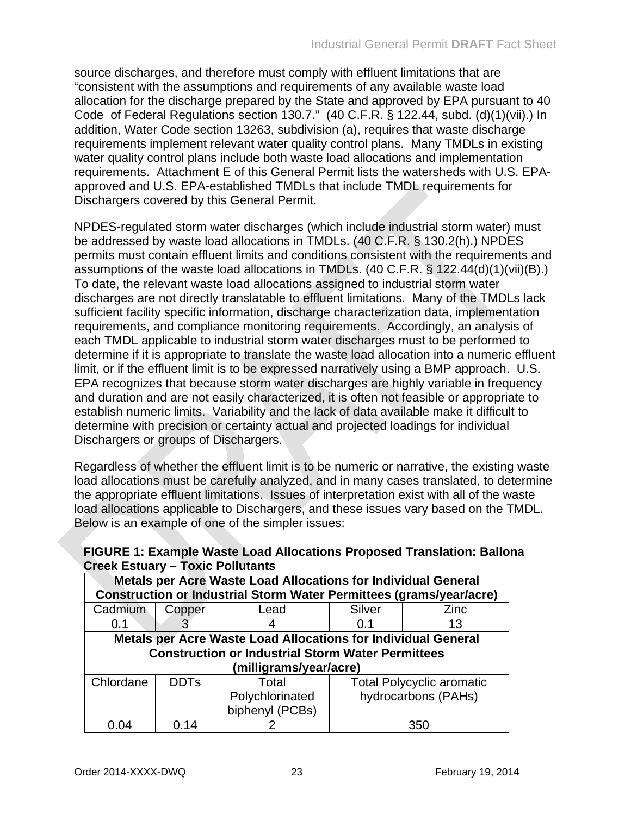source discharges, and therefore must comply with effluent limitations that are "consistent with the assumptions and requirements of any available waste load allocation for the discharge prepared by the State and approved by EPA pursuant to 40 Code of Federal Regulations section 130.7." (40 C.F.R. § 122.44, subd. (d)(1)(vii).) In addition, Water Code section 13263, subdivision (a), requires that waste discharge requirements implement relevant water quality control plans. Many TMDLs in existing water quality control plans include both waste load allocations and implementation requirements. Attachment E of this General Permit lists the watersheds with U.S. EPAapproved and U.S. EPA-established TMDLs that include TMDL requirements for Dischargers covered by this General Permit.

NPDES-regulated storm water discharges (which include industrial storm water) must be addressed by waste load allocations in TMDLs. (40 C.F.R. § 130.2(h).) NPDES permits must contain effluent limits and conditions consistent with the requirements and assumptions of the waste load allocations in TMDLs. (40 C.F.R. § 122.44(d)(1)(vii)(B).) To date, the relevant waste load allocations assigned to industrial storm water discharges are not directly translatable to effluent limitations. Many of the TMDLs lack sufficient facility specific information, discharge characterization data, implementation requirements, and compliance monitoring requirements. Accordingly, an analysis of each TMDL applicable to industrial storm water discharges must to be performed to determine if it is appropriate to translate the waste load allocation into a numeric effluent limit, or if the effluent limit is to be expressed narratively using a BMP approach. U.S. EPA recognizes that because storm water discharges are highly variable in frequency and duration and are not easily characterized, it is often not feasible or appropriate to establish numeric limits. Variability and the lack of data available make it difficult to determine with precision or certainty actual and projected loadings for individual Dischargers or groups of Dischargers.

Regardless of whether the effluent limit is to be numeric or narrative, the existing waste load allocations must be carefully analyzed, and in many cases translated, to determine the appropriate effluent limitations. Issues of interpretation exist with all of the waste load allocations applicable to Dischargers, and these issues vary based on the TMDL. Below is an example of one of the simpler issues:

| Metals per Acre Waste Load Allocations for Individual General              |        |                 |                                  |                     |  |  |  |  |  |
|----------------------------------------------------------------------------|--------|-----------------|----------------------------------|---------------------|--|--|--|--|--|
| <b>Construction or Industrial Storm Water Permittees (grams/year/acre)</b> |        |                 |                                  |                     |  |  |  |  |  |
| Cadmium                                                                    | Copper | Lead            | Silver                           | Zinc                |  |  |  |  |  |
| 0.1                                                                        |        |                 | 0.1                              | 13                  |  |  |  |  |  |
| <b>Metals per Acre Waste Load Allocations for Individual General</b>       |        |                 |                                  |                     |  |  |  |  |  |
| <b>Construction or Industrial Storm Water Permittees</b>                   |        |                 |                                  |                     |  |  |  |  |  |
| (milligrams/year/acre)                                                     |        |                 |                                  |                     |  |  |  |  |  |
| Chlordane<br><b>DDTs</b><br>Total                                          |        |                 | <b>Total Polycyclic aromatic</b> |                     |  |  |  |  |  |
|                                                                            |        | Polychlorinated |                                  | hydrocarbons (PAHs) |  |  |  |  |  |
|                                                                            |        | biphenyl (PCBs) |                                  |                     |  |  |  |  |  |
| 0.14<br>0.04                                                               |        |                 |                                  | 350                 |  |  |  |  |  |

<span id="page-24-0"></span>**FIGURE 1: Example Waste Load Allocations Proposed Translation: Ballona Creek Estuary – Toxic Pollutants**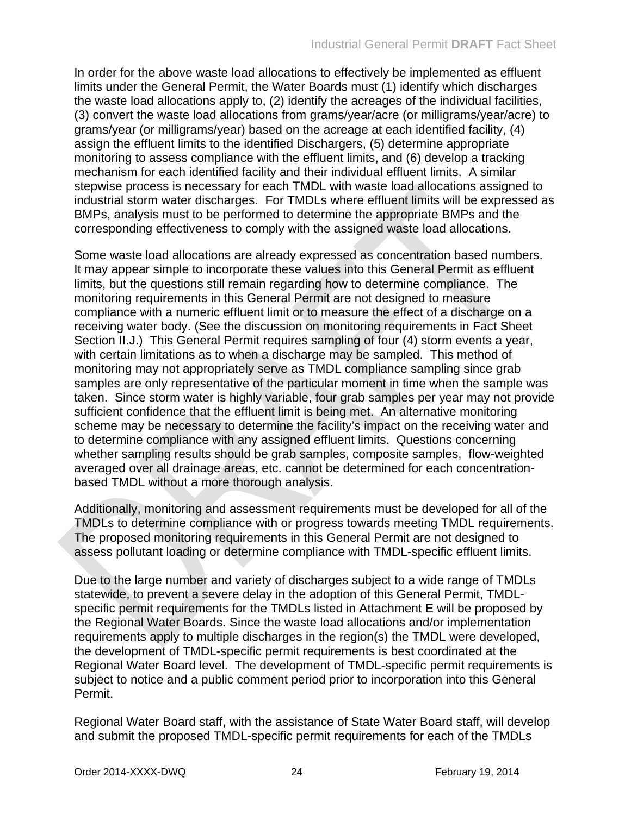In order for the above waste load allocations to effectively be implemented as effluent limits under the General Permit, the Water Boards must (1) identify which discharges the waste load allocations apply to, (2) identify the acreages of the individual facilities, (3) convert the waste load allocations from grams/year/acre (or milligrams/year/acre) to grams/year (or milligrams/year) based on the acreage at each identified facility, (4) assign the effluent limits to the identified Dischargers, (5) determine appropriate monitoring to assess compliance with the effluent limits, and (6) develop a tracking mechanism for each identified facility and their individual effluent limits. A similar stepwise process is necessary for each TMDL with waste load allocations assigned to industrial storm water discharges. For TMDLs where effluent limits will be expressed as BMPs, analysis must to be performed to determine the appropriate BMPs and the corresponding effectiveness to comply with the assigned waste load allocations.

Some waste load allocations are already expressed as concentration based numbers. It may appear simple to incorporate these values into this General Permit as effluent limits, but the questions still remain regarding how to determine compliance. The monitoring requirements in this General Permit are not designed to measure compliance with a numeric effluent limit or to measure the effect of a discharge on a receiving water body. (See the discussion on monitoring requirements in Fact Sheet Section II.J.) This General Permit requires sampling of four (4) storm events a year, with certain limitations as to when a discharge may be sampled. This method of monitoring may not appropriately serve as TMDL compliance sampling since grab samples are only representative of the particular moment in time when the sample was taken. Since storm water is highly variable, four grab samples per year may not provide sufficient confidence that the effluent limit is being met. An alternative monitoring scheme may be necessary to determine the facility's impact on the receiving water and to determine compliance with any assigned effluent limits. Questions concerning whether sampling results should be grab samples, composite samples, flow-weighted averaged over all drainage areas, etc. cannot be determined for each concentrationbased TMDL without a more thorough analysis.

Additionally, monitoring and assessment requirements must be developed for all of the TMDLs to determine compliance with or progress towards meeting TMDL requirements. The proposed monitoring requirements in this General Permit are not designed to assess pollutant loading or determine compliance with TMDL-specific effluent limits.

Due to the large number and variety of discharges subject to a wide range of TMDLs statewide, to prevent a severe delay in the adoption of this General Permit, TMDLspecific permit requirements for the TMDLs listed in Attachment E will be proposed by the Regional Water Boards. Since the waste load allocations and/or implementation requirements apply to multiple discharges in the region(s) the TMDL were developed, the development of TMDL-specific permit requirements is best coordinated at the Regional Water Board level. The development of TMDL-specific permit requirements is subject to notice and a public comment period prior to incorporation into this General Permit.

Regional Water Board staff, with the assistance of State Water Board staff, will develop and submit the proposed TMDL-specific permit requirements for each of the TMDLs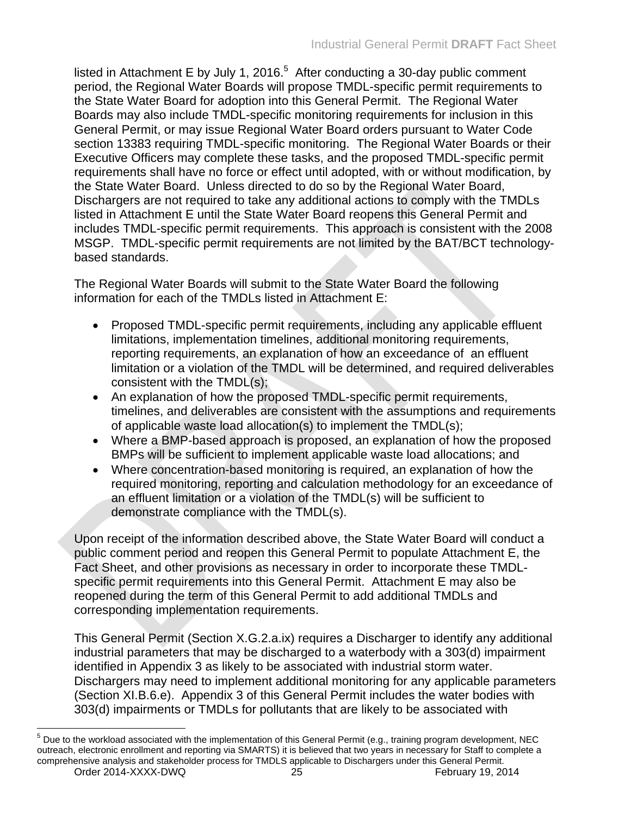listed in Attachment E by July 1, 2016. $5$  After conducting a 30-day public comment period, the Regional Water Boards will propose TMDL-specific permit requirements to the State Water Board for adoption into this General Permit. The Regional Water Boards may also include TMDL-specific monitoring requirements for inclusion in this General Permit, or may issue Regional Water Board orders pursuant to Water Code section 13383 requiring TMDL-specific monitoring. The Regional Water Boards or their Executive Officers may complete these tasks, and the proposed TMDL-specific permit requirements shall have no force or effect until adopted, with or without modification, by the State Water Board. Unless directed to do so by the Regional Water Board, Dischargers are not required to take any additional actions to comply with the TMDLs listed in Attachment E until the State Water Board reopens this General Permit and includes TMDL-specific permit requirements. This approach is consistent with the 2008 MSGP. TMDL-specific permit requirements are not limited by the BAT/BCT technologybased standards.

The Regional Water Boards will submit to the State Water Board the following information for each of the TMDLs listed in Attachment E:

- Proposed TMDL-specific permit requirements, including any applicable effluent limitations, implementation timelines, additional monitoring requirements, reporting requirements, an explanation of how an exceedance of an effluent limitation or a violation of the TMDL will be determined, and required deliverables consistent with the TMDL(s);
- An explanation of how the proposed TMDL-specific permit requirements, timelines, and deliverables are consistent with the assumptions and requirements of applicable waste load allocation(s) to implement the TMDL(s);
- Where a BMP-based approach is proposed, an explanation of how the proposed BMPs will be sufficient to implement applicable waste load allocations; and
- Where concentration-based monitoring is required, an explanation of how the required monitoring, reporting and calculation methodology for an exceedance of an effluent limitation or a violation of the TMDL(s) will be sufficient to demonstrate compliance with the TMDL(s).

Upon receipt of the information described above, the State Water Board will conduct a public comment period and reopen this General Permit to populate Attachment E, the Fact Sheet, and other provisions as necessary in order to incorporate these TMDLspecific permit requirements into this General Permit. Attachment E may also be reopened during the term of this General Permit to add additional TMDLs and corresponding implementation requirements.

This General Permit (Section X.G.2.a.ix) requires a Discharger to identify any additional industrial parameters that may be discharged to a waterbody with a 303(d) impairment identified in Appendix 3 as likely to be associated with industrial storm water. Dischargers may need to implement additional monitoring for any applicable parameters (Section XI.B.6.e). Appendix 3 of this General Permit includes the water bodies with 303(d) impairments or TMDLs for pollutants that are likely to be associated with

 $<sup>5</sup>$  Due to the workload associated with the implementation of this General Permit (e.g., training program development, NEC</sup> outreach, electronic enrollment and reporting via SMARTS) it is believed that two years in necessary for Staff to complete a comprehensive analysis and stakeholder process for TMDLS applicable to Dischargers under this General Permit.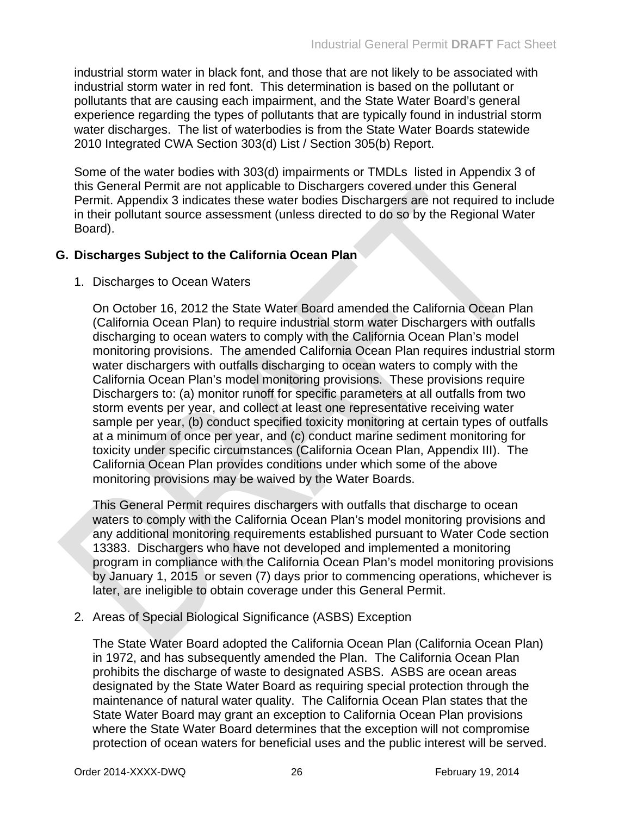industrial storm water in black font, and those that are not likely to be associated with industrial storm water in red font. This determination is based on the pollutant or pollutants that are causing each impairment, and the State Water Board's general experience regarding the types of pollutants that are typically found in industrial storm water discharges. The list of waterbodies is from the State Water Boards statewide 2010 Integrated CWA Section 303(d) List / Section 305(b) Report.

Some of the water bodies with 303(d) impairments or TMDLs listed in Appendix 3 of this General Permit are not applicable to Dischargers covered under this General Permit. Appendix 3 indicates these water bodies Dischargers are not required to include in their pollutant source assessment (unless directed to do so by the Regional Water Board).

#### <span id="page-27-0"></span>**G. Discharges Subject to the California Ocean Plan**

#### 1. Discharges to Ocean Waters

On October 16, 2012 the State Water Board amended the California Ocean Plan (California Ocean Plan) to require industrial storm water Dischargers with outfalls discharging to ocean waters to comply with the California Ocean Plan's model monitoring provisions. The amended California Ocean Plan requires industrial storm water dischargers with outfalls discharging to ocean waters to comply with the California Ocean Plan's model monitoring provisions. These provisions require Dischargers to: (a) monitor runoff for specific parameters at all outfalls from two storm events per year, and collect at least one representative receiving water sample per year, (b) conduct specified toxicity monitoring at certain types of outfalls at a minimum of once per year, and (c) conduct marine sediment monitoring for toxicity under specific circumstances (California Ocean Plan, Appendix III). The California Ocean Plan provides conditions under which some of the above monitoring provisions may be waived by the Water Boards.

This General Permit requires dischargers with outfalls that discharge to ocean waters to comply with the California Ocean Plan's model monitoring provisions and any additional monitoring requirements established pursuant to Water Code section 13383. Dischargers who have not developed and implemented a monitoring program in compliance with the California Ocean Plan's model monitoring provisions by January 1, 2015 or seven (7) days prior to commencing operations, whichever is later, are ineligible to obtain coverage under this General Permit.

2. Areas of Special Biological Significance (ASBS) Exception

The State Water Board adopted the California Ocean Plan (California Ocean Plan) in 1972, and has subsequently amended the Plan. The California Ocean Plan prohibits the discharge of waste to designated ASBS. ASBS are ocean areas designated by the State Water Board as requiring special protection through the maintenance of natural water quality. The California Ocean Plan states that the State Water Board may grant an exception to California Ocean Plan provisions where the State Water Board determines that the exception will not compromise protection of ocean waters for beneficial uses and the public interest will be served.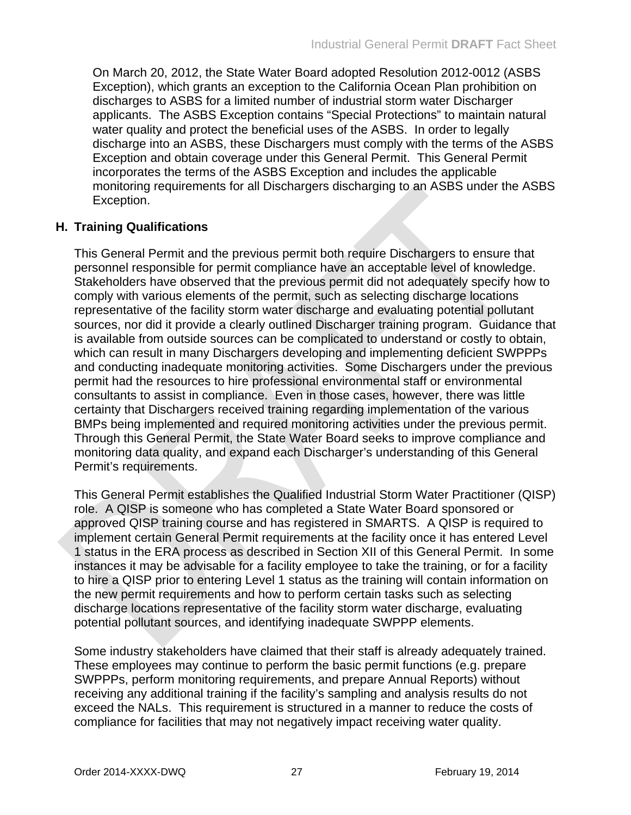On March 20, 2012, the State Water Board adopted Resolution 2012-0012 (ASBS Exception), which grants an exception to the California Ocean Plan prohibition on discharges to ASBS for a limited number of industrial storm water Discharger applicants. The ASBS Exception contains "Special Protections" to maintain natural water quality and protect the beneficial uses of the ASBS. In order to legally discharge into an ASBS, these Dischargers must comply with the terms of the ASBS Exception and obtain coverage under this General Permit. This General Permit incorporates the terms of the ASBS Exception and includes the applicable monitoring requirements for all Dischargers discharging to an ASBS under the ASBS Exception.

#### <span id="page-28-0"></span>**H. Training Qualifications**

This General Permit and the previous permit both require Dischargers to ensure that personnel responsible for permit compliance have an acceptable level of knowledge. Stakeholders have observed that the previous permit did not adequately specify how to comply with various elements of the permit, such as selecting discharge locations representative of the facility storm water discharge and evaluating potential pollutant sources, nor did it provide a clearly outlined Discharger training program. Guidance that is available from outside sources can be complicated to understand or costly to obtain, which can result in many Dischargers developing and implementing deficient SWPPPs and conducting inadequate monitoring activities. Some Dischargers under the previous permit had the resources to hire professional environmental staff or environmental consultants to assist in compliance. Even in those cases, however, there was little certainty that Dischargers received training regarding implementation of the various BMPs being implemented and required monitoring activities under the previous permit. Through this General Permit, the State Water Board seeks to improve compliance and monitoring data quality, and expand each Discharger's understanding of this General Permit's requirements.

This General Permit establishes the Qualified Industrial Storm Water Practitioner (QISP) role. A QISP is someone who has completed a State Water Board sponsored or approved QISP training course and has registered in SMARTS. A QISP is required to implement certain General Permit requirements at the facility once it has entered Level 1 status in the ERA process as described in Section XII of this General Permit. In some instances it may be advisable for a facility employee to take the training, or for a facility to hire a QISP prior to entering Level 1 status as the training will contain information on the new permit requirements and how to perform certain tasks such as selecting discharge locations representative of the facility storm water discharge, evaluating potential pollutant sources, and identifying inadequate SWPPP elements.

Some industry stakeholders have claimed that their staff is already adequately trained. These employees may continue to perform the basic permit functions (e.g. prepare SWPPPs, perform monitoring requirements, and prepare Annual Reports) without receiving any additional training if the facility's sampling and analysis results do not exceed the NALs. This requirement is structured in a manner to reduce the costs of compliance for facilities that may not negatively impact receiving water quality.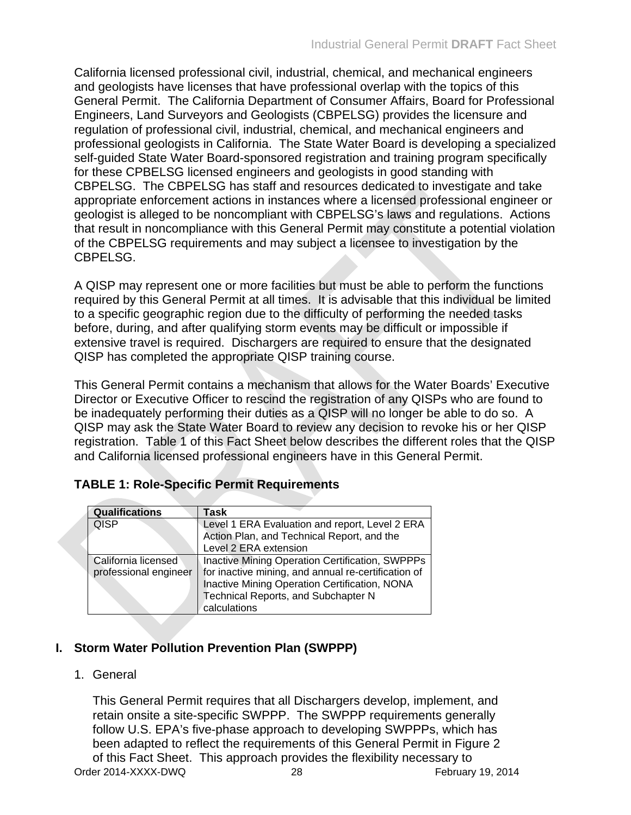California licensed professional civil, industrial, chemical, and mechanical engineers and geologists have licenses that have professional overlap with the topics of this General Permit. The California Department of Consumer Affairs, Board for Professional Engineers, Land Surveyors and Geologists (CBPELSG) provides the licensure and regulation of professional civil, industrial, chemical, and mechanical engineers and professional geologists in California. The State Water Board is developing a specialized self-guided State Water Board-sponsored registration and training program specifically for these CPBELSG licensed engineers and geologists in good standing with CBPELSG. The CBPELSG has staff and resources dedicated to investigate and take appropriate enforcement actions in instances where a licensed professional engineer or geologist is alleged to be noncompliant with CBPELSG's laws and regulations. Actions that result in noncompliance with this General Permit may constitute a potential violation of the CBPELSG requirements and may subject a licensee to investigation by the CBPELSG.

A QISP may represent one or more facilities but must be able to perform the functions required by this General Permit at all times. It is advisable that this individual be limited to a specific geographic region due to the difficulty of performing the needed tasks before, during, and after qualifying storm events may be difficult or impossible if extensive travel is required. Dischargers are required to ensure that the designated QISP has completed the appropriate QISP training course.

This General Permit contains a mechanism that allows for the Water Boards' Executive Director or Executive Officer to rescind the registration of any QISPs who are found to be inadequately performing their duties as a QISP will no longer be able to do so. A QISP may ask the State Water Board to review any decision to revoke his or her QISP registration. Table 1 of this Fact Sheet below describes the different roles that the QISP and California licensed professional engineers have in this General Permit.

| <b>Qualifications</b> | Task                                                |  |  |
|-----------------------|-----------------------------------------------------|--|--|
| <b>QISP</b>           | Level 1 ERA Evaluation and report, Level 2 ERA      |  |  |
|                       | Action Plan, and Technical Report, and the          |  |  |
|                       | Level 2 ERA extension                               |  |  |
| California licensed   | Inactive Mining Operation Certification, SWPPPs     |  |  |
| professional engineer | for inactive mining, and annual re-certification of |  |  |
|                       | Inactive Mining Operation Certification, NONA       |  |  |
|                       | Technical Reports, and Subchapter N                 |  |  |
|                       | calculations                                        |  |  |

# <span id="page-29-1"></span>**TABLE 1: Role-Specific Permit Requirements**

# <span id="page-29-0"></span>**I. Storm Water Pollution Prevention Plan (SWPPP)**

# 1. General

Order 2014-XXXX-DWQ 28 2014 February 19, 2014 This General Permit requires that all Dischargers develop, implement, and retain onsite a site-specific SWPPP. The SWPPP requirements generally follow U.S. EPA's five-phase approach to developing SWPPPs, which has been adapted to reflect the requirements of this General Permit in Figure 2 of this Fact Sheet. This approach provides the flexibility necessary to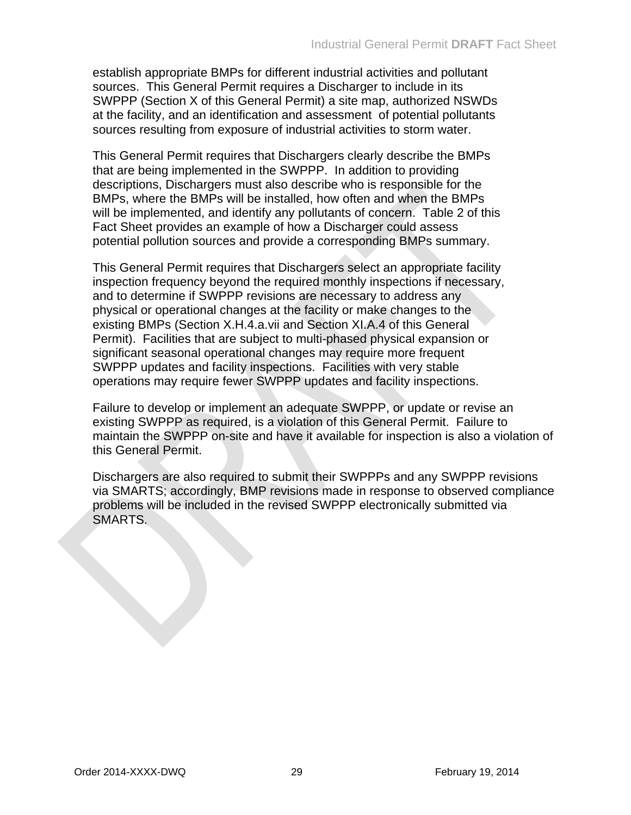establish appropriate BMPs for different industrial activities and pollutant sources. This General Permit requires a Discharger to include in its SWPPP (Section X of this General Permit) a site map, authorized NSWDs at the facility, and an identification and assessment of potential pollutants sources resulting from exposure of industrial activities to storm water.

This General Permit requires that Dischargers clearly describe the BMPs that are being implemented in the SWPPP. In addition to providing descriptions, Dischargers must also describe who is responsible for the BMPs, where the BMPs will be installed, how often and when the BMPs will be implemented, and identify any pollutants of concern. Table 2 of this Fact Sheet provides an example of how a Discharger could assess potential pollution sources and provide a corresponding BMPs summary.

This General Permit requires that Dischargers select an appropriate facility inspection frequency beyond the required monthly inspections if necessary, and to determine if SWPPP revisions are necessary to address any physical or operational changes at the facility or make changes to the existing BMPs (Section X.H.4.a.vii and Section XI.A.4 of this General Permit). Facilities that are subject to multi-phased physical expansion or significant seasonal operational changes may require more frequent SWPPP updates and facility inspections. Facilities with very stable operations may require fewer SWPPP updates and facility inspections.

Failure to develop or implement an adequate SWPPP, or update or revise an existing SWPPP as required, is a violation of this General Permit. Failure to maintain the SWPPP on-site and have it available for inspection is also a violation of this General Permit.

Dischargers are also required to submit their SWPPPs and any SWPPP revisions via SMARTS; accordingly, BMP revisions made in response to observed compliance problems will be included in the revised SWPPP electronically submitted via SMARTS.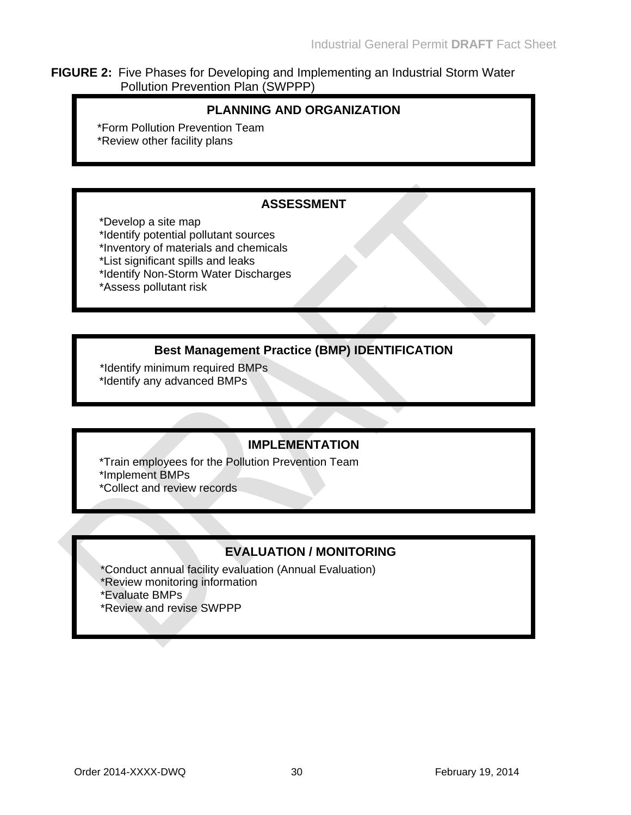#### <span id="page-31-0"></span>**FIGURE 2:** Five Phases for Developing and Implementing an Industrial Storm Water Pollution Prevention Plan (SWPPP)

### **PLANNING AND ORGANIZATION**

\*Form Pollution Prevention Team \*Review other facility plans

### **ASSESSMENT**

\*Develop a site map

- \*Identify potential pollutant sources
- \*Inventory of materials and chemicals
- \*List significant spills and leaks
- \*Identify Non-Storm Water Discharges
- \*Assess pollutant risk

# **Best Management Practice (BMP) IDENTIFICATION**

 \*Identify minimum required BMPs \*Identify any advanced BMPs

# **IMPLEMENTATION**

 \*Train employees for the Pollution Prevention Team \*Implement BMPs \*Collect and review records

# **EVALUATION / MONITORING**

- \*Conduct annual facility evaluation (Annual Evaluation)
- \*Review monitoring information
- \*Evaluate BMPs
- \*Review and revise SWPPP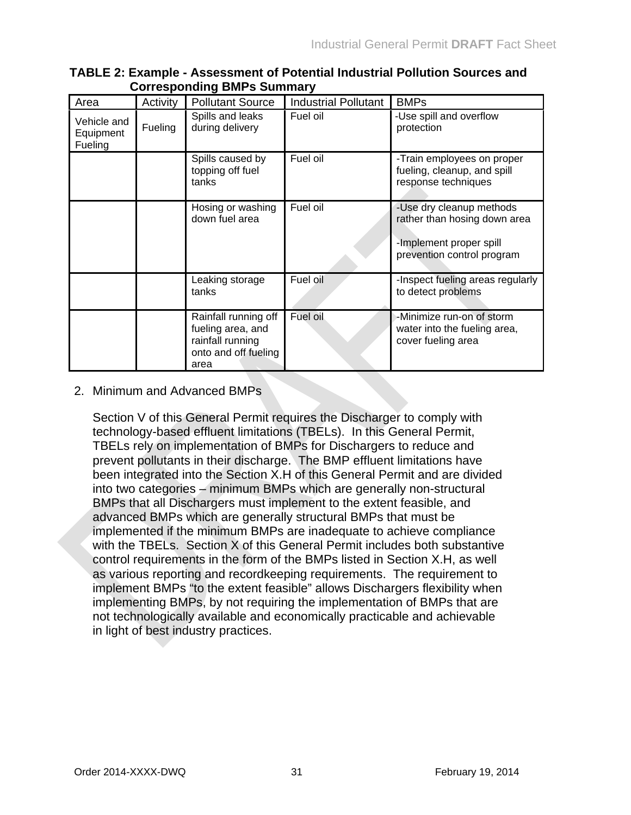| Area                                | Activity | <b>Pollutant Source</b>                                                                       | <b>Industrial Pollutant</b> | <b>BMPs</b>                                                                                                       |
|-------------------------------------|----------|-----------------------------------------------------------------------------------------------|-----------------------------|-------------------------------------------------------------------------------------------------------------------|
| Vehicle and<br>Equipment<br>Fueling | Fueling  | Spills and leaks<br>during delivery                                                           | Fuel oil                    | -Use spill and overflow<br>protection                                                                             |
|                                     |          | Spills caused by<br>topping off fuel<br>tanks                                                 | Fuel oil                    | -Train employees on proper<br>fueling, cleanup, and spill<br>response techniques                                  |
|                                     |          | Hosing or washing<br>down fuel area                                                           | Fuel oil                    | -Use dry cleanup methods<br>rather than hosing down area<br>-Implement proper spill<br>prevention control program |
|                                     |          | Leaking storage<br>tanks                                                                      | Fuel oil                    | -Inspect fueling areas regularly<br>to detect problems                                                            |
|                                     |          | Rainfall running off<br>fueling area, and<br>rainfall running<br>onto and off fueling<br>area | Fuel oil                    | -Minimize run-on of storm<br>water into the fueling area,<br>cover fueling area                                   |

#### <span id="page-32-0"></span>**TABLE 2: Example - Assessment of Potential Industrial Pollution Sources and Corresponding BMPs Summary**

#### 2. Minimum and Advanced BMPs

Section V of this General Permit requires the Discharger to comply with technology-based effluent limitations (TBELs). In this General Permit, TBELs rely on implementation of BMPs for Dischargers to reduce and prevent pollutants in their discharge. The BMP effluent limitations have been integrated into the Section X.H of this General Permit and are divided into two categories – minimum BMPs which are generally non-structural BMPs that all Dischargers must implement to the extent feasible, and advanced BMPs which are generally structural BMPs that must be implemented if the minimum BMPs are inadequate to achieve compliance with the TBELs. Section X of this General Permit includes both substantive control requirements in the form of the BMPs listed in Section X.H, as well as various reporting and recordkeeping requirements. The requirement to implement BMPs "to the extent feasible" allows Dischargers flexibility when implementing BMPs, by not requiring the implementation of BMPs that are not technologically available and economically practicable and achievable in light of best industry practices.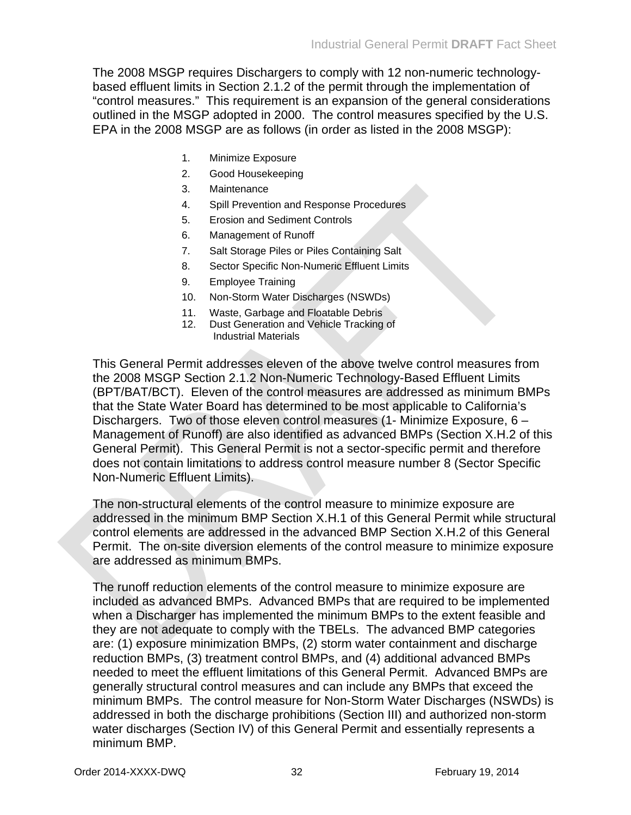The 2008 MSGP requires Dischargers to comply with 12 non-numeric technologybased effluent limits in Section 2.1.2 of the permit through the implementation of "control measures." This requirement is an expansion of the general considerations outlined in the MSGP adopted in 2000. The control measures specified by the U.S. EPA in the 2008 MSGP are as follows (in order as listed in the 2008 MSGP):

- 1. Minimize Exposure
- 2. Good Housekeeping
- 3. Maintenance
- 4. Spill Prevention and Response Procedures
- 5. Erosion and Sediment Controls
- 6. Management of Runoff
- 7. Salt Storage Piles or Piles Containing Salt
- 8. Sector Specific Non-Numeric Effluent Limits
- 9. Employee Training
- 10. Non-Storm Water Discharges (NSWDs)
- 11. Waste, Garbage and Floatable Debris
- 12. Dust Generation and Vehicle Tracking of Industrial Materials

This General Permit addresses eleven of the above twelve control measures from the 2008 MSGP Section 2.1.2 Non-Numeric Technology-Based Effluent Limits (BPT/BAT/BCT). Eleven of the control measures are addressed as minimum BMPs that the State Water Board has determined to be most applicable to California's Dischargers. Two of those eleven control measures (1- Minimize Exposure, 6 – Management of Runoff) are also identified as advanced BMPs (Section X.H.2 of this General Permit). This General Permit is not a sector-specific permit and therefore does not contain limitations to address control measure number 8 (Sector Specific Non-Numeric Effluent Limits).

The non-structural elements of the control measure to minimize exposure are addressed in the minimum BMP Section X.H.1 of this General Permit while structural control elements are addressed in the advanced BMP Section X.H.2 of this General Permit. The on-site diversion elements of the control measure to minimize exposure are addressed as minimum BMPs.

The runoff reduction elements of the control measure to minimize exposure are included as advanced BMPs. Advanced BMPs that are required to be implemented when a Discharger has implemented the minimum BMPs to the extent feasible and they are not adequate to comply with the TBELs. The advanced BMP categories are: (1) exposure minimization BMPs, (2) storm water containment and discharge reduction BMPs, (3) treatment control BMPs, and (4) additional advanced BMPs needed to meet the effluent limitations of this General Permit. Advanced BMPs are generally structural control measures and can include any BMPs that exceed the minimum BMPs. The control measure for Non-Storm Water Discharges (NSWDs) is addressed in both the discharge prohibitions (Section III) and authorized non-storm water discharges (Section IV) of this General Permit and essentially represents a minimum BMP.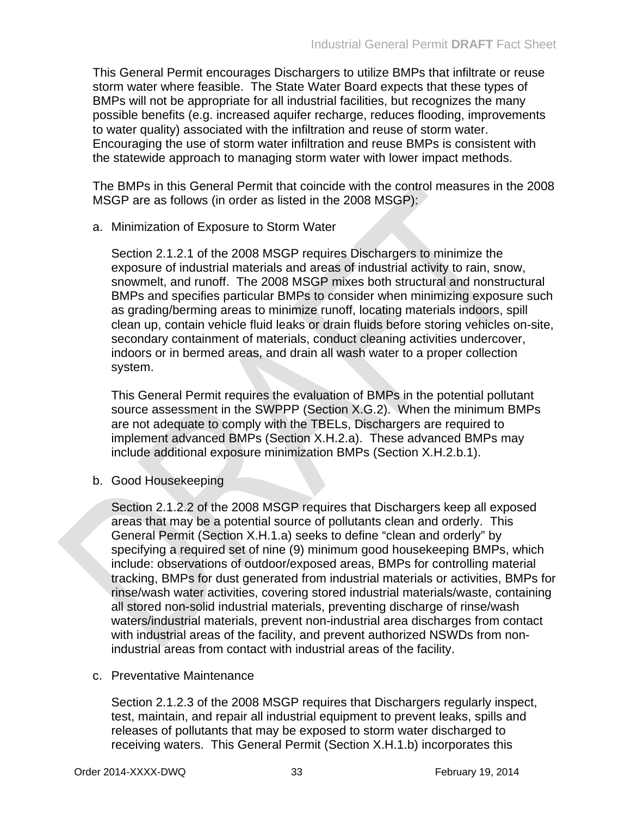This General Permit encourages Dischargers to utilize BMPs that infiltrate or reuse storm water where feasible. The State Water Board expects that these types of BMPs will not be appropriate for all industrial facilities, but recognizes the many possible benefits (e.g. increased aquifer recharge, reduces flooding, improvements to water quality) associated with the infiltration and reuse of storm water. Encouraging the use of storm water infiltration and reuse BMPs is consistent with the statewide approach to managing storm water with lower impact methods.

The BMPs in this General Permit that coincide with the control measures in the 2008 MSGP are as follows (in order as listed in the 2008 MSGP):

a. Minimization of Exposure to Storm Water

Section 2.1.2.1 of the 2008 MSGP requires Dischargers to minimize the exposure of industrial materials and areas of industrial activity to rain, snow, snowmelt, and runoff. The 2008 MSGP mixes both structural and nonstructural BMPs and specifies particular BMPs to consider when minimizing exposure such as grading/berming areas to minimize runoff, locating materials indoors, spill clean up, contain vehicle fluid leaks or drain fluids before storing vehicles on-site, secondary containment of materials, conduct cleaning activities undercover, indoors or in bermed areas, and drain all wash water to a proper collection system.

This General Permit requires the evaluation of BMPs in the potential pollutant source assessment in the SWPPP (Section X.G.2). When the minimum BMPs are not adequate to comply with the TBELs, Dischargers are required to implement advanced BMPs (Section X.H.2.a). These advanced BMPs may include additional exposure minimization BMPs (Section X.H.2.b.1).

b. Good Housekeeping

Section 2.1.2.2 of the 2008 MSGP requires that Dischargers keep all exposed areas that may be a potential source of pollutants clean and orderly. This General Permit (Section X.H.1.a) seeks to define "clean and orderly" by specifying a required set of nine (9) minimum good housekeeping BMPs, which include: observations of outdoor/exposed areas, BMPs for controlling material tracking, BMPs for dust generated from industrial materials or activities, BMPs for rinse/wash water activities, covering stored industrial materials/waste, containing all stored non-solid industrial materials, preventing discharge of rinse/wash waters/industrial materials, prevent non-industrial area discharges from contact with industrial areas of the facility, and prevent authorized NSWDs from nonindustrial areas from contact with industrial areas of the facility.

c. Preventative Maintenance

Section 2.1.2.3 of the 2008 MSGP requires that Dischargers regularly inspect, test, maintain, and repair all industrial equipment to prevent leaks, spills and releases of pollutants that may be exposed to storm water discharged to receiving waters. This General Permit (Section X.H.1.b) incorporates this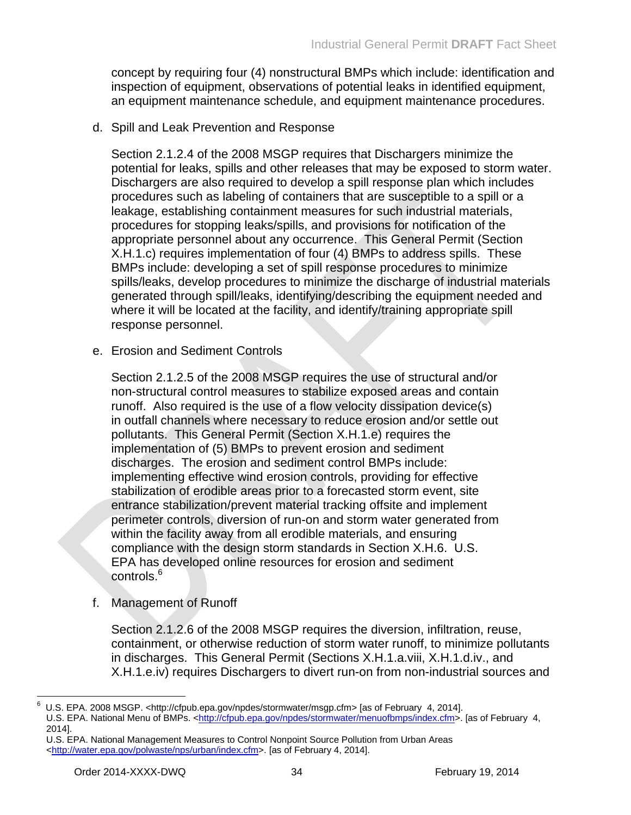concept by requiring four (4) nonstructural BMPs which include: identification and inspection of equipment, observations of potential leaks in identified equipment, an equipment maintenance schedule, and equipment maintenance procedures.

d. Spill and Leak Prevention and Response

Section 2.1.2.4 of the 2008 MSGP requires that Dischargers minimize the potential for leaks, spills and other releases that may be exposed to storm water. Dischargers are also required to develop a spill response plan which includes procedures such as labeling of containers that are susceptible to a spill or a leakage, establishing containment measures for such industrial materials, procedures for stopping leaks/spills, and provisions for notification of the appropriate personnel about any occurrence. This General Permit (Section X.H.1.c) requires implementation of four (4) BMPs to address spills. These BMPs include: developing a set of spill response procedures to minimize spills/leaks, develop procedures to minimize the discharge of industrial materials generated through spill/leaks, identifying/describing the equipment needed and where it will be located at the facility, and identify/training appropriate spill response personnel.

e. Erosion and Sediment Controls

Section 2.1.2.5 of the 2008 MSGP requires the use of structural and/or non-structural control measures to stabilize exposed areas and contain runoff. Also required is the use of a flow velocity dissipation device(s) in outfall channels where necessary to reduce erosion and/or settle out pollutants. This General Permit (Section X.H.1.e) requires the implementation of (5) BMPs to prevent erosion and sediment discharges. The erosion and sediment control BMPs include: implementing effective wind erosion controls, providing for effective stabilization of erodible areas prior to a forecasted storm event, site entrance stabilization/prevent material tracking offsite and implement perimeter controls, diversion of run-on and storm water generated from within the facility away from all erodible materials, and ensuring compliance with the design storm standards in Section X.H.6. U.S. EPA has developed online resources for erosion and sediment controls. 6

f. Management of Runoff

Section 2.1.2.6 of the 2008 MSGP requires the diversion, infiltration, reuse, containment, or otherwise reduction of storm water runoff, to minimize pollutants in discharges. This General Permit (Sections X.H.1.a.viii, X.H.1.d.iv., and X.H.1.e.iv) requires Dischargers to divert run-on from non-industrial sources and

<sup>6</sup> U.S. EPA. 2008 MSGP. <http://cfpub.epa.gov/npdes/stormwater/msgp.cfm> [as of February 4, 2014].

U.S. EPA. National Menu of BMPs. [<http://cfpub.epa.gov/npdes/stormwater/menuofbmps/index.cfm>](http://cfpub.epa.gov/npdes/stormwater/menuofbmps/index.cfm). [as of February 4, 2014].

U.S. EPA. National Management Measures to Control Nonpoint Source Pollution from Urban Areas [<http://water.epa.gov/polwaste/nps/urban/index.cfm>](http://water.epa.gov/polwaste/nps/urban/index.cfm). [as of February 4, 2014].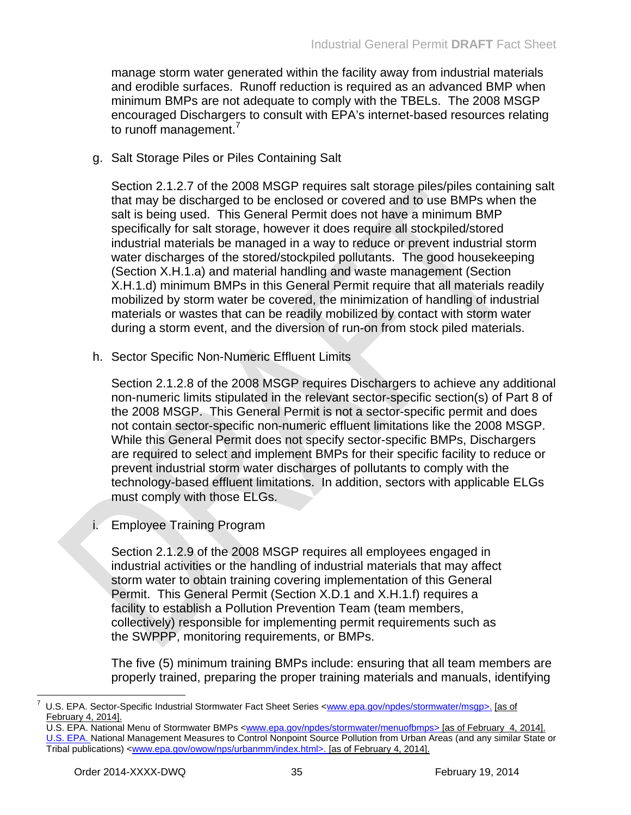manage storm water generated within the facility away from industrial materials and erodible surfaces. Runoff reduction is required as an advanced BMP when minimum BMPs are not adequate to comply with the TBELs. The 2008 MSGP encouraged Dischargers to consult with EPA's internet-based resources relating to runoff management.<sup>7</sup>

g. Salt Storage Piles or Piles Containing Salt

Section 2.1.2.7 of the 2008 MSGP requires salt storage piles/piles containing salt that may be discharged to be enclosed or covered and to use BMPs when the salt is being used. This General Permit does not have a minimum BMP specifically for salt storage, however it does require all stockpiled/stored industrial materials be managed in a way to reduce or prevent industrial storm water discharges of the stored/stockpiled pollutants. The good housekeeping (Section X.H.1.a) and material handling and waste management (Section X.H.1.d) minimum BMPs in this General Permit require that all materials readily mobilized by storm water be covered, the minimization of handling of industrial materials or wastes that can be readily mobilized by contact with storm water during a storm event, and the diversion of run-on from stock piled materials.

h. Sector Specific Non-Numeric Effluent Limits

Section 2.1.2.8 of the 2008 MSGP requires Dischargers to achieve any additional non-numeric limits stipulated in the relevant sector-specific section(s) of Part 8 of the 2008 MSGP. This General Permit is not a sector-specific permit and does not contain sector-specific non-numeric effluent limitations like the 2008 MSGP. While this General Permit does not specify sector-specific BMPs, Dischargers are required to select and implement BMPs for their specific facility to reduce or prevent industrial storm water discharges of pollutants to comply with the technology-based effluent limitations. In addition, sectors with applicable ELGs must comply with those ELGs.

i. Employee Training Program

Section 2.1.2.9 of the 2008 MSGP requires all employees engaged in industrial activities or the handling of industrial materials that may affect storm water to obtain training covering implementation of this General Permit. This General Permit (Section X.D.1 and X.H.1.f) requires a facility to establish a Pollution Prevention Team (team members, collectively) responsible for implementing permit requirements such as the SWPPP, monitoring requirements, or BMPs.

The five (5) minimum training BMPs include: ensuring that all team members are properly trained, preparing the proper training materials and manuals, identifying

U.S. EPA. National Menu of Stormwater BMPs [<www.epa.gov/npdes/stormwater/menuofbmps>](http://www.epa.gov/npdes/stormwater/menuofbmps) [as of February 4, 2014].

U.S. EPA. Sector-Specific Industrial Stormwater Fact Sheet Series [<www.epa.gov/npdes/stormwater/msgp>](http://www.epa.gov/npdes/stormwater/msgp). [as of February 4, 2014].

U.S. EPA. National Management Measures to Control Nonpoint Source Pollution from Urban Areas (and any similar State or Tribal publications) <www.epa.gov/owow/nps/urbanmm/index.html>. [as of February 4, 2014].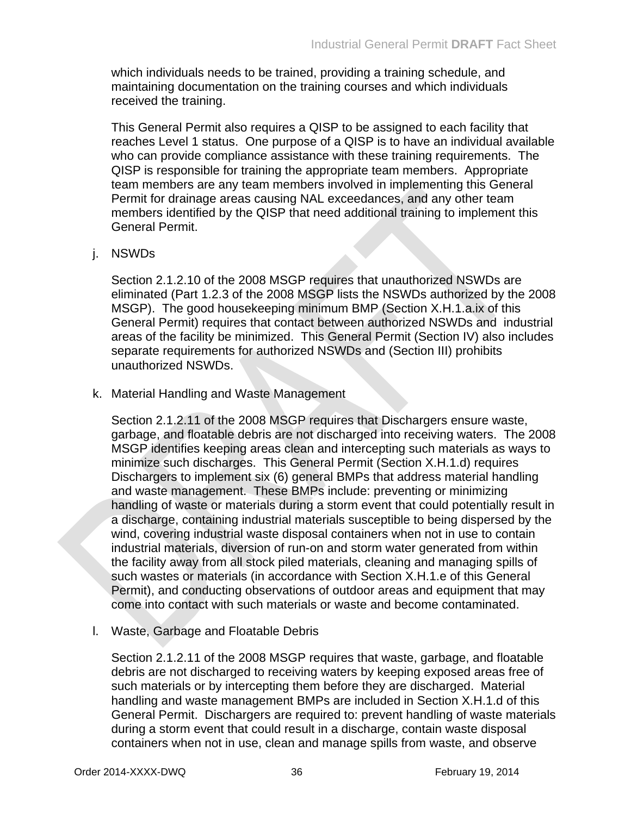which individuals needs to be trained, providing a training schedule, and maintaining documentation on the training courses and which individuals received the training.

This General Permit also requires a QISP to be assigned to each facility that reaches Level 1 status. One purpose of a QISP is to have an individual available who can provide compliance assistance with these training requirements. The QISP is responsible for training the appropriate team members. Appropriate team members are any team members involved in implementing this General Permit for drainage areas causing NAL exceedances, and any other team members identified by the QISP that need additional training to implement this General Permit.

### j. NSWDs

Section 2.1.2.10 of the 2008 MSGP requires that unauthorized NSWDs are eliminated (Part 1.2.3 of the 2008 MSGP lists the NSWDs authorized by the 2008 MSGP). The good housekeeping minimum BMP (Section X.H.1.a.ix of this General Permit) requires that contact between authorized NSWDs and industrial areas of the facility be minimized. This General Permit (Section IV) also includes separate requirements for authorized NSWDs and (Section III) prohibits unauthorized NSWDs.

k. Material Handling and Waste Management

Section 2.1.2.11 of the 2008 MSGP requires that Dischargers ensure waste, garbage, and floatable debris are not discharged into receiving waters. The 2008 MSGP identifies keeping areas clean and intercepting such materials as ways to minimize such discharges. This General Permit (Section X.H.1.d) requires Dischargers to implement six (6) general BMPs that address material handling and waste management. These BMPs include: preventing or minimizing handling of waste or materials during a storm event that could potentially result in a discharge, containing industrial materials susceptible to being dispersed by the wind, covering industrial waste disposal containers when not in use to contain industrial materials, diversion of run-on and storm water generated from within the facility away from all stock piled materials, cleaning and managing spills of such wastes or materials (in accordance with Section X.H.1.e of this General Permit), and conducting observations of outdoor areas and equipment that may come into contact with such materials or waste and become contaminated.

l. Waste, Garbage and Floatable Debris

Section 2.1.2.11 of the 2008 MSGP requires that waste, garbage, and floatable debris are not discharged to receiving waters by keeping exposed areas free of such materials or by intercepting them before they are discharged. Material handling and waste management BMPs are included in Section X.H.1.d of this General Permit. Dischargers are required to: prevent handling of waste materials during a storm event that could result in a discharge, contain waste disposal containers when not in use, clean and manage spills from waste, and observe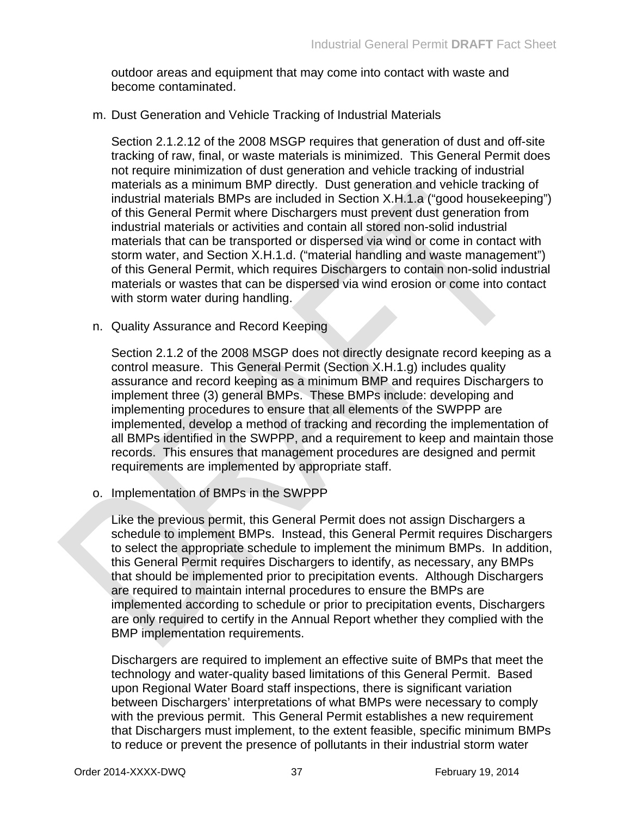outdoor areas and equipment that may come into contact with waste and become contaminated.

### m. Dust Generation and Vehicle Tracking of Industrial Materials

Section 2.1.2.12 of the 2008 MSGP requires that generation of dust and off-site tracking of raw, final, or waste materials is minimized. This General Permit does not require minimization of dust generation and vehicle tracking of industrial materials as a minimum BMP directly. Dust generation and vehicle tracking of industrial materials BMPs are included in Section X.H.1.a ("good housekeeping") of this General Permit where Dischargers must prevent dust generation from industrial materials or activities and contain all stored non-solid industrial materials that can be transported or dispersed via wind or come in contact with storm water, and Section X.H.1.d. ("material handling and waste management") of this General Permit, which requires Dischargers to contain non-solid industrial materials or wastes that can be dispersed via wind erosion or come into contact with storm water during handling.

n. Quality Assurance and Record Keeping

Section 2.1.2 of the 2008 MSGP does not directly designate record keeping as a control measure. This General Permit (Section X.H.1.g) includes quality assurance and record keeping as a minimum BMP and requires Dischargers to implement three (3) general BMPs. These BMPs include: developing and implementing procedures to ensure that all elements of the SWPPP are implemented, develop a method of tracking and recording the implementation of all BMPs identified in the SWPPP, and a requirement to keep and maintain those records. This ensures that management procedures are designed and permit requirements are implemented by appropriate staff.

o. Implementation of BMPs in the SWPPP

Like the previous permit, this General Permit does not assign Dischargers a schedule to implement BMPs. Instead, this General Permit requires Dischargers to select the appropriate schedule to implement the minimum BMPs. In addition, this General Permit requires Dischargers to identify, as necessary, any BMPs that should be implemented prior to precipitation events. Although Dischargers are required to maintain internal procedures to ensure the BMPs are implemented according to schedule or prior to precipitation events, Dischargers are only required to certify in the Annual Report whether they complied with the BMP implementation requirements.

Dischargers are required to implement an effective suite of BMPs that meet the technology and water-quality based limitations of this General Permit. Based upon Regional Water Board staff inspections, there is significant variation between Dischargers' interpretations of what BMPs were necessary to comply with the previous permit. This General Permit establishes a new requirement that Dischargers must implement, to the extent feasible, specific minimum BMPs to reduce or prevent the presence of pollutants in their industrial storm water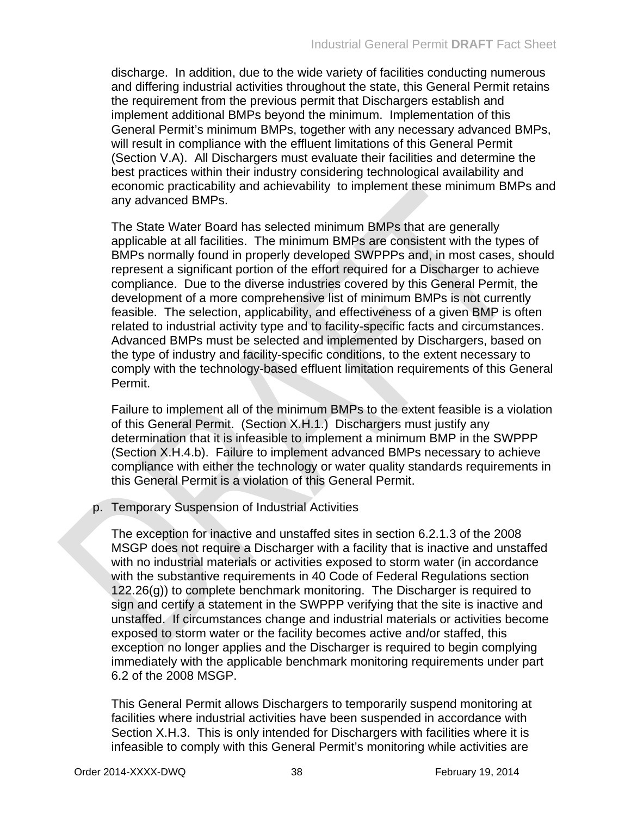discharge. In addition, due to the wide variety of facilities conducting numerous and differing industrial activities throughout the state, this General Permit retains the requirement from the previous permit that Dischargers establish and implement additional BMPs beyond the minimum. Implementation of this General Permit's minimum BMPs, together with any necessary advanced BMPs, will result in compliance with the effluent limitations of this General Permit (Section V.A). All Dischargers must evaluate their facilities and determine the best practices within their industry considering technological availability and economic practicability and achievability to implement these minimum BMPs and any advanced BMPs.

The State Water Board has selected minimum BMPs that are generally applicable at all facilities. The minimum BMPs are consistent with the types of BMPs normally found in properly developed SWPPPs and, in most cases, should represent a significant portion of the effort required for a Discharger to achieve compliance. Due to the diverse industries covered by this General Permit, the development of a more comprehensive list of minimum BMPs is not currently feasible. The selection, applicability, and effectiveness of a given BMP is often related to industrial activity type and to facility-specific facts and circumstances. Advanced BMPs must be selected and implemented by Dischargers, based on the type of industry and facility-specific conditions, to the extent necessary to comply with the technology-based effluent limitation requirements of this General Permit.

Failure to implement all of the minimum BMPs to the extent feasible is a violation of this General Permit. (Section X.H.1.) Dischargers must justify any determination that it is infeasible to implement a minimum BMP in the SWPPP (Section X.H.4.b). Failure to implement advanced BMPs necessary to achieve compliance with either the technology or water quality standards requirements in this General Permit is a violation of this General Permit.

p. Temporary Suspension of Industrial Activities

The exception for inactive and unstaffed sites in section 6.2.1.3 of the 2008 MSGP does not require a Discharger with a facility that is inactive and unstaffed with no industrial materials or activities exposed to storm water (in accordance with the substantive requirements in 40 Code of Federal Regulations section 122.26(g)) to complete benchmark monitoring. The Discharger is required to sign and certify a statement in the SWPPP verifying that the site is inactive and unstaffed. If circumstances change and industrial materials or activities become exposed to storm water or the facility becomes active and/or staffed, this exception no longer applies and the Discharger is required to begin complying immediately with the applicable benchmark monitoring requirements under part 6.2 of the 2008 MSGP.

This General Permit allows Dischargers to temporarily suspend monitoring at facilities where industrial activities have been suspended in accordance with Section X.H.3. This is only intended for Dischargers with facilities where it is infeasible to comply with this General Permit's monitoring while activities are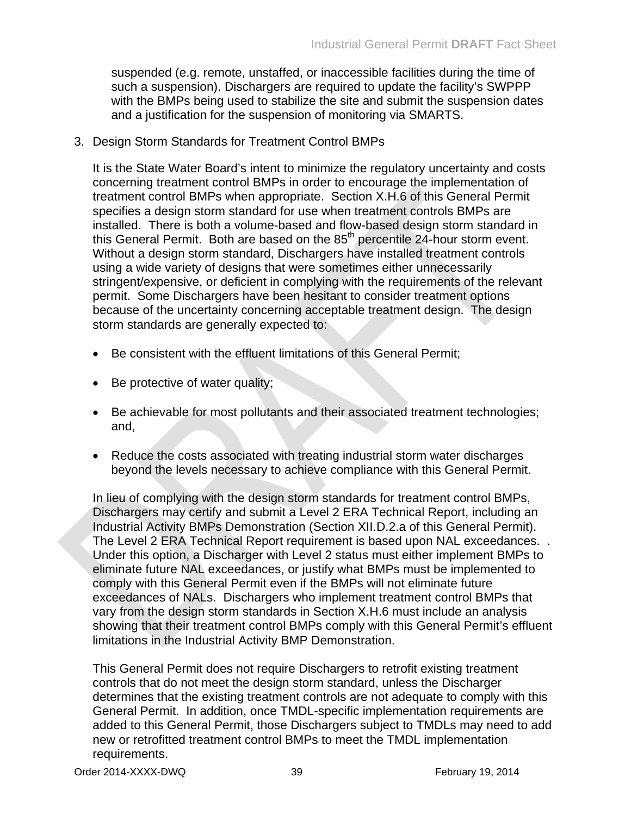suspended (e.g. remote, unstaffed, or inaccessible facilities during the time of such a suspension). Dischargers are required to update the facility's SWPPP with the BMPs being used to stabilize the site and submit the suspension dates and a justification for the suspension of monitoring via SMARTS.

3. Design Storm Standards for Treatment Control BMPs

It is the State Water Board's intent to minimize the regulatory uncertainty and costs concerning treatment control BMPs in order to encourage the implementation of treatment control BMPs when appropriate. Section X.H.6 of this General Permit specifies a design storm standard for use when treatment controls BMPs are installed. There is both a volume-based and flow-based design storm standard in this General Permit. Both are based on the  $85<sup>th</sup>$  percentile 24-hour storm event. Without a design storm standard, Dischargers have installed treatment controls using a wide variety of designs that were sometimes either unnecessarily stringent/expensive, or deficient in complying with the requirements of the relevant permit. Some Dischargers have been hesitant to consider treatment options because of the uncertainty concerning acceptable treatment design. The design storm standards are generally expected to:

- Be consistent with the effluent limitations of this General Permit;
- Be protective of water quality;
- Be achievable for most pollutants and their associated treatment technologies; and,
- Reduce the costs associated with treating industrial storm water discharges beyond the levels necessary to achieve compliance with this General Permit.

In lieu of complying with the design storm standards for treatment control BMPs, Dischargers may certify and submit a Level 2 ERA Technical Report, including an Industrial Activity BMPs Demonstration (Section XII.D.2.a of this General Permit). The Level 2 ERA Technical Report requirement is based upon NAL exceedances. . Under this option, a Discharger with Level 2 status must either implement BMPs to eliminate future NAL exceedances, or justify what BMPs must be implemented to comply with this General Permit even if the BMPs will not eliminate future exceedances of NALs. Dischargers who implement treatment control BMPs that vary from the design storm standards in Section X.H.6 must include an analysis showing that their treatment control BMPs comply with this General Permit's effluent limitations in the Industrial Activity BMP Demonstration.

This General Permit does not require Dischargers to retrofit existing treatment controls that do not meet the design storm standard, unless the Discharger determines that the existing treatment controls are not adequate to comply with this General Permit. In addition, once TMDL-specific implementation requirements are added to this General Permit, those Dischargers subject to TMDLs may need to add new or retrofitted treatment control BMPs to meet the TMDL implementation requirements.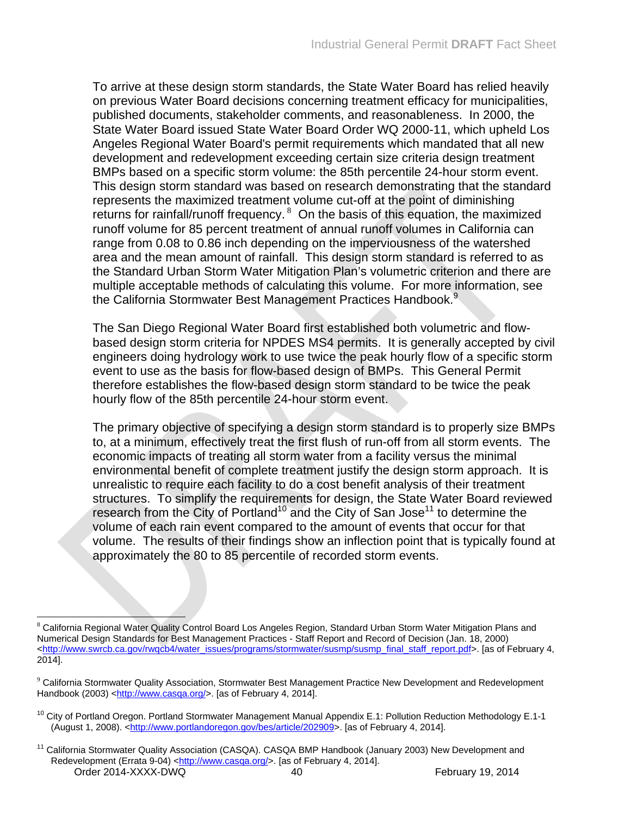To arrive at these design storm standards, the State Water Board has relied heavily on previous Water Board decisions concerning treatment efficacy for municipalities, published documents, stakeholder comments, and reasonableness. In 2000, the State Water Board issued State Water Board Order WQ 2000-11, which upheld Los Angeles Regional Water Board's permit requirements which mandated that all new development and redevelopment exceeding certain size criteria design treatment BMPs based on a specific storm volume: the 85th percentile 24-hour storm event. This design storm standard was based on research demonstrating that the standard represents the maximized treatment volume cut-off at the point of diminishing returns for rainfall/runoff frequency. <sup>8</sup> On the basis of this equation, the maximized runoff volume for 85 percent treatment of annual runoff volumes in California can range from 0.08 to 0.86 inch depending on the imperviousness of the watershed area and the mean amount of rainfall. This design storm standard is referred to as the Standard Urban Storm Water Mitigation Plan's volumetric criterion and there are multiple acceptable methods of calculating this volume. For more information, see the California Stormwater Best Management Practices Handbook.<sup>9</sup>

The San Diego Regional Water Board first established both volumetric and flowbased design storm criteria for NPDES MS4 permits. It is generally accepted by civil engineers doing hydrology work to use twice the peak hourly flow of a specific storm event to use as the basis for flow-based design of BMPs. This General Permit therefore establishes the flow-based design storm standard to be twice the peak hourly flow of the 85th percentile 24-hour storm event.

The primary objective of specifying a design storm standard is to properly size BMPs to, at a minimum, effectively treat the first flush of run-off from all storm events. The economic impacts of treating all storm water from a facility versus the minimal environmental benefit of complete treatment justify the design storm approach. It is unrealistic to require each facility to do a cost benefit analysis of their treatment structures. To simplify the requirements for design, the State Water Board reviewed research from the City of Portland<sup>10</sup> and the City of San Jose<sup>11</sup> to determine the volume of each rain event compared to the amount of events that occur for that volume. The results of their findings show an inflection point that is typically found at approximately the 80 to 85 percentile of recorded storm events.

<sup>&</sup>lt;sup>8</sup> California Regional Water Quality Control Board Los Angeles Region, Standard Urban Storm Water Mitigation Plans and Numerical Design Standards for Best Management Practices - Staff Report and Record of Decision (Jan. 18, 2000) [<http://www.swrcb.ca.gov/rwqcb4/water\\_issues/programs/stormwater/susmp/susmp\\_final\\_staff\\_report.pdf>](http://www.swrcb.ca.gov/rwqcb4/water_issues/programs/stormwater/susmp/susmp_final_staff_report.pdf). [as of February 4, 2014].

<sup>9</sup> California Stormwater Quality Association, Stormwater Best Management Practice New Development and Redevelopment Handbook (2003) [<http://www.casqa.org/>](http://www.casqa.org/). [as of February 4, 2014].

<sup>&</sup>lt;sup>10</sup> City of Portland Oregon. Portland Stormwater Management Manual Appendix E.1: Pollution Reduction Methodology E.1-1 (August 1, 2008). [<http://www.portlandoregon.gov/bes/article/202909>](http://www.portlandoregon.gov/bes/article/202909). [as of February 4, 2014].

Order 2014-XXXX-DWQ 40 40 February 19, 2014 <sup>11</sup> California Stormwater Quality Association (CASQA). CASQA BMP Handbook (January 2003) New Development and Redevelopment (Errata 9-04) [<http://www.casqa.org/>](http://www.casqa.org/). [as of February 4, 2014].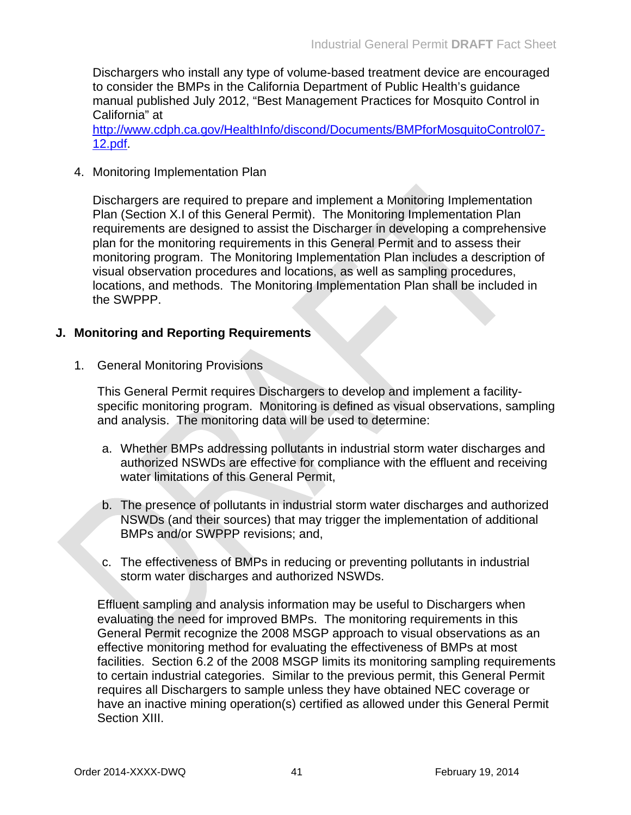Dischargers who install any type of volume-based treatment device are encouraged to consider the BMPs in the California Department of Public Health's guidance manual published July 2012, "Best Management Practices for Mosquito Control in California" at

[http://www.cdph.ca.gov/HealthInfo/discond/Documents/BMPforMosquitoControl07-](http://www.cdph.ca.gov/HealthInfo/discond/Documents/BMPforMosquitoControl07-12.pdf) [12.pdf.](http://www.cdph.ca.gov/HealthInfo/discond/Documents/BMPforMosquitoControl07-12.pdf)

4. Monitoring Implementation Plan

Dischargers are required to prepare and implement a Monitoring Implementation Plan (Section X.I of this General Permit). The Monitoring Implementation Plan requirements are designed to assist the Discharger in developing a comprehensive plan for the monitoring requirements in this General Permit and to assess their monitoring program. The Monitoring Implementation Plan includes a description of visual observation procedures and locations, as well as sampling procedures, locations, and methods. The Monitoring Implementation Plan shall be included in the SWPPP.

### **J. Monitoring and Reporting Requirements**

1. General Monitoring Provisions

This General Permit requires Dischargers to develop and implement a facilityspecific monitoring program. Monitoring is defined as visual observations, sampling and analysis. The monitoring data will be used to determine:

- a. Whether BMPs addressing pollutants in industrial storm water discharges and authorized NSWDs are effective for compliance with the effluent and receiving water limitations of this General Permit,
- b. The presence of pollutants in industrial storm water discharges and authorized NSWDs (and their sources) that may trigger the implementation of additional BMPs and/or SWPPP revisions; and,
- c. The effectiveness of BMPs in reducing or preventing pollutants in industrial storm water discharges and authorized NSWDs.

Effluent sampling and analysis information may be useful to Dischargers when evaluating the need for improved BMPs. The monitoring requirements in this General Permit recognize the 2008 MSGP approach to visual observations as an effective monitoring method for evaluating the effectiveness of BMPs at most facilities. Section 6.2 of the 2008 MSGP limits its monitoring sampling requirements to certain industrial categories. Similar to the previous permit, this General Permit requires all Dischargers to sample unless they have obtained NEC coverage or have an inactive mining operation(s) certified as allowed under this General Permit Section XIII.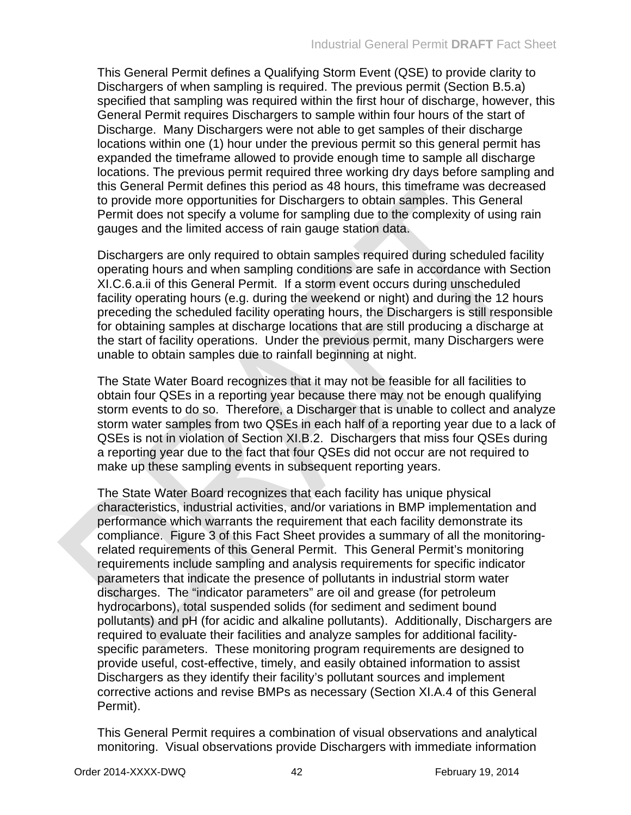This General Permit defines a Qualifying Storm Event (QSE) to provide clarity to Dischargers of when sampling is required. The previous permit (Section B.5.a) specified that sampling was required within the first hour of discharge, however, this General Permit requires Dischargers to sample within four hours of the start of Discharge. Many Dischargers were not able to get samples of their discharge locations within one (1) hour under the previous permit so this general permit has expanded the timeframe allowed to provide enough time to sample all discharge locations. The previous permit required three working dry days before sampling and this General Permit defines this period as 48 hours, this timeframe was decreased to provide more opportunities for Dischargers to obtain samples. This General Permit does not specify a volume for sampling due to the complexity of using rain gauges and the limited access of rain gauge station data.

Dischargers are only required to obtain samples required during scheduled facility operating hours and when sampling conditions are safe in accordance with Section XI.C.6.a.ii of this General Permit. If a storm event occurs during unscheduled facility operating hours (e.g. during the weekend or night) and during the 12 hours preceding the scheduled facility operating hours, the Dischargers is still responsible for obtaining samples at discharge locations that are still producing a discharge at the start of facility operations. Under the previous permit, many Dischargers were unable to obtain samples due to rainfall beginning at night.

The State Water Board recognizes that it may not be feasible for all facilities to obtain four QSEs in a reporting year because there may not be enough qualifying storm events to do so. Therefore, a Discharger that is unable to collect and analyze storm water samples from two QSEs in each half of a reporting year due to a lack of QSEs is not in violation of Section XI.B.2. Dischargers that miss four QSEs during a reporting year due to the fact that four QSEs did not occur are not required to make up these sampling events in subsequent reporting years.

The State Water Board recognizes that each facility has unique physical characteristics, industrial activities, and/or variations in BMP implementation and performance which warrants the requirement that each facility demonstrate its compliance. Figure 3 of this Fact Sheet provides a summary of all the monitoringrelated requirements of this General Permit. This General Permit's monitoring requirements include sampling and analysis requirements for specific indicator parameters that indicate the presence of pollutants in industrial storm water discharges. The "indicator parameters" are oil and grease (for petroleum hydrocarbons), total suspended solids (for sediment and sediment bound pollutants) and pH (for acidic and alkaline pollutants). Additionally, Dischargers are required to evaluate their facilities and analyze samples for additional facilityspecific parameters. These monitoring program requirements are designed to provide useful, cost-effective, timely, and easily obtained information to assist Dischargers as they identify their facility's pollutant sources and implement corrective actions and revise BMPs as necessary (Section XI.A.4 of this General Permit).

This General Permit requires a combination of visual observations and analytical monitoring. Visual observations provide Dischargers with immediate information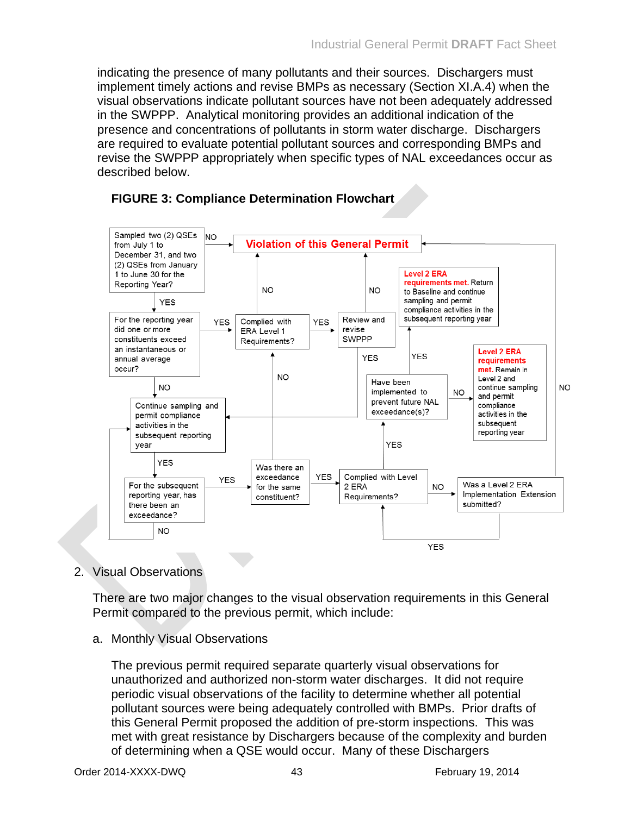indicating the presence of many pollutants and their sources. Dischargers must implement timely actions and revise BMPs as necessary (Section XI.A.4) when the visual observations indicate pollutant sources have not been adequately addressed in the SWPPP. Analytical monitoring provides an additional indication of the presence and concentrations of pollutants in storm water discharge. Dischargers are required to evaluate potential pollutant sources and corresponding BMPs and revise the SWPPP appropriately when specific types of NAL exceedances occur as described below.



### **FIGURE 3: Compliance Determination Flowchart**

## 2. Visual Observations

There are two major changes to the visual observation requirements in this General Permit compared to the previous permit, which include:

a. Monthly Visual Observations

The previous permit required separate quarterly visual observations for unauthorized and authorized non-storm water discharges. It did not require periodic visual observations of the facility to determine whether all potential pollutant sources were being adequately controlled with BMPs. Prior drafts of this General Permit proposed the addition of pre-storm inspections. This was met with great resistance by Dischargers because of the complexity and burden of determining when a QSE would occur. Many of these Dischargers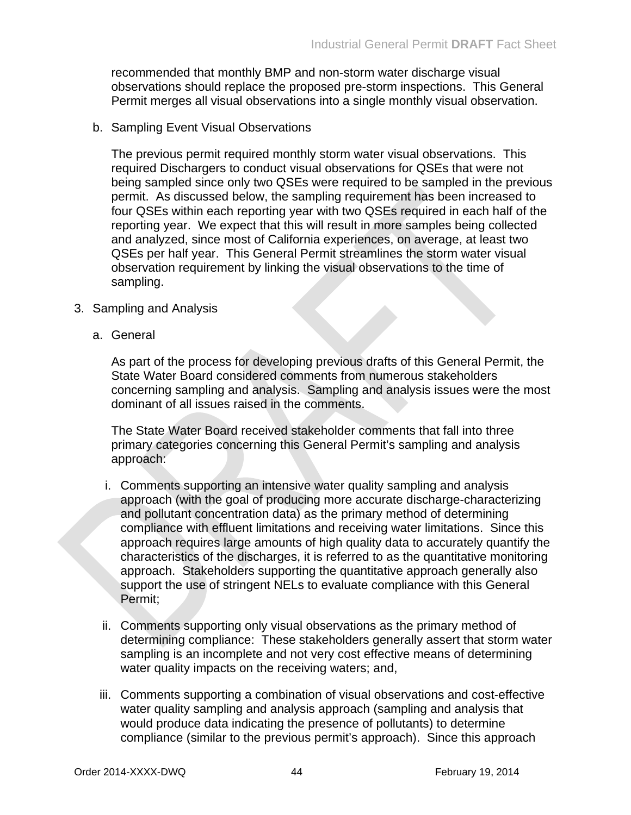recommended that monthly BMP and non-storm water discharge visual observations should replace the proposed pre-storm inspections. This General Permit merges all visual observations into a single monthly visual observation.

b. Sampling Event Visual Observations

The previous permit required monthly storm water visual observations. This required Dischargers to conduct visual observations for QSEs that were not being sampled since only two QSEs were required to be sampled in the previous permit. As discussed below, the sampling requirement has been increased to four QSEs within each reporting year with two QSEs required in each half of the reporting year. We expect that this will result in more samples being collected and analyzed, since most of California experiences, on average, at least two QSEs per half year. This General Permit streamlines the storm water visual observation requirement by linking the visual observations to the time of sampling.

- 3. Sampling and Analysis
	- a. General

As part of the process for developing previous drafts of this General Permit, the State Water Board considered comments from numerous stakeholders concerning sampling and analysis. Sampling and analysis issues were the most dominant of all issues raised in the comments.

The State Water Board received stakeholder comments that fall into three primary categories concerning this General Permit's sampling and analysis approach:

- i. Comments supporting an intensive water quality sampling and analysis approach (with the goal of producing more accurate discharge-characterizing and pollutant concentration data) as the primary method of determining compliance with effluent limitations and receiving water limitations. Since this approach requires large amounts of high quality data to accurately quantify the characteristics of the discharges, it is referred to as the quantitative monitoring approach. Stakeholders supporting the quantitative approach generally also support the use of stringent NELs to evaluate compliance with this General Permit;
- ii. Comments supporting only visual observations as the primary method of determining compliance: These stakeholders generally assert that storm water sampling is an incomplete and not very cost effective means of determining water quality impacts on the receiving waters; and,
- iii. Comments supporting a combination of visual observations and cost-effective water quality sampling and analysis approach (sampling and analysis that would produce data indicating the presence of pollutants) to determine compliance (similar to the previous permit's approach). Since this approach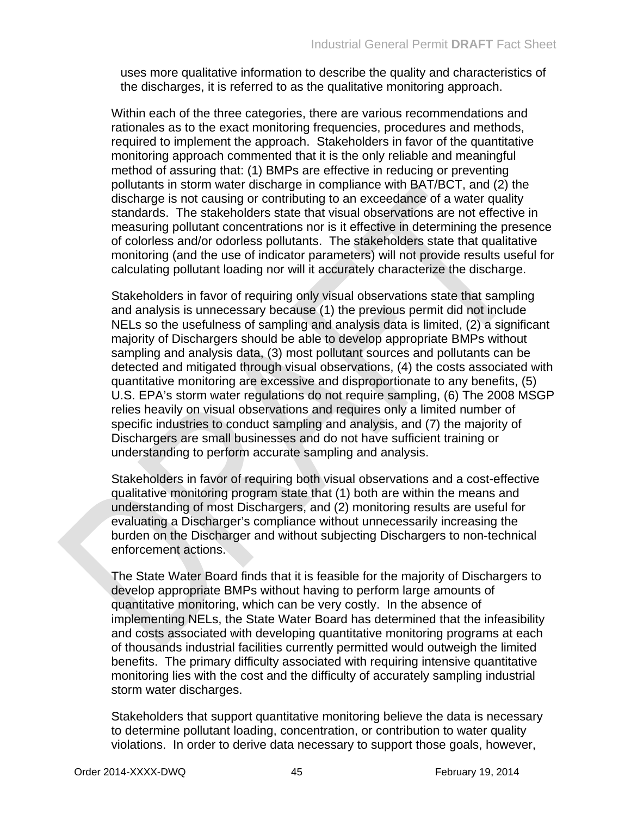uses more qualitative information to describe the quality and characteristics of the discharges, it is referred to as the qualitative monitoring approach.

Within each of the three categories, there are various recommendations and rationales as to the exact monitoring frequencies, procedures and methods, required to implement the approach. Stakeholders in favor of the quantitative monitoring approach commented that it is the only reliable and meaningful method of assuring that: (1) BMPs are effective in reducing or preventing pollutants in storm water discharge in compliance with BAT/BCT, and (2) the discharge is not causing or contributing to an exceedance of a water quality standards. The stakeholders state that visual observations are not effective in measuring pollutant concentrations nor is it effective in determining the presence of colorless and/or odorless pollutants. The stakeholders state that qualitative monitoring (and the use of indicator parameters) will not provide results useful for calculating pollutant loading nor will it accurately characterize the discharge.

Stakeholders in favor of requiring only visual observations state that sampling and analysis is unnecessary because (1) the previous permit did not include NELs so the usefulness of sampling and analysis data is limited, (2) a significant majority of Dischargers should be able to develop appropriate BMPs without sampling and analysis data, (3) most pollutant sources and pollutants can be detected and mitigated through visual observations, (4) the costs associated with quantitative monitoring are excessive and disproportionate to any benefits, (5) U.S. EPA's storm water regulations do not require sampling, (6) The 2008 MSGP relies heavily on visual observations and requires only a limited number of specific industries to conduct sampling and analysis, and (7) the majority of Dischargers are small businesses and do not have sufficient training or understanding to perform accurate sampling and analysis.

Stakeholders in favor of requiring both visual observations and a cost-effective qualitative monitoring program state that (1) both are within the means and understanding of most Dischargers, and (2) monitoring results are useful for evaluating a Discharger's compliance without unnecessarily increasing the burden on the Discharger and without subjecting Dischargers to non-technical enforcement actions.

The State Water Board finds that it is feasible for the majority of Dischargers to develop appropriate BMPs without having to perform large amounts of quantitative monitoring, which can be very costly. In the absence of implementing NELs, the State Water Board has determined that the infeasibility and costs associated with developing quantitative monitoring programs at each of thousands industrial facilities currently permitted would outweigh the limited benefits. The primary difficulty associated with requiring intensive quantitative monitoring lies with the cost and the difficulty of accurately sampling industrial storm water discharges.

Stakeholders that support quantitative monitoring believe the data is necessary to determine pollutant loading, concentration, or contribution to water quality violations. In order to derive data necessary to support those goals, however,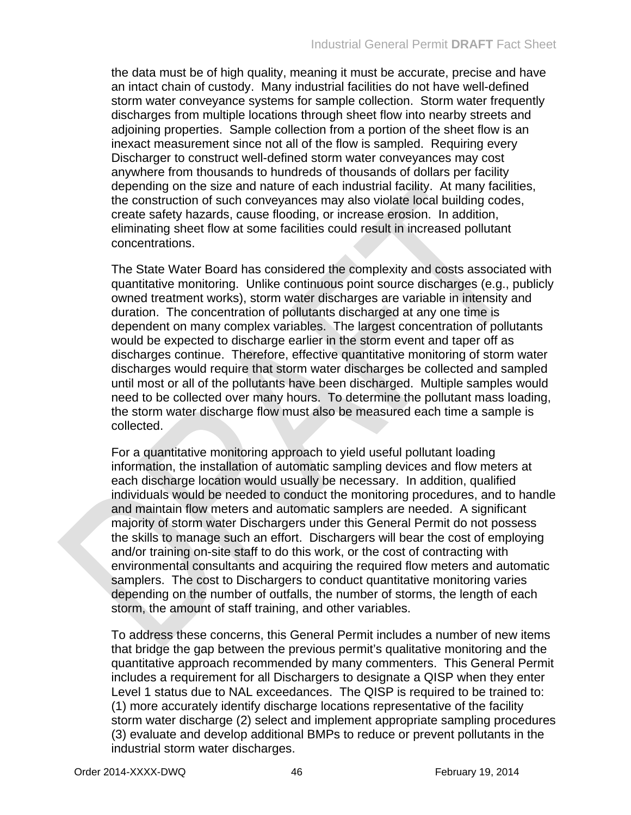the data must be of high quality, meaning it must be accurate, precise and have an intact chain of custody. Many industrial facilities do not have well-defined storm water conveyance systems for sample collection. Storm water frequently discharges from multiple locations through sheet flow into nearby streets and adjoining properties. Sample collection from a portion of the sheet flow is an inexact measurement since not all of the flow is sampled. Requiring every Discharger to construct well-defined storm water conveyances may cost anywhere from thousands to hundreds of thousands of dollars per facility depending on the size and nature of each industrial facility. At many facilities, the construction of such conveyances may also violate local building codes, create safety hazards, cause flooding, or increase erosion. In addition, eliminating sheet flow at some facilities could result in increased pollutant concentrations.

The State Water Board has considered the complexity and costs associated with quantitative monitoring. Unlike continuous point source discharges (e.g., publicly owned treatment works), storm water discharges are variable in intensity and duration. The concentration of pollutants discharged at any one time is dependent on many complex variables. The largest concentration of pollutants would be expected to discharge earlier in the storm event and taper off as discharges continue. Therefore, effective quantitative monitoring of storm water discharges would require that storm water discharges be collected and sampled until most or all of the pollutants have been discharged. Multiple samples would need to be collected over many hours. To determine the pollutant mass loading, the storm water discharge flow must also be measured each time a sample is collected.

For a quantitative monitoring approach to yield useful pollutant loading information, the installation of automatic sampling devices and flow meters at each discharge location would usually be necessary. In addition, qualified individuals would be needed to conduct the monitoring procedures, and to handle and maintain flow meters and automatic samplers are needed. A significant majority of storm water Dischargers under this General Permit do not possess the skills to manage such an effort. Dischargers will bear the cost of employing and/or training on-site staff to do this work, or the cost of contracting with environmental consultants and acquiring the required flow meters and automatic samplers. The cost to Dischargers to conduct quantitative monitoring varies depending on the number of outfalls, the number of storms, the length of each storm, the amount of staff training, and other variables.

To address these concerns, this General Permit includes a number of new items that bridge the gap between the previous permit's qualitative monitoring and the quantitative approach recommended by many commenters. This General Permit includes a requirement for all Dischargers to designate a QISP when they enter Level 1 status due to NAL exceedances. The QISP is required to be trained to: (1) more accurately identify discharge locations representative of the facility storm water discharge (2) select and implement appropriate sampling procedures (3) evaluate and develop additional BMPs to reduce or prevent pollutants in the industrial storm water discharges.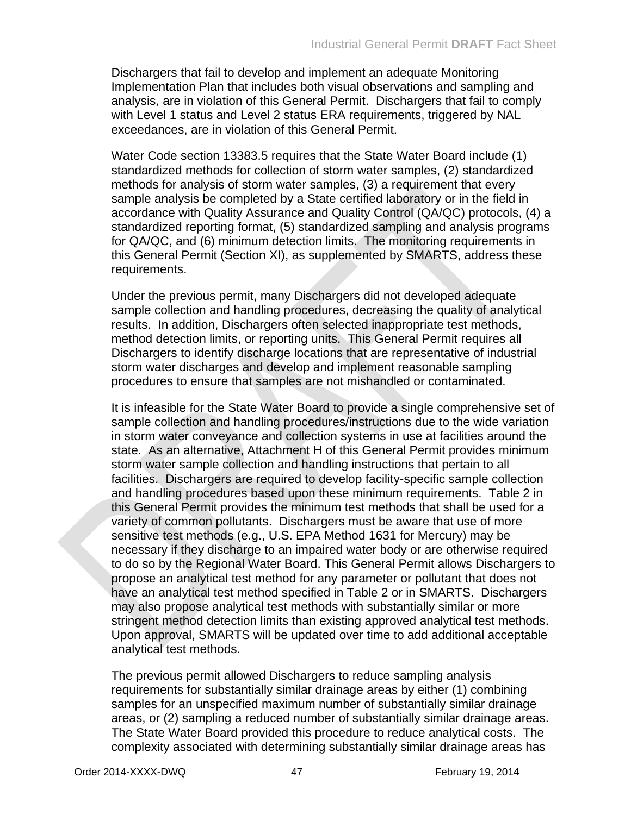Dischargers that fail to develop and implement an adequate Monitoring Implementation Plan that includes both visual observations and sampling and analysis, are in violation of this General Permit. Dischargers that fail to comply with Level 1 status and Level 2 status ERA requirements, triggered by NAL exceedances, are in violation of this General Permit.

Water Code section 13383.5 requires that the State Water Board include (1) standardized methods for collection of storm water samples, (2) standardized methods for analysis of storm water samples, (3) a requirement that every sample analysis be completed by a State certified laboratory or in the field in accordance with Quality Assurance and Quality Control (QA/QC) protocols, (4) a standardized reporting format, (5) standardized sampling and analysis programs for QA/QC, and (6) minimum detection limits. The monitoring requirements in this General Permit (Section XI), as supplemented by SMARTS, address these requirements.

Under the previous permit, many Dischargers did not developed adequate sample collection and handling procedures, decreasing the quality of analytical results. In addition, Dischargers often selected inappropriate test methods, method detection limits, or reporting units. This General Permit requires all Dischargers to identify discharge locations that are representative of industrial storm water discharges and develop and implement reasonable sampling procedures to ensure that samples are not mishandled or contaminated.

It is infeasible for the State Water Board to provide a single comprehensive set of sample collection and handling procedures/instructions due to the wide variation in storm water conveyance and collection systems in use at facilities around the state. As an alternative, Attachment H of this General Permit provides minimum storm water sample collection and handling instructions that pertain to all facilities. Dischargers are required to develop facility-specific sample collection and handling procedures based upon these minimum requirements. Table 2 in this General Permit provides the minimum test methods that shall be used for a variety of common pollutants. Dischargers must be aware that use of more sensitive test methods (e.g., U.S. EPA Method 1631 for Mercury) may be necessary if they discharge to an impaired water body or are otherwise required to do so by the Regional Water Board. This General Permit allows Dischargers to propose an analytical test method for any parameter or pollutant that does not have an analytical test method specified in Table 2 or in SMARTS. Dischargers may also propose analytical test methods with substantially similar or more stringent method detection limits than existing approved analytical test methods. Upon approval, SMARTS will be updated over time to add additional acceptable analytical test methods.

The previous permit allowed Dischargers to reduce sampling analysis requirements for substantially similar drainage areas by either (1) combining samples for an unspecified maximum number of substantially similar drainage areas, or (2) sampling a reduced number of substantially similar drainage areas. The State Water Board provided this procedure to reduce analytical costs. The complexity associated with determining substantially similar drainage areas has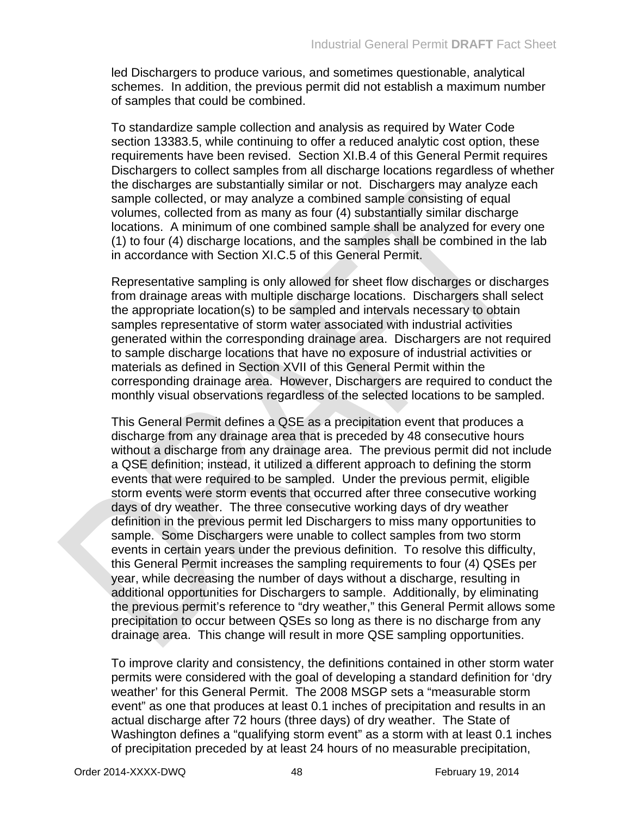led Dischargers to produce various, and sometimes questionable, analytical schemes. In addition, the previous permit did not establish a maximum number of samples that could be combined.

To standardize sample collection and analysis as required by Water Code section 13383.5, while continuing to offer a reduced analytic cost option, these requirements have been revised. Section XI.B.4 of this General Permit requires Dischargers to collect samples from all discharge locations regardless of whether the discharges are substantially similar or not. Dischargers may analyze each sample collected, or may analyze a combined sample consisting of equal volumes, collected from as many as four (4) substantially similar discharge locations. A minimum of one combined sample shall be analyzed for every one (1) to four (4) discharge locations, and the samples shall be combined in the lab in accordance with Section XI.C.5 of this General Permit.

Representative sampling is only allowed for sheet flow discharges or discharges from drainage areas with multiple discharge locations. Dischargers shall select the appropriate location(s) to be sampled and intervals necessary to obtain samples representative of storm water associated with industrial activities generated within the corresponding drainage area. Dischargers are not required to sample discharge locations that have no exposure of industrial activities or materials as defined in Section XVII of this General Permit within the corresponding drainage area. However, Dischargers are required to conduct the monthly visual observations regardless of the selected locations to be sampled.

This General Permit defines a QSE as a precipitation event that produces a discharge from any drainage area that is preceded by 48 consecutive hours without a discharge from any drainage area. The previous permit did not include a QSE definition; instead, it utilized a different approach to defining the storm events that were required to be sampled. Under the previous permit, eligible storm events were storm events that occurred after three consecutive working days of dry weather. The three consecutive working days of dry weather definition in the previous permit led Dischargers to miss many opportunities to sample. Some Dischargers were unable to collect samples from two storm events in certain years under the previous definition. To resolve this difficulty, this General Permit increases the sampling requirements to four (4) QSEs per year, while decreasing the number of days without a discharge, resulting in additional opportunities for Dischargers to sample. Additionally, by eliminating the previous permit's reference to "dry weather," this General Permit allows some precipitation to occur between QSEs so long as there is no discharge from any drainage area. This change will result in more QSE sampling opportunities.

To improve clarity and consistency, the definitions contained in other storm water permits were considered with the goal of developing a standard definition for 'dry weather' for this General Permit. The 2008 MSGP sets a "measurable storm event" as one that produces at least 0.1 inches of precipitation and results in an actual discharge after 72 hours (three days) of dry weather. The State of Washington defines a "qualifying storm event" as a storm with at least 0.1 inches of precipitation preceded by at least 24 hours of no measurable precipitation,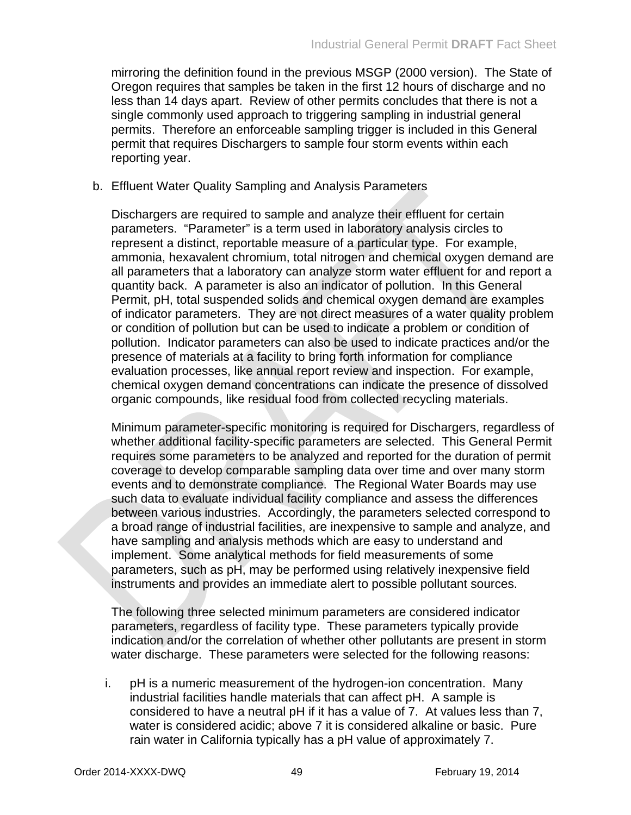mirroring the definition found in the previous MSGP (2000 version). The State of Oregon requires that samples be taken in the first 12 hours of discharge and no less than 14 days apart. Review of other permits concludes that there is not a single commonly used approach to triggering sampling in industrial general permits. Therefore an enforceable sampling trigger is included in this General permit that requires Dischargers to sample four storm events within each reporting year.

### b. Effluent Water Quality Sampling and Analysis Parameters

Dischargers are required to sample and analyze their effluent for certain parameters. "Parameter" is a term used in laboratory analysis circles to represent a distinct, reportable measure of a particular type. For example, ammonia, hexavalent chromium, total nitrogen and chemical oxygen demand are all parameters that a laboratory can analyze storm water effluent for and report a quantity back. A parameter is also an indicator of pollution. In this General Permit, pH, total suspended solids and chemical oxygen demand are examples of indicator parameters. They are not direct measures of a water quality problem or condition of pollution but can be used to indicate a problem or condition of pollution. Indicator parameters can also be used to indicate practices and/or the presence of materials at a facility to bring forth information for compliance evaluation processes, like annual report review and inspection. For example, chemical oxygen demand concentrations can indicate the presence of dissolved organic compounds, like residual food from collected recycling materials.

Minimum parameter-specific monitoring is required for Dischargers, regardless of whether additional facility-specific parameters are selected. This General Permit requires some parameters to be analyzed and reported for the duration of permit coverage to develop comparable sampling data over time and over many storm events and to demonstrate compliance. The Regional Water Boards may use such data to evaluate individual facility compliance and assess the differences between various industries. Accordingly, the parameters selected correspond to a broad range of industrial facilities, are inexpensive to sample and analyze, and have sampling and analysis methods which are easy to understand and implement. Some analytical methods for field measurements of some parameters, such as pH, may be performed using relatively inexpensive field instruments and provides an immediate alert to possible pollutant sources.

The following three selected minimum parameters are considered indicator parameters, regardless of facility type. These parameters typically provide indication and/or the correlation of whether other pollutants are present in storm water discharge. These parameters were selected for the following reasons:

i. pH is a numeric measurement of the hydrogen-ion concentration. Many industrial facilities handle materials that can affect pH. A sample is considered to have a neutral pH if it has a value of 7. At values less than 7, water is considered acidic; above 7 it is considered alkaline or basic. Pure rain water in California typically has a pH value of approximately 7.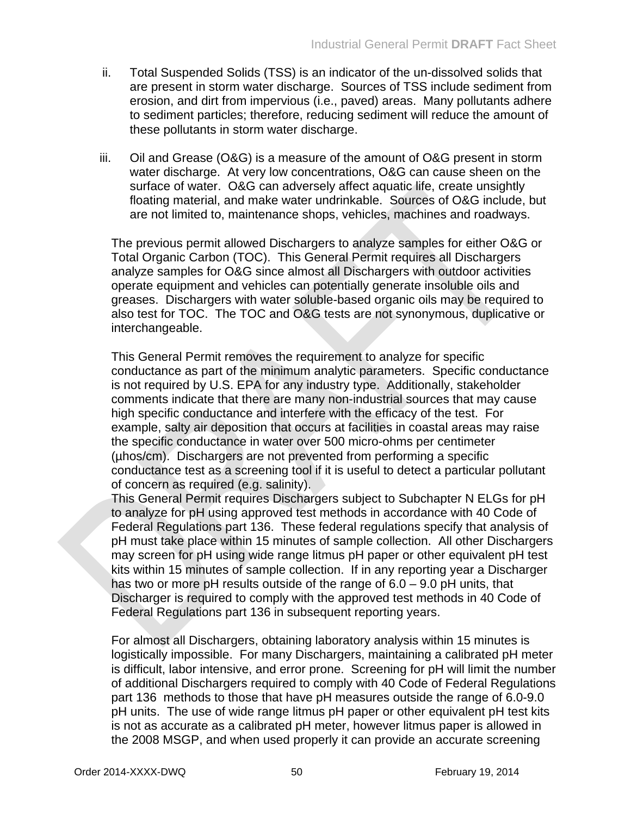- ii. Total Suspended Solids (TSS) is an indicator of the un-dissolved solids that are present in storm water discharge. Sources of TSS include sediment from erosion, and dirt from impervious (i.e., paved) areas. Many pollutants adhere to sediment particles; therefore, reducing sediment will reduce the amount of these pollutants in storm water discharge.
- iii. Oil and Grease (O&G) is a measure of the amount of O&G present in storm water discharge. At very low concentrations, O&G can cause sheen on the surface of water. O&G can adversely affect aquatic life, create unsightly floating material, and make water undrinkable. Sources of O&G include, but are not limited to, maintenance shops, vehicles, machines and roadways.

The previous permit allowed Dischargers to analyze samples for either O&G or Total Organic Carbon (TOC). This General Permit requires all Dischargers analyze samples for O&G since almost all Dischargers with outdoor activities operate equipment and vehicles can potentially generate insoluble oils and greases. Dischargers with water soluble-based organic oils may be required to also test for TOC. The TOC and O&G tests are not synonymous, duplicative or interchangeable.

This General Permit removes the requirement to analyze for specific conductance as part of the minimum analytic parameters. Specific conductance is not required by U.S. EPA for any industry type. Additionally, stakeholder comments indicate that there are many non-industrial sources that may cause high specific conductance and interfere with the efficacy of the test. For example, salty air deposition that occurs at facilities in coastal areas may raise the specific conductance in water over 500 micro-ohms per centimeter (µhos/cm). Dischargers are not prevented from performing a specific conductance test as a screening tool if it is useful to detect a particular pollutant of concern as required (e.g. salinity).

This General Permit requires Dischargers subject to Subchapter N ELGs for pH to analyze for pH using approved test methods in accordance with 40 Code of Federal Regulations part 136. These federal regulations specify that analysis of pH must take place within 15 minutes of sample collection. All other Dischargers may screen for pH using wide range litmus pH paper or other equivalent pH test kits within 15 minutes of sample collection. If in any reporting year a Discharger has two or more pH results outside of the range of 6.0 – 9.0 pH units, that Discharger is required to comply with the approved test methods in 40 Code of Federal Regulations part 136 in subsequent reporting years.

For almost all Dischargers, obtaining laboratory analysis within 15 minutes is logistically impossible. For many Dischargers, maintaining a calibrated pH meter is difficult, labor intensive, and error prone. Screening for pH will limit the number of additional Dischargers required to comply with 40 Code of Federal Regulations part 136 methods to those that have pH measures outside the range of 6.0-9.0 pH units. The use of wide range litmus pH paper or other equivalent pH test kits is not as accurate as a calibrated pH meter, however litmus paper is allowed in the 2008 MSGP, and when used properly it can provide an accurate screening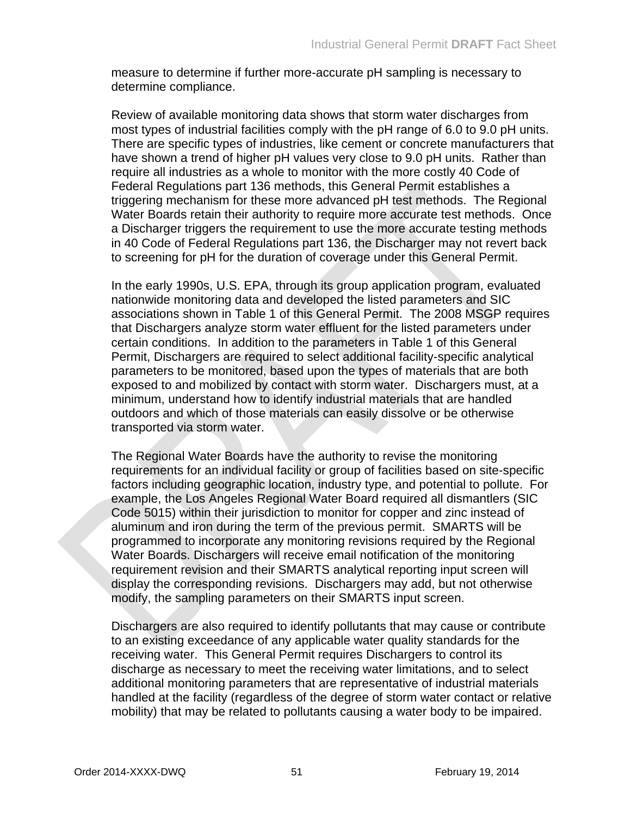measure to determine if further more-accurate pH sampling is necessary to determine compliance.

Review of available monitoring data shows that storm water discharges from most types of industrial facilities comply with the pH range of 6.0 to 9.0 pH units. There are specific types of industries, like cement or concrete manufacturers that have shown a trend of higher pH values very close to 9.0 pH units. Rather than require all industries as a whole to monitor with the more costly 40 Code of Federal Regulations part 136 methods, this General Permit establishes a triggering mechanism for these more advanced pH test methods. The Regional Water Boards retain their authority to require more accurate test methods. Once a Discharger triggers the requirement to use the more accurate testing methods in 40 Code of Federal Regulations part 136, the Discharger may not revert back to screening for pH for the duration of coverage under this General Permit.

In the early 1990s, U.S. EPA, through its group application program, evaluated nationwide monitoring data and developed the listed parameters and SIC associations shown in Table 1 of this General Permit. The 2008 MSGP requires that Dischargers analyze storm water effluent for the listed parameters under certain conditions. In addition to the parameters in Table 1 of this General Permit, Dischargers are required to select additional facility-specific analytical parameters to be monitored, based upon the types of materials that are both exposed to and mobilized by contact with storm water. Dischargers must, at a minimum, understand how to identify industrial materials that are handled outdoors and which of those materials can easily dissolve or be otherwise transported via storm water.

The Regional Water Boards have the authority to revise the monitoring requirements for an individual facility or group of facilities based on site-specific factors including geographic location, industry type, and potential to pollute. For example, the Los Angeles Regional Water Board required all dismantlers (SIC Code 5015) within their jurisdiction to monitor for copper and zinc instead of aluminum and iron during the term of the previous permit. SMARTS will be programmed to incorporate any monitoring revisions required by the Regional Water Boards. Dischargers will receive email notification of the monitoring requirement revision and their SMARTS analytical reporting input screen will display the corresponding revisions. Dischargers may add, but not otherwise modify, the sampling parameters on their SMARTS input screen.

Dischargers are also required to identify pollutants that may cause or contribute to an existing exceedance of any applicable water quality standards for the receiving water. This General Permit requires Dischargers to control its discharge as necessary to meet the receiving water limitations, and to select additional monitoring parameters that are representative of industrial materials handled at the facility (regardless of the degree of storm water contact or relative mobility) that may be related to pollutants causing a water body to be impaired.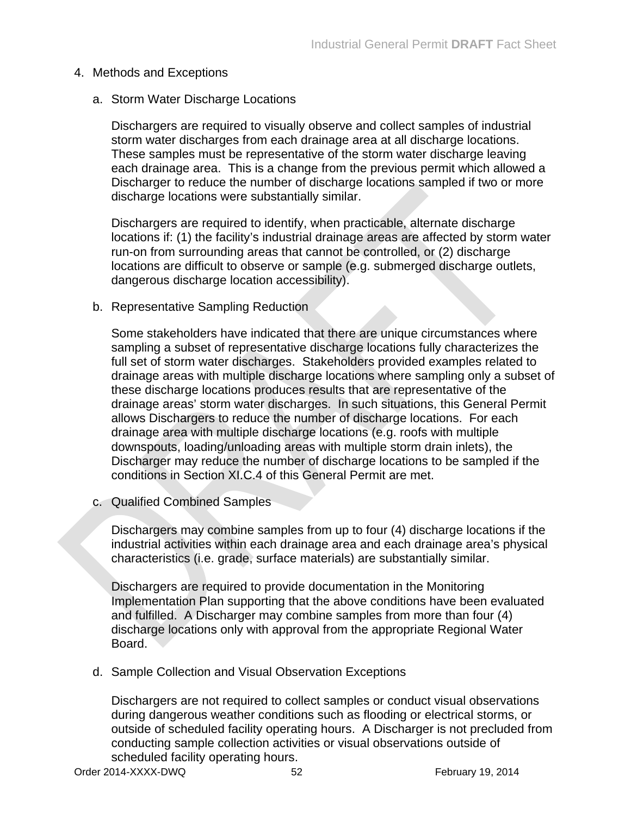### 4. Methods and Exceptions

a. Storm Water Discharge Locations

Dischargers are required to visually observe and collect samples of industrial storm water discharges from each drainage area at all discharge locations. These samples must be representative of the storm water discharge leaving each drainage area. This is a change from the previous permit which allowed a Discharger to reduce the number of discharge locations sampled if two or more discharge locations were substantially similar.

Dischargers are required to identify, when practicable, alternate discharge locations if: (1) the facility's industrial drainage areas are affected by storm water run-on from surrounding areas that cannot be controlled, or (2) discharge locations are difficult to observe or sample (e.g. submerged discharge outlets, dangerous discharge location accessibility).

b. Representative Sampling Reduction

Some stakeholders have indicated that there are unique circumstances where sampling a subset of representative discharge locations fully characterizes the full set of storm water discharges. Stakeholders provided examples related to drainage areas with multiple discharge locations where sampling only a subset of these discharge locations produces results that are representative of the drainage areas' storm water discharges. In such situations, this General Permit allows Dischargers to reduce the number of discharge locations. For each drainage area with multiple discharge locations (e.g. roofs with multiple downspouts, loading/unloading areas with multiple storm drain inlets), the Discharger may reduce the number of discharge locations to be sampled if the conditions in Section XI.C.4 of this General Permit are met.

c. Qualified Combined Samples

Dischargers may combine samples from up to four (4) discharge locations if the industrial activities within each drainage area and each drainage area's physical characteristics (i.e. grade, surface materials) are substantially similar.

Dischargers are required to provide documentation in the Monitoring Implementation Plan supporting that the above conditions have been evaluated and fulfilled. A Discharger may combine samples from more than four (4) discharge locations only with approval from the appropriate Regional Water Board.

d. Sample Collection and Visual Observation Exceptions

Dischargers are not required to collect samples or conduct visual observations during dangerous weather conditions such as flooding or electrical storms, or outside of scheduled facility operating hours. A Discharger is not precluded from conducting sample collection activities or visual observations outside of scheduled facility operating hours.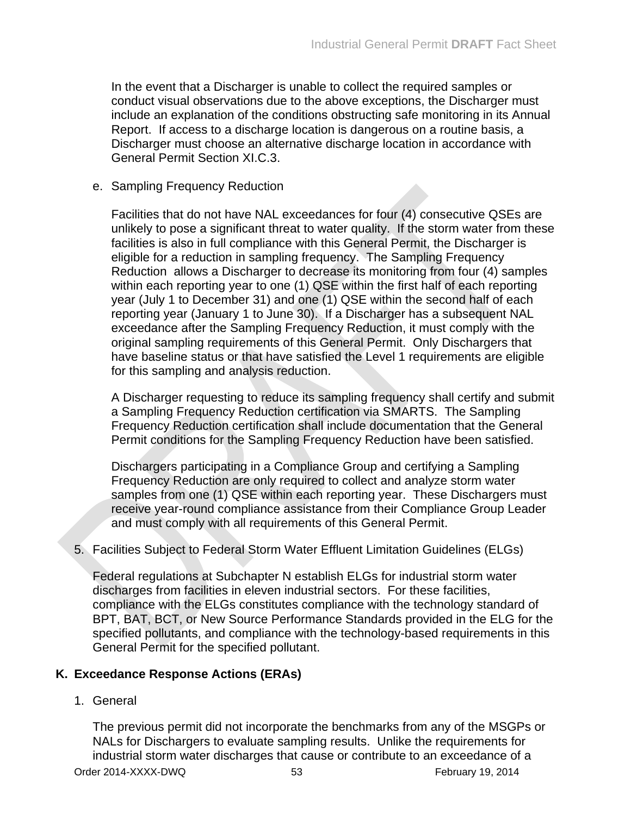In the event that a Discharger is unable to collect the required samples or conduct visual observations due to the above exceptions, the Discharger must include an explanation of the conditions obstructing safe monitoring in its Annual Report. If access to a discharge location is dangerous on a routine basis, a Discharger must choose an alternative discharge location in accordance with General Permit Section XI.C.3.

### e. Sampling Frequency Reduction

Facilities that do not have NAL exceedances for four (4) consecutive QSEs are unlikely to pose a significant threat to water quality. If the storm water from these facilities is also in full compliance with this General Permit, the Discharger is eligible for a reduction in sampling frequency. The Sampling Frequency Reduction allows a Discharger to decrease its monitoring from four (4) samples within each reporting year to one (1) QSE within the first half of each reporting year (July 1 to December 31) and one (1) QSE within the second half of each reporting year (January 1 to June 30). If a Discharger has a subsequent NAL exceedance after the Sampling Frequency Reduction, it must comply with the original sampling requirements of this General Permit. Only Dischargers that have baseline status or that have satisfied the Level 1 requirements are eligible for this sampling and analysis reduction.

A Discharger requesting to reduce its sampling frequency shall certify and submit a Sampling Frequency Reduction certification via SMARTS. The Sampling Frequency Reduction certification shall include documentation that the General Permit conditions for the Sampling Frequency Reduction have been satisfied.

Dischargers participating in a Compliance Group and certifying a Sampling Frequency Reduction are only required to collect and analyze storm water samples from one (1) QSE within each reporting year. These Dischargers must receive year-round compliance assistance from their Compliance Group Leader and must comply with all requirements of this General Permit.

### 5. Facilities Subject to Federal Storm Water Effluent Limitation Guidelines (ELGs)

Federal regulations at Subchapter N establish ELGs for industrial storm water discharges from facilities in eleven industrial sectors. For these facilities, compliance with the ELGs constitutes compliance with the technology standard of BPT, BAT, BCT, or New Source Performance Standards provided in the ELG for the specified pollutants, and compliance with the technology-based requirements in this General Permit for the specified pollutant.

## **K. Exceedance Response Actions (ERAs)**

### 1. General

The previous permit did not incorporate the benchmarks from any of the MSGPs or NALs for Dischargers to evaluate sampling results. Unlike the requirements for industrial storm water discharges that cause or contribute to an exceedance of a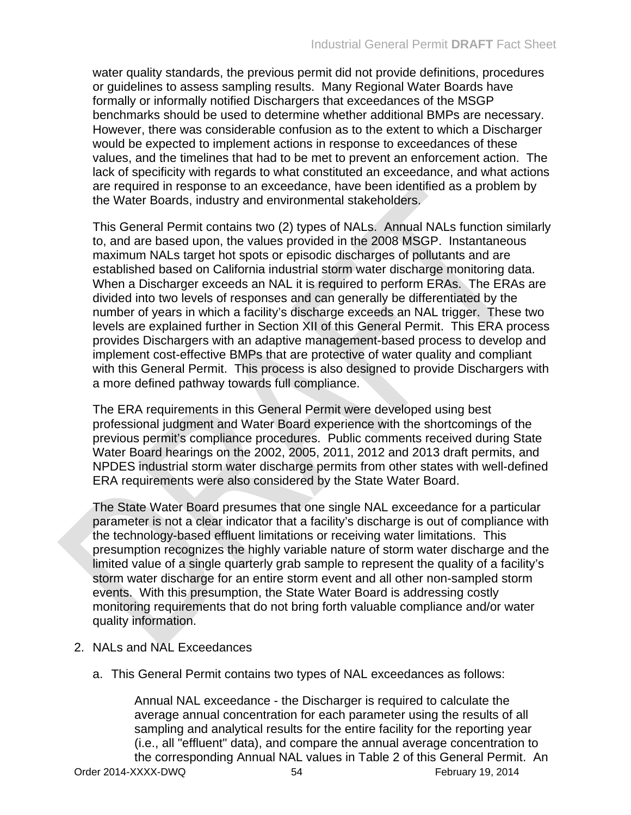water quality standards, the previous permit did not provide definitions, procedures or guidelines to assess sampling results. Many Regional Water Boards have formally or informally notified Dischargers that exceedances of the MSGP benchmarks should be used to determine whether additional BMPs are necessary. However, there was considerable confusion as to the extent to which a Discharger would be expected to implement actions in response to exceedances of these values, and the timelines that had to be met to prevent an enforcement action. The lack of specificity with regards to what constituted an exceedance, and what actions are required in response to an exceedance, have been identified as a problem by the Water Boards, industry and environmental stakeholders.

This General Permit contains two (2) types of NALs. Annual NALs function similarly to, and are based upon, the values provided in the 2008 MSGP. Instantaneous maximum NALs target hot spots or episodic discharges of pollutants and are established based on California industrial storm water discharge monitoring data. When a Discharger exceeds an NAL it is required to perform ERAs. The ERAs are divided into two levels of responses and can generally be differentiated by the number of years in which a facility's discharge exceeds an NAL trigger. These two levels are explained further in Section XII of this General Permit. This ERA process provides Dischargers with an adaptive management-based process to develop and implement cost-effective BMPs that are protective of water quality and compliant with this General Permit. This process is also designed to provide Dischargers with a more defined pathway towards full compliance.

The ERA requirements in this General Permit were developed using best professional judgment and Water Board experience with the shortcomings of the previous permit's compliance procedures. Public comments received during State Water Board hearings on the 2002, 2005, 2011, 2012 and 2013 draft permits, and NPDES industrial storm water discharge permits from other states with well-defined ERA requirements were also considered by the State Water Board.

The State Water Board presumes that one single NAL exceedance for a particular parameter is not a clear indicator that a facility's discharge is out of compliance with the technology-based effluent limitations or receiving water limitations. This presumption recognizes the highly variable nature of storm water discharge and the limited value of a single quarterly grab sample to represent the quality of a facility's storm water discharge for an entire storm event and all other non-sampled storm events. With this presumption, the State Water Board is addressing costly monitoring requirements that do not bring forth valuable compliance and/or water quality information.

- 2. NALs and NAL Exceedances
	- a. This General Permit contains two types of NAL exceedances as follows:

Order 2014-XXXX-DWQ 54 54 February 19, 2014 Annual NAL exceedance - the Discharger is required to calculate the average annual concentration for each parameter using the results of all sampling and analytical results for the entire facility for the reporting year (i.e., all "effluent" data), and compare the annual average concentration to the corresponding Annual NAL values in Table 2 of this General Permit. An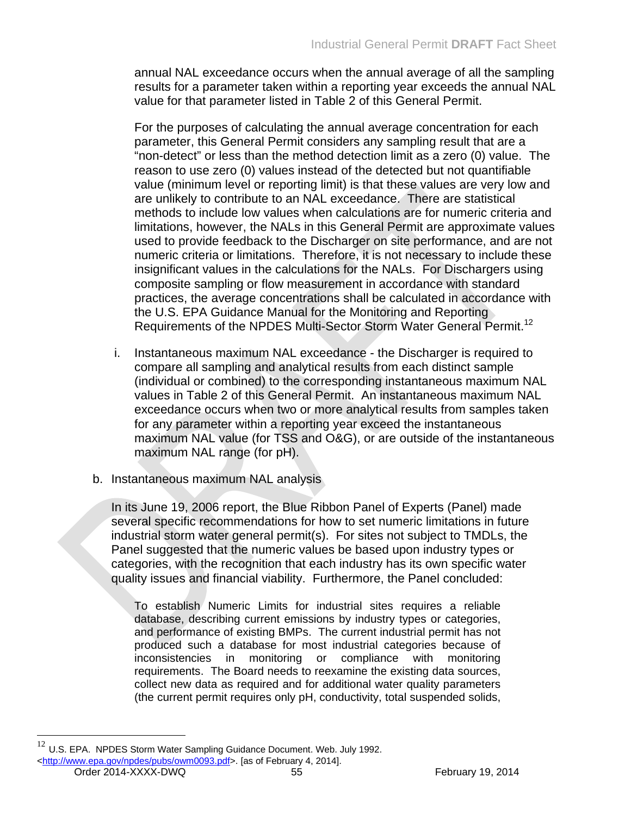annual NAL exceedance occurs when the annual average of all the sampling results for a parameter taken within a reporting year exceeds the annual NAL value for that parameter listed in Table 2 of this General Permit.

For the purposes of calculating the annual average concentration for each parameter, this General Permit considers any sampling result that are a "non-detect" or less than the method detection limit as a zero (0) value. The reason to use zero (0) values instead of the detected but not quantifiable value (minimum level or reporting limit) is that these values are very low and are unlikely to contribute to an NAL exceedance. There are statistical methods to include low values when calculations are for numeric criteria and limitations, however, the NALs in this General Permit are approximate values used to provide feedback to the Discharger on site performance, and are not numeric criteria or limitations. Therefore, it is not necessary to include these insignificant values in the calculations for the NALs. For Dischargers using composite sampling or flow measurement in accordance with standard practices, the average concentrations shall be calculated in accordance with the U.S. EPA Guidance Manual for the Monitoring and Reporting Requirements of the NPDES Multi-Sector Storm Water General Permit.12

- i. Instantaneous maximum NAL exceedance the Discharger is required to compare all sampling and analytical results from each distinct sample (individual or combined) to the corresponding instantaneous maximum NAL values in Table 2 of this General Permit. An instantaneous maximum NAL exceedance occurs when two or more analytical results from samples taken for any parameter within a reporting year exceed the instantaneous maximum NAL value (for TSS and O&G), or are outside of the instantaneous maximum NAL range (for pH).
- b. Instantaneous maximum NAL analysis

In its June 19, 2006 report, the Blue Ribbon Panel of Experts (Panel) made several specific recommendations for how to set numeric limitations in future industrial storm water general permit(s). For sites not subject to TMDLs, the Panel suggested that the numeric values be based upon industry types or categories, with the recognition that each industry has its own specific water quality issues and financial viability. Furthermore, the Panel concluded:

To establish Numeric Limits for industrial sites requires a reliable database, describing current emissions by industry types or categories, and performance of existing BMPs. The current industrial permit has not produced such a database for most industrial categories because of inconsistencies in monitoring or compliance with monitoring requirements. The Board needs to reexamine the existing data sources, collect new data as required and for additional water quality parameters (the current permit requires only pH, conductivity, total suspended solids,

Order 2014-XXXX-DWQ 55 February 19, 2014

 $12$  U.S. EPA. NPDES Storm Water Sampling Guidance Document. Web. July 1992. [<http://www.epa.gov/npdes/pubs/owm0093.pdf>](http://www.epa.gov/npdes/pubs/owm0093.pdf). [as of February 4, 2014].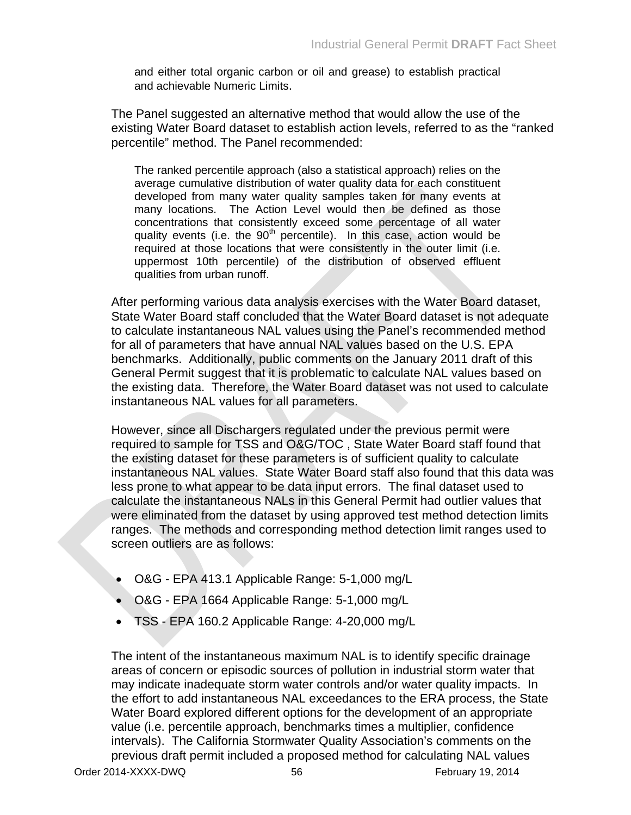and either total organic carbon or oil and grease) to establish practical and achievable Numeric Limits.

The Panel suggested an alternative method that would allow the use of the existing Water Board dataset to establish action levels, referred to as the "ranked percentile" method. The Panel recommended:

The ranked percentile approach (also a statistical approach) relies on the average cumulative distribution of water quality data for each constituent developed from many water quality samples taken for many events at many locations. The Action Level would then be defined as those concentrations that consistently exceed some percentage of all water quality events (i.e. the  $90<sup>th</sup>$  percentile). In this case, action would be required at those locations that were consistently in the outer limit (i.e. uppermost 10th percentile) of the distribution of observed effluent qualities from urban runoff.

After performing various data analysis exercises with the Water Board dataset, State Water Board staff concluded that the Water Board dataset is not adequate to calculate instantaneous NAL values using the Panel's recommended method for all of parameters that have annual NAL values based on the U.S. EPA benchmarks. Additionally, public comments on the January 2011 draft of this General Permit suggest that it is problematic to calculate NAL values based on the existing data. Therefore, the Water Board dataset was not used to calculate instantaneous NAL values for all parameters.

However, since all Dischargers regulated under the previous permit were required to sample for TSS and O&G/TOC , State Water Board staff found that the existing dataset for these parameters is of sufficient quality to calculate instantaneous NAL values. State Water Board staff also found that this data was less prone to what appear to be data input errors. The final dataset used to calculate the instantaneous NALs in this General Permit had outlier values that were eliminated from the dataset by using approved test method detection limits ranges. The methods and corresponding method detection limit ranges used to screen outliers are as follows:

- O&G EPA 413.1 Applicable Range: 5-1,000 mg/L
- O&G EPA 1664 Applicable Range: 5-1,000 mg/L
- TSS EPA 160.2 Applicable Range: 4-20,000 mg/L

The intent of the instantaneous maximum NAL is to identify specific drainage areas of concern or episodic sources of pollution in industrial storm water that may indicate inadequate storm water controls and/or water quality impacts. In the effort to add instantaneous NAL exceedances to the ERA process, the State Water Board explored different options for the development of an appropriate value (i.e. percentile approach, benchmarks times a multiplier, confidence intervals). The California Stormwater Quality Association's comments on the previous draft permit included a proposed method for calculating NAL values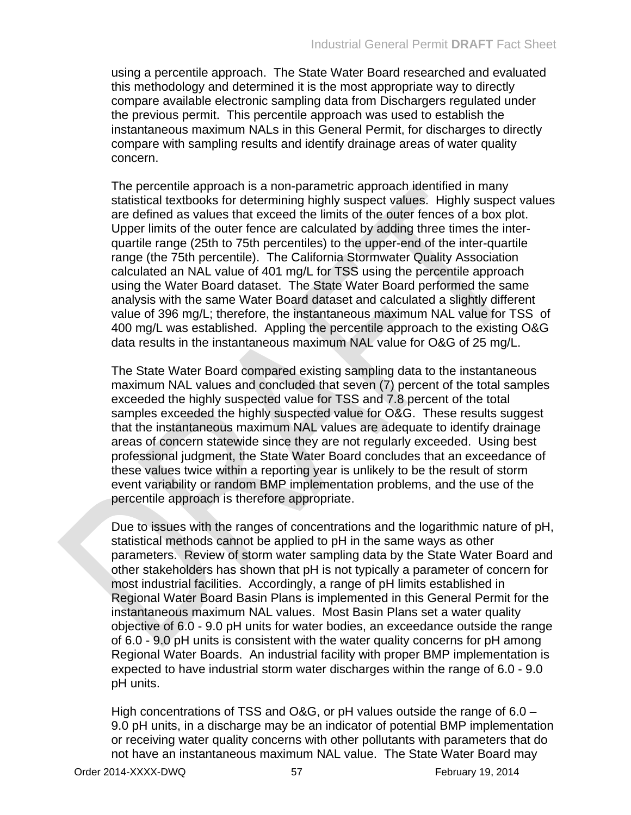using a percentile approach. The State Water Board researched and evaluated this methodology and determined it is the most appropriate way to directly compare available electronic sampling data from Dischargers regulated under the previous permit. This percentile approach was used to establish the instantaneous maximum NALs in this General Permit, for discharges to directly compare with sampling results and identify drainage areas of water quality concern.

The percentile approach is a non-parametric approach identified in many statistical textbooks for determining highly suspect values. Highly suspect values are defined as values that exceed the limits of the outer fences of a box plot. Upper limits of the outer fence are calculated by adding three times the interquartile range (25th to 75th percentiles) to the upper-end of the inter-quartile range (the 75th percentile). The California Stormwater Quality Association calculated an NAL value of 401 mg/L for TSS using the percentile approach using the Water Board dataset. The State Water Board performed the same analysis with the same Water Board dataset and calculated a slightly different value of 396 mg/L; therefore, the instantaneous maximum NAL value for TSS of 400 mg/L was established. Appling the percentile approach to the existing O&G data results in the instantaneous maximum NAL value for O&G of 25 mg/L.

The State Water Board compared existing sampling data to the instantaneous maximum NAL values and concluded that seven (7) percent of the total samples exceeded the highly suspected value for TSS and 7.8 percent of the total samples exceeded the highly suspected value for O&G. These results suggest that the instantaneous maximum NAL values are adequate to identify drainage areas of concern statewide since they are not regularly exceeded. Using best professional judgment, the State Water Board concludes that an exceedance of these values twice within a reporting year is unlikely to be the result of storm event variability or random BMP implementation problems, and the use of the percentile approach is therefore appropriate.

Due to issues with the ranges of concentrations and the logarithmic nature of pH, statistical methods cannot be applied to pH in the same ways as other parameters. Review of storm water sampling data by the State Water Board and other stakeholders has shown that pH is not typically a parameter of concern for most industrial facilities. Accordingly, a range of pH limits established in Regional Water Board Basin Plans is implemented in this General Permit for the instantaneous maximum NAL values. Most Basin Plans set a water quality objective of 6.0 - 9.0 pH units for water bodies, an exceedance outside the range of 6.0 - 9.0 pH units is consistent with the water quality concerns for pH among Regional Water Boards. An industrial facility with proper BMP implementation is expected to have industrial storm water discharges within the range of 6.0 - 9.0 pH units.

High concentrations of TSS and O&G, or pH values outside the range of 6.0 – 9.0 pH units, in a discharge may be an indicator of potential BMP implementation or receiving water quality concerns with other pollutants with parameters that do not have an instantaneous maximum NAL value. The State Water Board may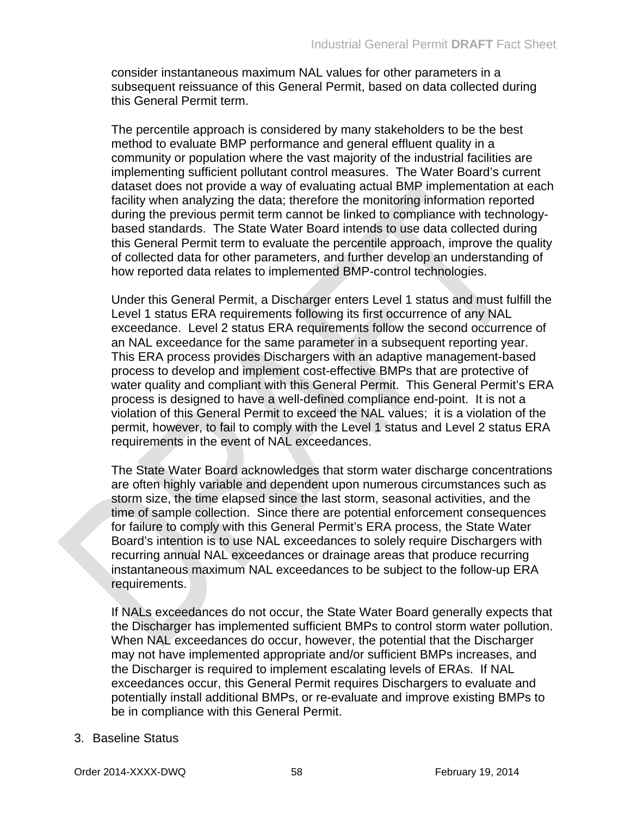consider instantaneous maximum NAL values for other parameters in a subsequent reissuance of this General Permit, based on data collected during this General Permit term.

The percentile approach is considered by many stakeholders to be the best method to evaluate BMP performance and general effluent quality in a community or population where the vast majority of the industrial facilities are implementing sufficient pollutant control measures. The Water Board's current dataset does not provide a way of evaluating actual BMP implementation at each facility when analyzing the data; therefore the monitoring information reported during the previous permit term cannot be linked to compliance with technologybased standards. The State Water Board intends to use data collected during this General Permit term to evaluate the percentile approach, improve the quality of collected data for other parameters, and further develop an understanding of how reported data relates to implemented BMP-control technologies.

Under this General Permit, a Discharger enters Level 1 status and must fulfill the Level 1 status ERA requirements following its first occurrence of any NAL exceedance. Level 2 status ERA requirements follow the second occurrence of an NAL exceedance for the same parameter in a subsequent reporting year. This ERA process provides Dischargers with an adaptive management-based process to develop and implement cost-effective BMPs that are protective of water quality and compliant with this General Permit. This General Permit's ERA process is designed to have a well-defined compliance end-point. It is not a violation of this General Permit to exceed the NAL values; it is a violation of the permit, however, to fail to comply with the Level 1 status and Level 2 status ERA requirements in the event of NAL exceedances.

The State Water Board acknowledges that storm water discharge concentrations are often highly variable and dependent upon numerous circumstances such as storm size, the time elapsed since the last storm, seasonal activities, and the time of sample collection. Since there are potential enforcement consequences for failure to comply with this General Permit's ERA process, the State Water Board's intention is to use NAL exceedances to solely require Dischargers with recurring annual NAL exceedances or drainage areas that produce recurring instantaneous maximum NAL exceedances to be subject to the follow-up ERA requirements.

If NALs exceedances do not occur, the State Water Board generally expects that the Discharger has implemented sufficient BMPs to control storm water pollution. When NAL exceedances do occur, however, the potential that the Discharger may not have implemented appropriate and/or sufficient BMPs increases, and the Discharger is required to implement escalating levels of ERAs. If NAL exceedances occur, this General Permit requires Dischargers to evaluate and potentially install additional BMPs, or re-evaluate and improve existing BMPs to be in compliance with this General Permit.

### 3. Baseline Status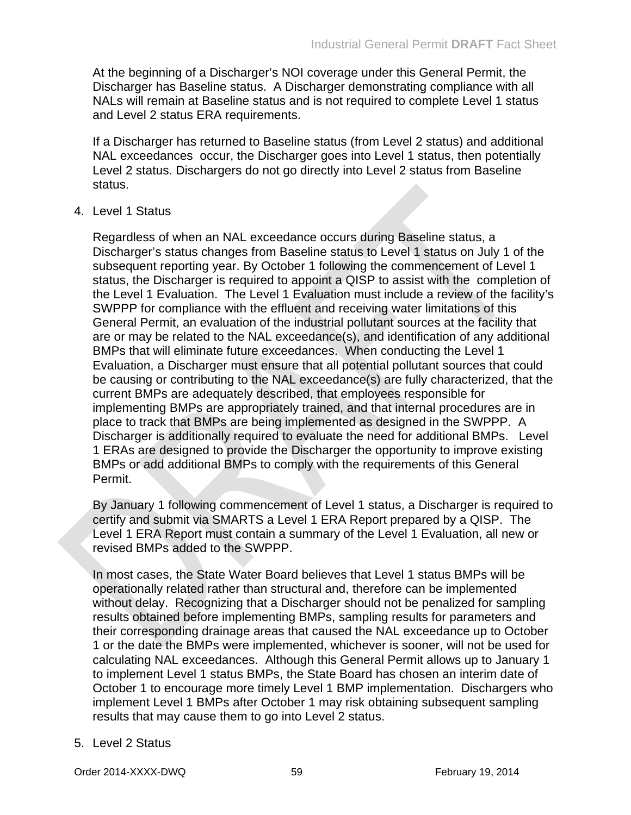At the beginning of a Discharger's NOI coverage under this General Permit, the Discharger has Baseline status. A Discharger demonstrating compliance with all NALs will remain at Baseline status and is not required to complete Level 1 status and Level 2 status ERA requirements.

If a Discharger has returned to Baseline status (from Level 2 status) and additional NAL exceedances occur, the Discharger goes into Level 1 status, then potentially Level 2 status. Dischargers do not go directly into Level 2 status from Baseline status.

4. Level 1 Status

Regardless of when an NAL exceedance occurs during Baseline status, a Discharger's status changes from Baseline status to Level 1 status on July 1 of the subsequent reporting year. By October 1 following the commencement of Level 1 status, the Discharger is required to appoint a QISP to assist with the completion of the Level 1 Evaluation. The Level 1 Evaluation must include a review of the facility's SWPPP for compliance with the effluent and receiving water limitations of this General Permit, an evaluation of the industrial pollutant sources at the facility that are or may be related to the NAL exceedance(s), and identification of any additional BMPs that will eliminate future exceedances. When conducting the Level 1 Evaluation, a Discharger must ensure that all potential pollutant sources that could be causing or contributing to the NAL exceedance(s) are fully characterized, that the current BMPs are adequately described, that employees responsible for implementing BMPs are appropriately trained, and that internal procedures are in place to track that BMPs are being implemented as designed in the SWPPP. A Discharger is additionally required to evaluate the need for additional BMPs. Level 1 ERAs are designed to provide the Discharger the opportunity to improve existing BMPs or add additional BMPs to comply with the requirements of this General Permit.

By January 1 following commencement of Level 1 status, a Discharger is required to certify and submit via SMARTS a Level 1 ERA Report prepared by a QISP. The Level 1 ERA Report must contain a summary of the Level 1 Evaluation, all new or revised BMPs added to the SWPPP.

In most cases, the State Water Board believes that Level 1 status BMPs will be operationally related rather than structural and, therefore can be implemented without delay. Recognizing that a Discharger should not be penalized for sampling results obtained before implementing BMPs, sampling results for parameters and their corresponding drainage areas that caused the NAL exceedance up to October 1 or the date the BMPs were implemented, whichever is sooner, will not be used for calculating NAL exceedances. Although this General Permit allows up to January 1 to implement Level 1 status BMPs, the State Board has chosen an interim date of October 1 to encourage more timely Level 1 BMP implementation. Dischargers who implement Level 1 BMPs after October 1 may risk obtaining subsequent sampling results that may cause them to go into Level 2 status.

5. Level 2 Status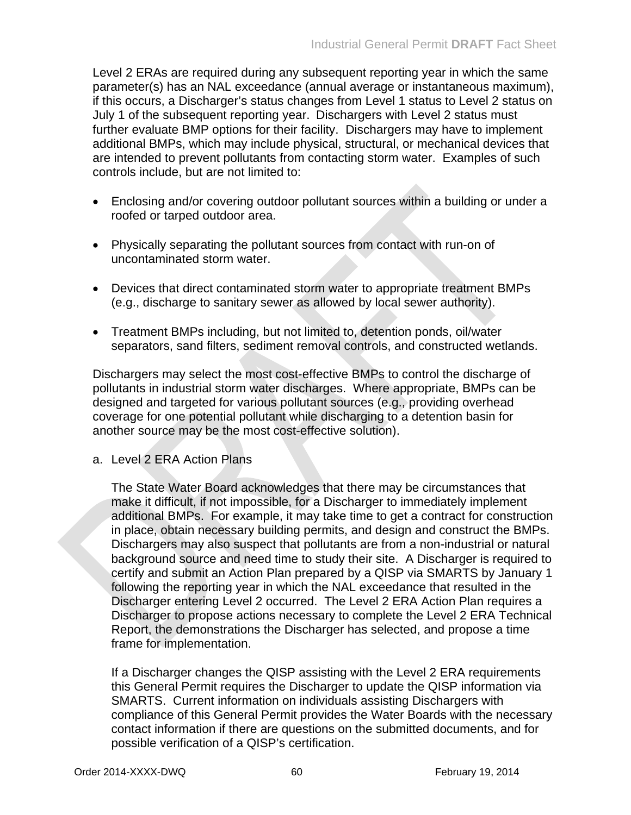Level 2 ERAs are required during any subsequent reporting year in which the same parameter(s) has an NAL exceedance (annual average or instantaneous maximum), if this occurs, a Discharger's status changes from Level 1 status to Level 2 status on July 1 of the subsequent reporting year. Dischargers with Level 2 status must further evaluate BMP options for their facility. Dischargers may have to implement additional BMPs, which may include physical, structural, or mechanical devices that are intended to prevent pollutants from contacting storm water. Examples of such controls include, but are not limited to:

- Enclosing and/or covering outdoor pollutant sources within a building or under a roofed or tarped outdoor area.
- Physically separating the pollutant sources from contact with run-on of uncontaminated storm water.
- Devices that direct contaminated storm water to appropriate treatment BMPs (e.g., discharge to sanitary sewer as allowed by local sewer authority).
- Treatment BMPs including, but not limited to, detention ponds, oil/water separators, sand filters, sediment removal controls, and constructed wetlands.

Dischargers may select the most cost-effective BMPs to control the discharge of pollutants in industrial storm water discharges. Where appropriate, BMPs can be designed and targeted for various pollutant sources (e.g., providing overhead coverage for one potential pollutant while discharging to a detention basin for another source may be the most cost-effective solution).

a. Level 2 ERA Action Plans

The State Water Board acknowledges that there may be circumstances that make it difficult, if not impossible, for a Discharger to immediately implement additional BMPs. For example, it may take time to get a contract for construction in place, obtain necessary building permits, and design and construct the BMPs. Dischargers may also suspect that pollutants are from a non-industrial or natural background source and need time to study their site. A Discharger is required to certify and submit an Action Plan prepared by a QISP via SMARTS by January 1 following the reporting year in which the NAL exceedance that resulted in the Discharger entering Level 2 occurred. The Level 2 ERA Action Plan requires a Discharger to propose actions necessary to complete the Level 2 ERA Technical Report, the demonstrations the Discharger has selected, and propose a time frame for implementation.

If a Discharger changes the QISP assisting with the Level 2 ERA requirements this General Permit requires the Discharger to update the QISP information via SMARTS. Current information on individuals assisting Dischargers with compliance of this General Permit provides the Water Boards with the necessary contact information if there are questions on the submitted documents, and for possible verification of a QISP's certification.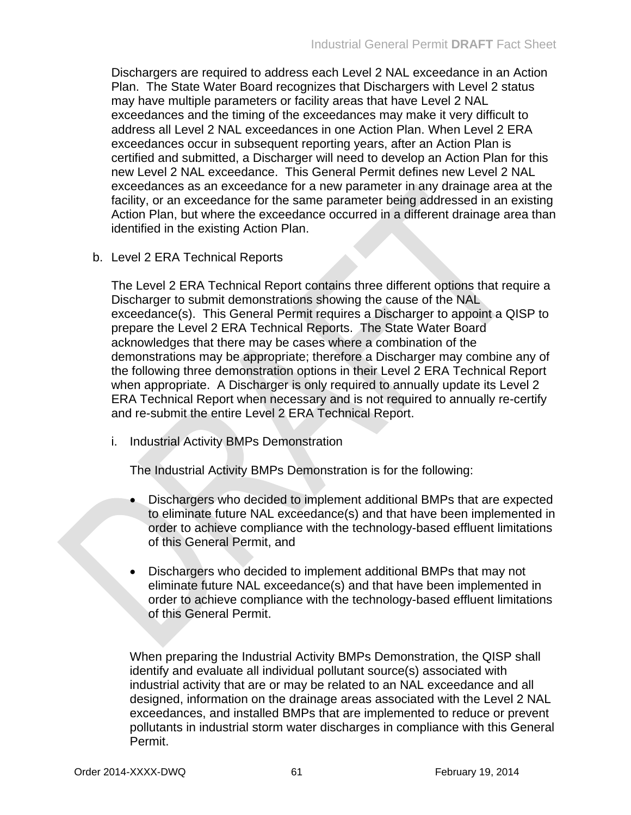Dischargers are required to address each Level 2 NAL exceedance in an Action Plan. The State Water Board recognizes that Dischargers with Level 2 status may have multiple parameters or facility areas that have Level 2 NAL exceedances and the timing of the exceedances may make it very difficult to address all Level 2 NAL exceedances in one Action Plan. When Level 2 ERA exceedances occur in subsequent reporting years, after an Action Plan is certified and submitted, a Discharger will need to develop an Action Plan for this new Level 2 NAL exceedance. This General Permit defines new Level 2 NAL exceedances as an exceedance for a new parameter in any drainage area at the facility, or an exceedance for the same parameter being addressed in an existing Action Plan, but where the exceedance occurred in a different drainage area than identified in the existing Action Plan.

b. Level 2 ERA Technical Reports

The Level 2 ERA Technical Report contains three different options that require a Discharger to submit demonstrations showing the cause of the NAL exceedance(s). This General Permit requires a Discharger to appoint a QISP to prepare the Level 2 ERA Technical Reports. The State Water Board acknowledges that there may be cases where a combination of the demonstrations may be appropriate; therefore a Discharger may combine any of the following three demonstration options in their Level 2 ERA Technical Report when appropriate. A Discharger is only required to annually update its Level 2 ERA Technical Report when necessary and is not required to annually re-certify and re-submit the entire Level 2 ERA Technical Report.

i. Industrial Activity BMPs Demonstration

The Industrial Activity BMPs Demonstration is for the following:

- Dischargers who decided to implement additional BMPs that are expected to eliminate future NAL exceedance(s) and that have been implemented in order to achieve compliance with the technology-based effluent limitations of this General Permit, and
- Dischargers who decided to implement additional BMPs that may not eliminate future NAL exceedance(s) and that have been implemented in order to achieve compliance with the technology-based effluent limitations of this General Permit.

When preparing the Industrial Activity BMPs Demonstration, the QISP shall identify and evaluate all individual pollutant source(s) associated with industrial activity that are or may be related to an NAL exceedance and all designed, information on the drainage areas associated with the Level 2 NAL exceedances, and installed BMPs that are implemented to reduce or prevent pollutants in industrial storm water discharges in compliance with this General Permit.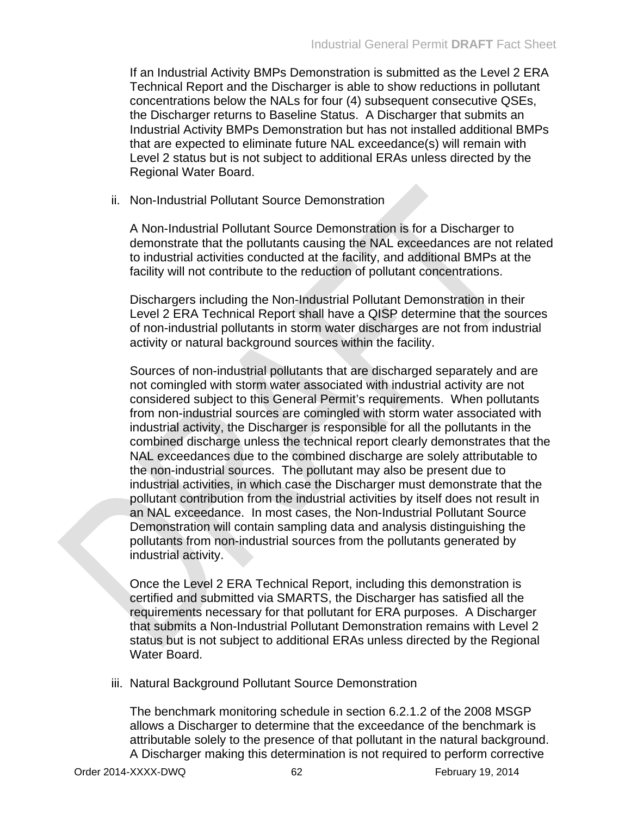If an Industrial Activity BMPs Demonstration is submitted as the Level 2 ERA Technical Report and the Discharger is able to show reductions in pollutant concentrations below the NALs for four (4) subsequent consecutive QSEs, the Discharger returns to Baseline Status. A Discharger that submits an Industrial Activity BMPs Demonstration but has not installed additional BMPs that are expected to eliminate future NAL exceedance(s) will remain with Level 2 status but is not subject to additional ERAs unless directed by the Regional Water Board.

ii. Non-Industrial Pollutant Source Demonstration

A Non-Industrial Pollutant Source Demonstration is for a Discharger to demonstrate that the pollutants causing the NAL exceedances are not related to industrial activities conducted at the facility, and additional BMPs at the facility will not contribute to the reduction of pollutant concentrations.

Dischargers including the Non-Industrial Pollutant Demonstration in their Level 2 ERA Technical Report shall have a QISP determine that the sources of non-industrial pollutants in storm water discharges are not from industrial activity or natural background sources within the facility.

Sources of non-industrial pollutants that are discharged separately and are not comingled with storm water associated with industrial activity are not considered subject to this General Permit's requirements. When pollutants from non-industrial sources are comingled with storm water associated with industrial activity, the Discharger is responsible for all the pollutants in the combined discharge unless the technical report clearly demonstrates that the NAL exceedances due to the combined discharge are solely attributable to the non-industrial sources. The pollutant may also be present due to industrial activities, in which case the Discharger must demonstrate that the pollutant contribution from the industrial activities by itself does not result in an NAL exceedance. In most cases, the Non-Industrial Pollutant Source Demonstration will contain sampling data and analysis distinguishing the pollutants from non-industrial sources from the pollutants generated by industrial activity.

Once the Level 2 ERA Technical Report, including this demonstration is certified and submitted via SMARTS, the Discharger has satisfied all the requirements necessary for that pollutant for ERA purposes. A Discharger that submits a Non-Industrial Pollutant Demonstration remains with Level 2 status but is not subject to additional ERAs unless directed by the Regional Water Board.

iii. Natural Background Pollutant Source Demonstration

The benchmark monitoring schedule in section 6.2.1.2 of the 2008 MSGP allows a Discharger to determine that the exceedance of the benchmark is attributable solely to the presence of that pollutant in the natural background. A Discharger making this determination is not required to perform corrective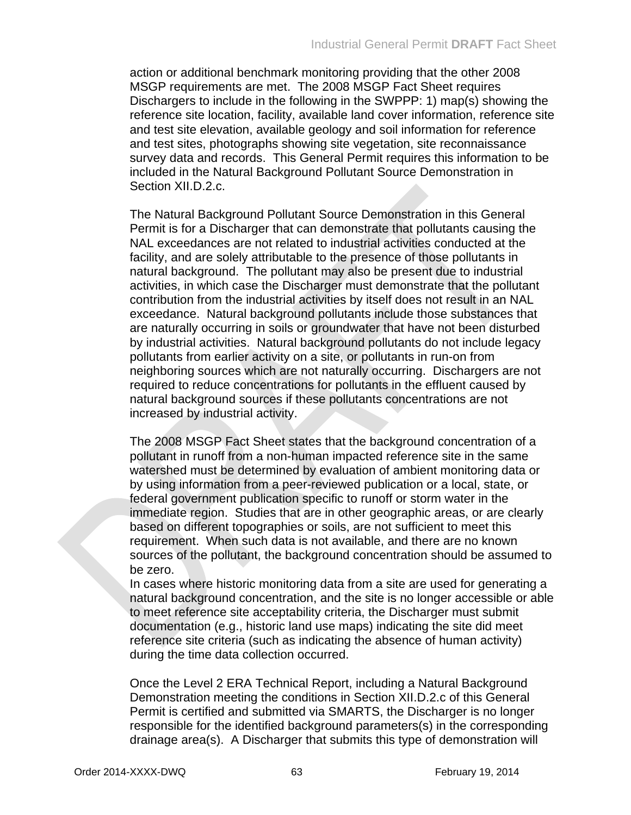action or additional benchmark monitoring providing that the other 2008 MSGP requirements are met. The 2008 MSGP Fact Sheet requires Dischargers to include in the following in the SWPPP: 1) map(s) showing the reference site location, facility, available land cover information, reference site and test site elevation, available geology and soil information for reference and test sites, photographs showing site vegetation, site reconnaissance survey data and records. This General Permit requires this information to be included in the Natural Background Pollutant Source Demonstration in Section XII.D.2.c.

The Natural Background Pollutant Source Demonstration in this General Permit is for a Discharger that can demonstrate that pollutants causing the NAL exceedances are not related to industrial activities conducted at the facility, and are solely attributable to the presence of those pollutants in natural background. The pollutant may also be present due to industrial activities, in which case the Discharger must demonstrate that the pollutant contribution from the industrial activities by itself does not result in an NAL exceedance. Natural background pollutants include those substances that are naturally occurring in soils or groundwater that have not been disturbed by industrial activities. Natural background pollutants do not include legacy pollutants from earlier activity on a site, or pollutants in run-on from neighboring sources which are not naturally occurring. Dischargers are not required to reduce concentrations for pollutants in the effluent caused by natural background sources if these pollutants concentrations are not increased by industrial activity.

The 2008 MSGP Fact Sheet states that the background concentration of a pollutant in runoff from a non-human impacted reference site in the same watershed must be determined by evaluation of ambient monitoring data or by using information from a peer-reviewed publication or a local, state, or federal government publication specific to runoff or storm water in the immediate region. Studies that are in other geographic areas, or are clearly based on different topographies or soils, are not sufficient to meet this requirement. When such data is not available, and there are no known sources of the pollutant, the background concentration should be assumed to be zero.

In cases where historic monitoring data from a site are used for generating a natural background concentration, and the site is no longer accessible or able to meet reference site acceptability criteria, the Discharger must submit documentation (e.g., historic land use maps) indicating the site did meet reference site criteria (such as indicating the absence of human activity) during the time data collection occurred.

Once the Level 2 ERA Technical Report, including a Natural Background Demonstration meeting the conditions in Section XII.D.2.c of this General Permit is certified and submitted via SMARTS, the Discharger is no longer responsible for the identified background parameters(s) in the corresponding drainage area(s). A Discharger that submits this type of demonstration will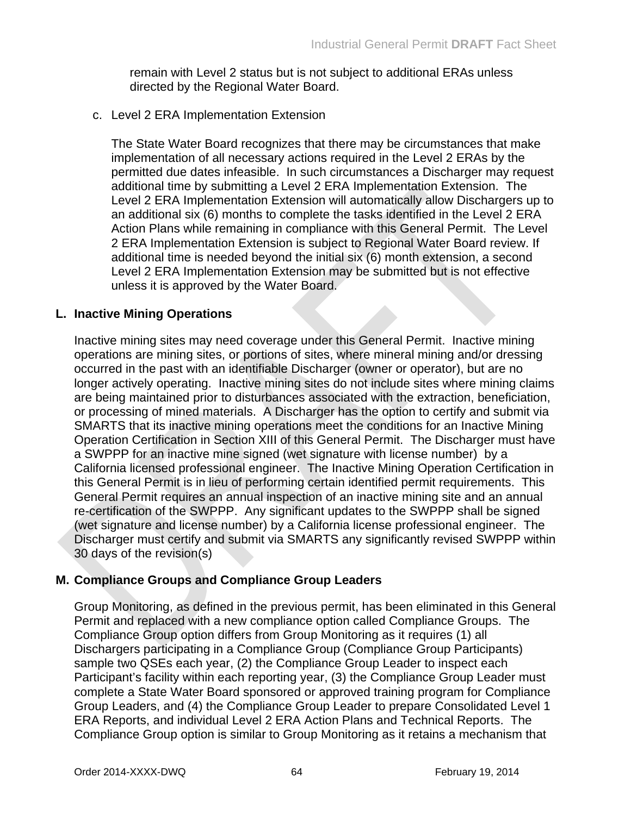remain with Level 2 status but is not subject to additional ERAs unless directed by the Regional Water Board.

### c. Level 2 ERA Implementation Extension

The State Water Board recognizes that there may be circumstances that make implementation of all necessary actions required in the Level 2 ERAs by the permitted due dates infeasible. In such circumstances a Discharger may request additional time by submitting a Level 2 ERA Implementation Extension. The Level 2 ERA Implementation Extension will automatically allow Dischargers up to an additional six (6) months to complete the tasks identified in the Level 2 ERA Action Plans while remaining in compliance with this General Permit. The Level 2 ERA Implementation Extension is subject to Regional Water Board review. If additional time is needed beyond the initial six (6) month extension, a second Level 2 ERA Implementation Extension may be submitted but is not effective unless it is approved by the Water Board.

### **L. Inactive Mining Operations**

Inactive mining sites may need coverage under this General Permit. Inactive mining operations are mining sites, or portions of sites, where mineral mining and/or dressing occurred in the past with an identifiable Discharger (owner or operator), but are no longer actively operating. Inactive mining sites do not include sites where mining claims are being maintained prior to disturbances associated with the extraction, beneficiation, or processing of mined materials. A Discharger has the option to certify and submit via SMARTS that its inactive mining operations meet the conditions for an Inactive Mining Operation Certification in Section XIII of this General Permit. The Discharger must have a SWPPP for an inactive mine signed (wet signature with license number) by a California licensed professional engineer. The Inactive Mining Operation Certification in this General Permit is in lieu of performing certain identified permit requirements. This General Permit requires an annual inspection of an inactive mining site and an annual re-certification of the SWPPP. Any significant updates to the SWPPP shall be signed (wet signature and license number) by a California license professional engineer. The Discharger must certify and submit via SMARTS any significantly revised SWPPP within 30 days of the revision(s)

## **M. Compliance Groups and Compliance Group Leaders**

Group Monitoring, as defined in the previous permit, has been eliminated in this General Permit and replaced with a new compliance option called Compliance Groups. The Compliance Group option differs from Group Monitoring as it requires (1) all Dischargers participating in a Compliance Group (Compliance Group Participants) sample two QSEs each year, (2) the Compliance Group Leader to inspect each Participant's facility within each reporting year, (3) the Compliance Group Leader must complete a State Water Board sponsored or approved training program for Compliance Group Leaders, and (4) the Compliance Group Leader to prepare Consolidated Level 1 ERA Reports, and individual Level 2 ERA Action Plans and Technical Reports. The Compliance Group option is similar to Group Monitoring as it retains a mechanism that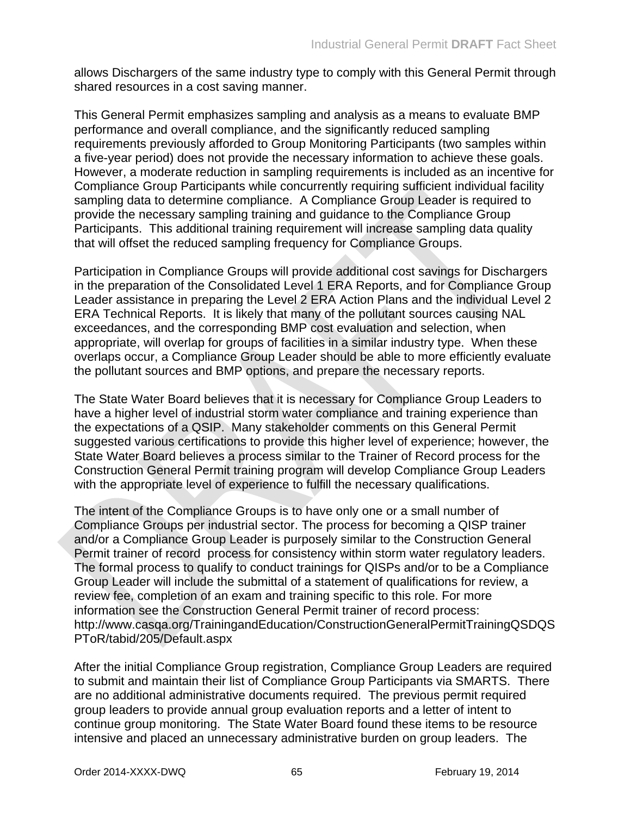allows Dischargers of the same industry type to comply with this General Permit through shared resources in a cost saving manner.

This General Permit emphasizes sampling and analysis as a means to evaluate BMP performance and overall compliance, and the significantly reduced sampling requirements previously afforded to Group Monitoring Participants (two samples within a five-year period) does not provide the necessary information to achieve these goals. However, a moderate reduction in sampling requirements is included as an incentive for Compliance Group Participants while concurrently requiring sufficient individual facility sampling data to determine compliance. A Compliance Group Leader is required to provide the necessary sampling training and guidance to the Compliance Group Participants. This additional training requirement will increase sampling data quality that will offset the reduced sampling frequency for Compliance Groups.

Participation in Compliance Groups will provide additional cost savings for Dischargers in the preparation of the Consolidated Level 1 ERA Reports, and for Compliance Group Leader assistance in preparing the Level 2 ERA Action Plans and the individual Level 2 ERA Technical Reports. It is likely that many of the pollutant sources causing NAL exceedances, and the corresponding BMP cost evaluation and selection, when appropriate, will overlap for groups of facilities in a similar industry type. When these overlaps occur, a Compliance Group Leader should be able to more efficiently evaluate the pollutant sources and BMP options, and prepare the necessary reports.

The State Water Board believes that it is necessary for Compliance Group Leaders to have a higher level of industrial storm water compliance and training experience than the expectations of a QSIP. Many stakeholder comments on this General Permit suggested various certifications to provide this higher level of experience; however, the State Water Board believes a process similar to the Trainer of Record process for the Construction General Permit training program will develop Compliance Group Leaders with the appropriate level of experience to fulfill the necessary qualifications.

The intent of the Compliance Groups is to have only one or a small number of Compliance Groups per industrial sector. The process for becoming a QISP trainer and/or a Compliance Group Leader is purposely similar to the Construction General Permit trainer of record process for consistency within storm water regulatory leaders. The formal process to qualify to conduct trainings for QISPs and/or to be a Compliance Group Leader will include the submittal of a statement of qualifications for review, a review fee, completion of an exam and training specific to this role. For more information see the Construction General Permit trainer of record process: http://www.casqa.org/TrainingandEducation/ConstructionGeneralPermitTrainingQSDQS PToR/tabid/205/Default.aspx

After the initial Compliance Group registration, Compliance Group Leaders are required to submit and maintain their list of Compliance Group Participants via SMARTS. There are no additional administrative documents required. The previous permit required group leaders to provide annual group evaluation reports and a letter of intent to continue group monitoring. The State Water Board found these items to be resource intensive and placed an unnecessary administrative burden on group leaders. The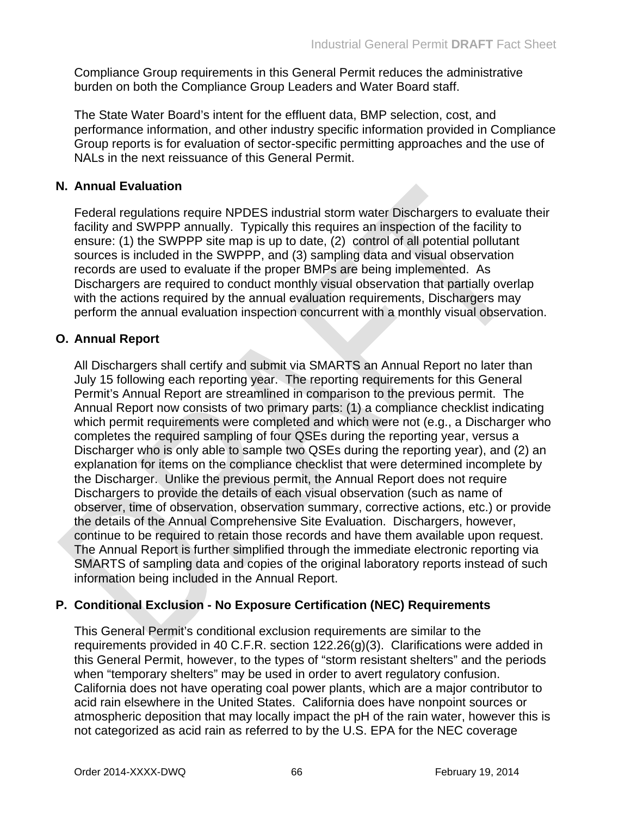Compliance Group requirements in this General Permit reduces the administrative burden on both the Compliance Group Leaders and Water Board staff.

The State Water Board's intent for the effluent data, BMP selection, cost, and performance information, and other industry specific information provided in Compliance Group reports is for evaluation of sector-specific permitting approaches and the use of NALs in the next reissuance of this General Permit.

## **N. Annual Evaluation**

Federal regulations require NPDES industrial storm water Dischargers to evaluate their facility and SWPPP annually. Typically this requires an inspection of the facility to ensure: (1) the SWPPP site map is up to date, (2) control of all potential pollutant sources is included in the SWPPP, and (3) sampling data and visual observation records are used to evaluate if the proper BMPs are being implemented. As Dischargers are required to conduct monthly visual observation that partially overlap with the actions required by the annual evaluation requirements, Dischargers may perform the annual evaluation inspection concurrent with a monthly visual observation.

# **O. Annual Report**

All Dischargers shall certify and submit via SMARTS an Annual Report no later than July 15 following each reporting year. The reporting requirements for this General Permit's Annual Report are streamlined in comparison to the previous permit. The Annual Report now consists of two primary parts: (1) a compliance checklist indicating which permit requirements were completed and which were not (e.g., a Discharger who completes the required sampling of four QSEs during the reporting year, versus a Discharger who is only able to sample two QSEs during the reporting year), and (2) an explanation for items on the compliance checklist that were determined incomplete by the Discharger. Unlike the previous permit, the Annual Report does not require Dischargers to provide the details of each visual observation (such as name of observer, time of observation, observation summary, corrective actions, etc.) or provide the details of the Annual Comprehensive Site Evaluation. Dischargers, however, continue to be required to retain those records and have them available upon request. The Annual Report is further simplified through the immediate electronic reporting via SMARTS of sampling data and copies of the original laboratory reports instead of such information being included in the Annual Report.

## **P. Conditional Exclusion - No Exposure Certification (NEC) Requirements**

This General Permit's conditional exclusion requirements are similar to the requirements provided in 40 C.F.R. section 122.26(g)(3). Clarifications were added in this General Permit, however, to the types of "storm resistant shelters" and the periods when "temporary shelters" may be used in order to avert regulatory confusion. California does not have operating coal power plants, which are a major contributor to acid rain elsewhere in the United States. California does have nonpoint sources or atmospheric deposition that may locally impact the pH of the rain water, however this is not categorized as acid rain as referred to by the U.S. EPA for the NEC coverage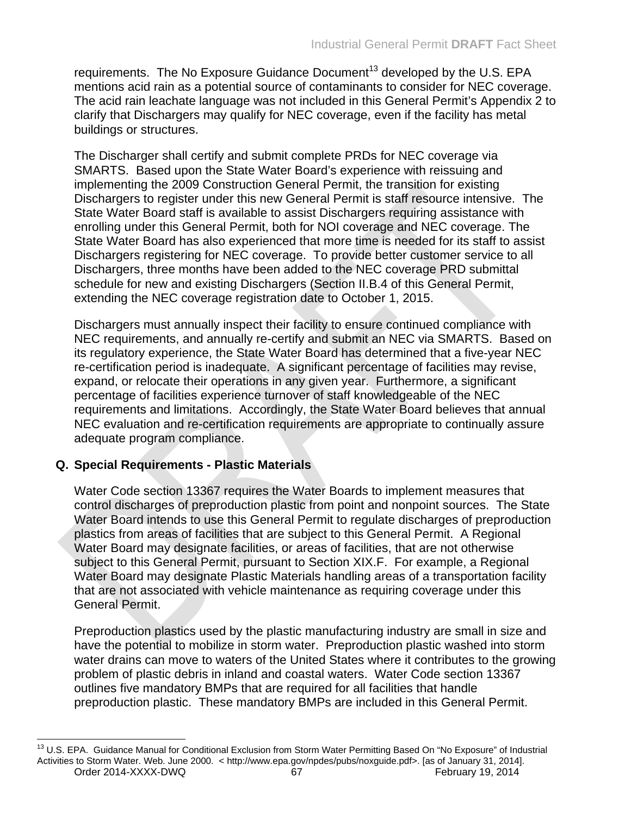requirements. The No Exposure Guidance Document<sup>13</sup> developed by the U.S. EPA mentions acid rain as a potential source of contaminants to consider for NEC coverage. The acid rain leachate language was not included in this General Permit's Appendix 2 to clarify that Dischargers may qualify for NEC coverage, even if the facility has metal buildings or structures.

The Discharger shall certify and submit complete PRDs for NEC coverage via SMARTS. Based upon the State Water Board's experience with reissuing and implementing the 2009 Construction General Permit, the transition for existing Dischargers to register under this new General Permit is staff resource intensive. The State Water Board staff is available to assist Dischargers requiring assistance with enrolling under this General Permit, both for NOI coverage and NEC coverage. The State Water Board has also experienced that more time is needed for its staff to assist Dischargers registering for NEC coverage. To provide better customer service to all Dischargers, three months have been added to the NEC coverage PRD submittal schedule for new and existing Dischargers (Section II.B.4 of this General Permit, extending the NEC coverage registration date to October 1, 2015.

Dischargers must annually inspect their facility to ensure continued compliance with NEC requirements, and annually re-certify and submit an NEC via SMARTS. Based on its regulatory experience, the State Water Board has determined that a five-year NEC re-certification period is inadequate. A significant percentage of facilities may revise, expand, or relocate their operations in any given year. Furthermore, a significant percentage of facilities experience turnover of staff knowledgeable of the NEC requirements and limitations. Accordingly, the State Water Board believes that annual NEC evaluation and re-certification requirements are appropriate to continually assure adequate program compliance.

## **Q. Special Requirements - Plastic Materials**

Water Code section 13367 requires the Water Boards to implement measures that control discharges of preproduction plastic from point and nonpoint sources. The State Water Board intends to use this General Permit to regulate discharges of preproduction plastics from areas of facilities that are subject to this General Permit. A Regional Water Board may designate facilities, or areas of facilities, that are not otherwise subject to this General Permit, pursuant to Section XIX.F. For example, a Regional Water Board may designate Plastic Materials handling areas of a transportation facility that are not associated with vehicle maintenance as requiring coverage under this General Permit.

Preproduction plastics used by the plastic manufacturing industry are small in size and have the potential to mobilize in storm water. Preproduction plastic washed into storm water drains can move to waters of the United States where it contributes to the growing problem of plastic debris in inland and coastal waters. Water Code section 13367 outlines five mandatory BMPs that are required for all facilities that handle preproduction plastic. These mandatory BMPs are included in this General Permit.

Order 2014-XXXX-DWQ 67 667 February 19, 2014 <sup>13</sup> U.S. EPA. Guidance Manual for Conditional Exclusion from Storm Water Permitting Based On "No Exposure" of Industrial Activities to Storm Water. Web. June 2000. < http://www.epa.gov/npdes/pubs/noxguide.pdf>. [as of January 31, 2014].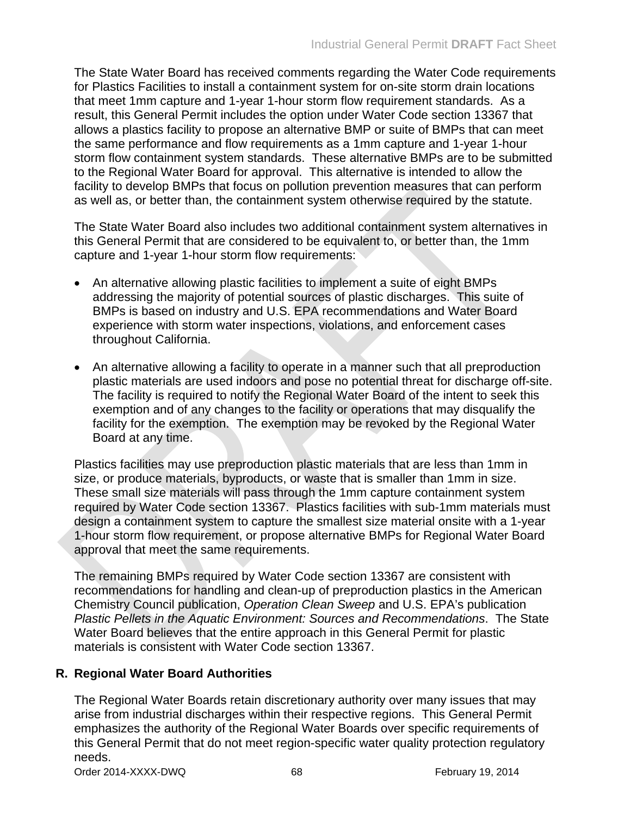The State Water Board has received comments regarding the Water Code requirements for Plastics Facilities to install a containment system for on-site storm drain locations that meet 1mm capture and 1-year 1-hour storm flow requirement standards. As a result, this General Permit includes the option under Water Code section 13367 that allows a plastics facility to propose an alternative BMP or suite of BMPs that can meet the same performance and flow requirements as a 1mm capture and 1-year 1-hour storm flow containment system standards. These alternative BMPs are to be submitted to the Regional Water Board for approval. This alternative is intended to allow the facility to develop BMPs that focus on pollution prevention measures that can perform as well as, or better than, the containment system otherwise required by the statute.

The State Water Board also includes two additional containment system alternatives in this General Permit that are considered to be equivalent to, or better than, the 1mm capture and 1-year 1-hour storm flow requirements:

- An alternative allowing plastic facilities to implement a suite of eight BMPs addressing the majority of potential sources of plastic discharges. This suite of BMPs is based on industry and U.S. EPA recommendations and Water Board experience with storm water inspections, violations, and enforcement cases throughout California.
- An alternative allowing a facility to operate in a manner such that all preproduction plastic materials are used indoors and pose no potential threat for discharge off-site. The facility is required to notify the Regional Water Board of the intent to seek this exemption and of any changes to the facility or operations that may disqualify the facility for the exemption. The exemption may be revoked by the Regional Water Board at any time.

Plastics facilities may use preproduction plastic materials that are less than 1mm in size, or produce materials, byproducts, or waste that is smaller than 1mm in size. These small size materials will pass through the 1mm capture containment system required by Water Code section 13367. Plastics facilities with sub-1mm materials must design a containment system to capture the smallest size material onsite with a 1-year 1-hour storm flow requirement, or propose alternative BMPs for Regional Water Board approval that meet the same requirements.

The remaining BMPs required by Water Code section 13367 are consistent with recommendations for handling and clean-up of preproduction plastics in the American Chemistry Council publication, *Operation Clean Sweep* and U.S. EPA's publication *Plastic Pellets in the Aquatic Environment: Sources and Recommendations*. The State Water Board believes that the entire approach in this General Permit for plastic materials is consistent with Water Code section 13367.

## **R. Regional Water Board Authorities**

The Regional Water Boards retain discretionary authority over many issues that may arise from industrial discharges within their respective regions. This General Permit emphasizes the authority of the Regional Water Boards over specific requirements of this General Permit that do not meet region-specific water quality protection regulatory needs.

Order 2014-XXXX-DWQ 68 68 February 19, 2014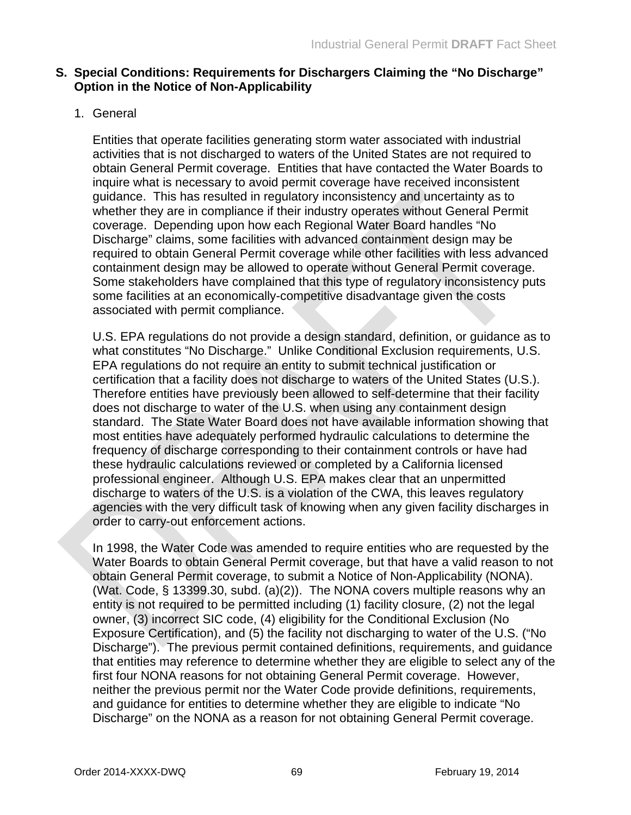### **S. Special Conditions: Requirements for Dischargers Claiming the "No Discharge" Option in the Notice of Non-Applicability**

## 1. General

Entities that operate facilities generating storm water associated with industrial activities that is not discharged to waters of the United States are not required to obtain General Permit coverage. Entities that have contacted the Water Boards to inquire what is necessary to avoid permit coverage have received inconsistent guidance. This has resulted in regulatory inconsistency and uncertainty as to whether they are in compliance if their industry operates without General Permit coverage. Depending upon how each Regional Water Board handles "No Discharge" claims, some facilities with advanced containment design may be required to obtain General Permit coverage while other facilities with less advanced containment design may be allowed to operate without General Permit coverage. Some stakeholders have complained that this type of regulatory inconsistency puts some facilities at an economically-competitive disadvantage given the costs associated with permit compliance.

U.S. EPA regulations do not provide a design standard, definition, or guidance as to what constitutes "No Discharge." Unlike Conditional Exclusion requirements, U.S. EPA regulations do not require an entity to submit technical justification or certification that a facility does not discharge to waters of the United States (U.S.). Therefore entities have previously been allowed to self-determine that their facility does not discharge to water of the U.S. when using any containment design standard. The State Water Board does not have available information showing that most entities have adequately performed hydraulic calculations to determine the frequency of discharge corresponding to their containment controls or have had these hydraulic calculations reviewed or completed by a California licensed professional engineer. Although U.S. EPA makes clear that an unpermitted discharge to waters of the U.S. is a violation of the CWA, this leaves regulatory agencies with the very difficult task of knowing when any given facility discharges in order to carry-out enforcement actions.

In 1998, the Water Code was amended to require entities who are requested by the Water Boards to obtain General Permit coverage, but that have a valid reason to not obtain General Permit coverage, to submit a Notice of Non-Applicability (NONA). (Wat. Code, § 13399.30, subd. (a)(2)). The NONA covers multiple reasons why an entity is not required to be permitted including (1) facility closure, (2) not the legal owner, (3) incorrect SIC code, (4) eligibility for the Conditional Exclusion (No Exposure Certification), and (5) the facility not discharging to water of the U.S. ("No Discharge"). The previous permit contained definitions, requirements, and guidance that entities may reference to determine whether they are eligible to select any of the first four NONA reasons for not obtaining General Permit coverage. However, neither the previous permit nor the Water Code provide definitions, requirements, and guidance for entities to determine whether they are eligible to indicate "No Discharge" on the NONA as a reason for not obtaining General Permit coverage.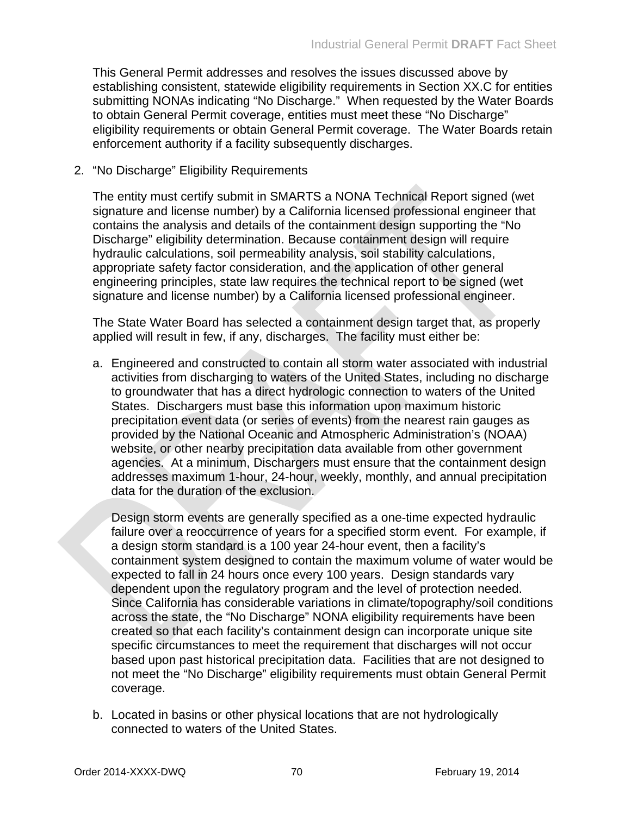This General Permit addresses and resolves the issues discussed above by establishing consistent, statewide eligibility requirements in Section XX.C for entities submitting NONAs indicating "No Discharge." When requested by the Water Boards to obtain General Permit coverage, entities must meet these "No Discharge" eligibility requirements or obtain General Permit coverage. The Water Boards retain enforcement authority if a facility subsequently discharges.

2. "No Discharge" Eligibility Requirements

The entity must certify submit in SMARTS a NONA Technical Report signed (wet signature and license number) by a California licensed professional engineer that contains the analysis and details of the containment design supporting the "No Discharge" eligibility determination. Because containment design will require hydraulic calculations, soil permeability analysis, soil stability calculations, appropriate safety factor consideration, and the application of other general engineering principles, state law requires the technical report to be signed (wet signature and license number) by a California licensed professional engineer.

The State Water Board has selected a containment design target that, as properly applied will result in few, if any, discharges. The facility must either be:

a. Engineered and constructed to contain all storm water associated with industrial activities from discharging to waters of the United States, including no discharge to groundwater that has a direct hydrologic connection to waters of the United States. Dischargers must base this information upon maximum historic precipitation event data (or series of events) from the nearest rain gauges as provided by the National Oceanic and Atmospheric Administration's (NOAA) website, or other nearby precipitation data available from other government agencies. At a minimum, Dischargers must ensure that the containment design addresses maximum 1-hour, 24-hour, weekly, monthly, and annual precipitation data for the duration of the exclusion.

Design storm events are generally specified as a one-time expected hydraulic failure over a reoccurrence of years for a specified storm event. For example, if a design storm standard is a 100 year 24-hour event, then a facility's containment system designed to contain the maximum volume of water would be expected to fall in 24 hours once every 100 years. Design standards vary dependent upon the regulatory program and the level of protection needed. Since California has considerable variations in climate/topography/soil conditions across the state, the "No Discharge" NONA eligibility requirements have been created so that each facility's containment design can incorporate unique site specific circumstances to meet the requirement that discharges will not occur based upon past historical precipitation data. Facilities that are not designed to not meet the "No Discharge" eligibility requirements must obtain General Permit coverage.

b. Located in basins or other physical locations that are not hydrologically connected to waters of the United States.